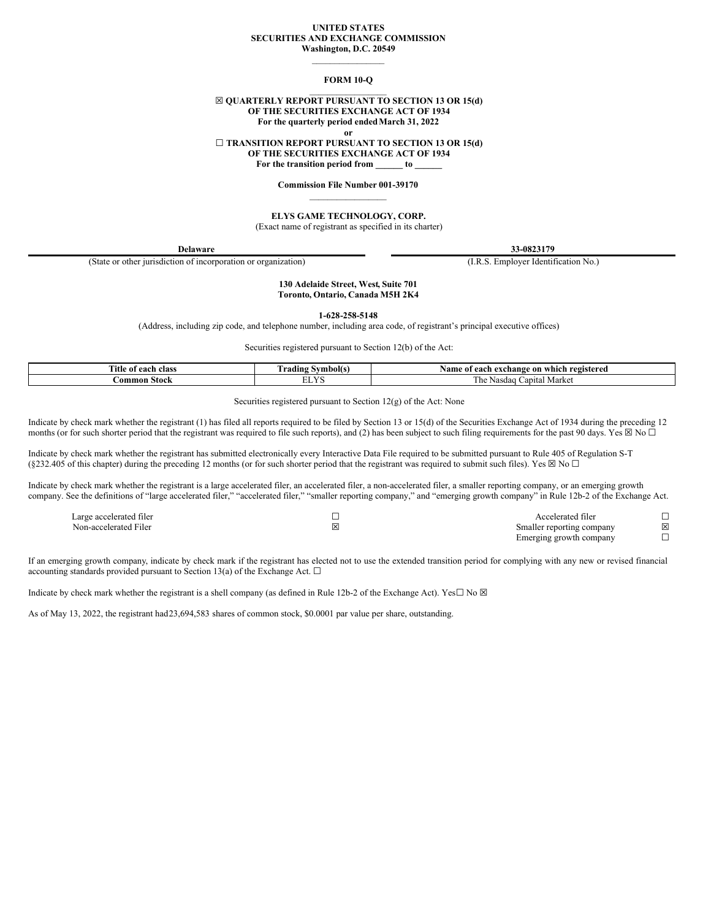## **UNITED STATES SECURITIES AND EXCHANGE COMMISSION Washington, D.C. 20549**

 $\mathcal{L}=\mathcal{L}^{\mathcal{L}}$  , where  $\mathcal{L}^{\mathcal{L}}$ 

## **FORM 10-Q**  $\mathcal{L}_\text{max}$  and  $\mathcal{L}_\text{max}$

## ☒ **QUARTERLY REPORT PURSUANT TO SECTION 13 OR 15(d) OF THE SECURITIES EXCHANGE ACT OF 1934 For the quarterly period endedMarch 31, 2022**

**or**

**☐ TRANSITION REPORT PURSUANT TO SECTION 13 OR 15(d) OF THE SECURITIES EXCHANGE ACT OF 1934 For the transition period from \_\_\_\_\_\_ to \_\_\_\_\_\_**

## **Commission File Number 001-39170**  $\mathcal{L}_\text{max}$  and  $\mathcal{L}_\text{max}$

## **ELYS GAME TECHNOLOGY, CORP.** (Exact name of registrant as specified in its charter)

(State or other jurisdiction of incorporation or organization) (I.R.S. Employer Identification No.)

**Delaware 33-0823179**

### **130 Adelaide Street, West, Suite 701 Toronto, Ontario, Canada M5H 2K4**

**1-628-258-5148**

(Address, including zip code, and telephone number, including area code, of registrant's principal executive offices)

Securities registered pursuant to Section 12(b) of the Act:

| Title.<br>clas.<br>. വ<br>eacn | <br>[vmbol(s)<br>rading                                          | registerea<br>ot each<br>Name<br>exchange<br>: 0P<br>which :<br>- UAU |
|--------------------------------|------------------------------------------------------------------|-----------------------------------------------------------------------|
| .`ommon<br>Stock               | <b>DE 370</b><br>the contract of the contract of the contract of | ∴apıtal Market<br>ı he<br>Nasdac                                      |

Securities registered pursuant to Section 12(g) of the Act: None

Indicate by check mark whether the registrant (1) has filed all reports required to be filed by Section 13 or 15(d) of the Securities Exchange Act of 1934 during the preceding 12 months (or for such shorter period that the registrant was required to file such reports), and (2) has been subject to such filing requirements for the past 90 days. Yes  $\boxtimes$  No  $\Box$ 

Indicate by check mark whether the registrant has submitted electronically every Interactive Data File required to be submitted pursuant to Rule 405 of Regulation S-T (§232.405 of this chapter) during the preceding 12 months (or for such shorter period that the registrant was required to submit such files). Yes  $\boxtimes$  No  $\Box$ 

Indicate by check mark whether the registrant is a large accelerated filer, an accelerated filer, a non-accelerated filer, a smaller reporting company, or an emerging growth company. See the definitions of "large accelerated filer," "accelerated filer," "smaller reporting company," and "emerging growth company" in Rule 12b-2 of the Exchange Act.

| Large accelerated filer | Accelerated filer         |                          |
|-------------------------|---------------------------|--------------------------|
| Non-accelerated Filer   | Smaller reporting company | X                        |
|                         | Emerging growth company   | $\overline{\phantom{0}}$ |

If an emerging growth company, indicate by check mark if the registrant has elected not to use the extended transition period for complying with any new or revised financial accounting standards provided pursuant to Section 13(a) of the Exchange Act.  $\Box$ 

Indicate by check mark whether the registrant is a shell company (as defined in Rule 12b-2 of the Exchange Act). Yes $\Box$  No  $\boxtimes$ 

As of May 13, 2022, the registrant had23,694,583 shares of common stock, \$0.0001 par value per share, outstanding.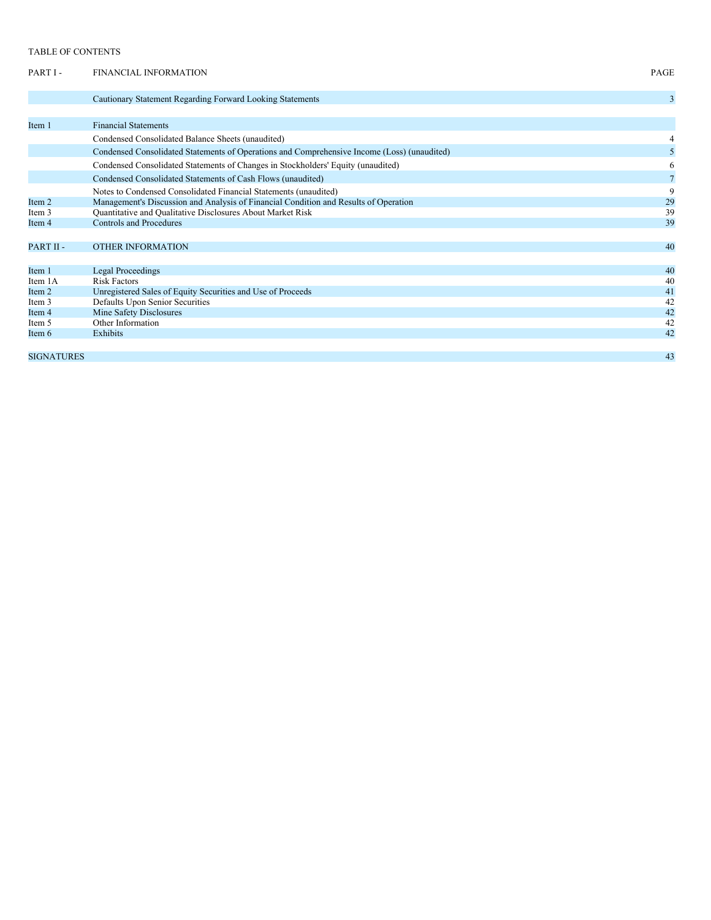# TABLE OF CONTENTS

# PART I - FINANCIAL INFORMATION PAGE

|                   | Cautionary Statement Regarding Forward Looking Statements                                   | $\overline{3}$ |
|-------------------|---------------------------------------------------------------------------------------------|----------------|
|                   |                                                                                             |                |
| Item 1            | <b>Financial Statements</b>                                                                 |                |
|                   | Condensed Consolidated Balance Sheets (unaudited)                                           |                |
|                   | Condensed Consolidated Statements of Operations and Comprehensive Income (Loss) (unaudited) |                |
|                   | Condensed Consolidated Statements of Changes in Stockholders' Equity (unaudited)            | 6              |
|                   | Condensed Consolidated Statements of Cash Flows (unaudited)                                 |                |
|                   | Notes to Condensed Consolidated Financial Statements (unaudited)                            | 9              |
| Item 2            | Management's Discussion and Analysis of Financial Condition and Results of Operation        | 29             |
| Item 3            | Quantitative and Qualitative Disclosures About Market Risk                                  | 39             |
| Item 4            | <b>Controls and Procedures</b>                                                              | 39             |
|                   |                                                                                             |                |
| PART II -         | <b>OTHER INFORMATION</b>                                                                    | 40             |
|                   |                                                                                             |                |
| Item 1            | Legal Proceedings                                                                           | 40             |
| Item 1A           | <b>Risk Factors</b>                                                                         | 40             |
| Item 2            | Unregistered Sales of Equity Securities and Use of Proceeds                                 | 41             |
| Item 3            | Defaults Upon Senior Securities                                                             | 42             |
| Item 4            | Mine Safety Disclosures                                                                     | 42             |
| Item 5            | Other Information                                                                           | 42             |
| Item 6            | Exhibits                                                                                    | 42             |
|                   |                                                                                             |                |
| <b>SIGNATURES</b> |                                                                                             | 43             |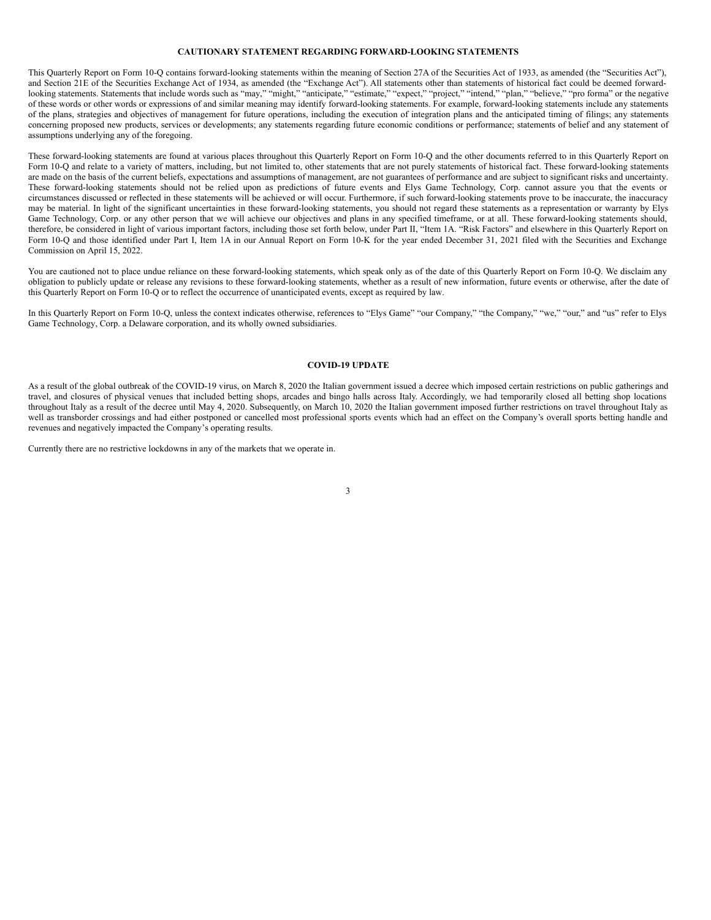## **CAUTIONARY STATEMENT REGARDING FORWARD-LOOKING STATEMENTS**

This Quarterly Report on Form 10-Q contains forward-looking statements within the meaning of Section 27A of the Securities Act of 1933, as amended (the "Securities Act"), and Section 21E of the Securities Exchange Act of 1934, as amended (the "Exchange Act"). All statements other than statements of historical fact could be deemed forwardlooking statements. Statements that include words such as "may," "might," "anticipate," "estimate," "expect," "project," "intend," "plan," "believe," "pro forma" or the negative of these words or other words or expressions of and similar meaning may identify forward-looking statements. For example, forward-looking statements include any statements of the plans, strategies and objectives of management for future operations, including the execution of integration plans and the anticipated timing of filings; any statements concerning proposed new products, services or developments; any statements regarding future economic conditions or performance; statements of belief and any statement of assumptions underlying any of the foregoing.

These forward-looking statements are found at various places throughout this Quarterly Report on Form 10-Q and the other documents referred to in this Quarterly Report on Form 10-Q and relate to a variety of matters, including, but not limited to, other statements that are not purely statements of historical fact. These forward-looking statements are made on the basis of the current beliefs, expectations and assumptions of management, are not guarantees of performance and are subject to significant risks and uncertainty. These forward-looking statements should not be relied upon as predictions of future events and Elys Game Technology, Corp. cannot assure you that the events or circumstances discussed or reflected in these statements will be achieved or will occur. Furthermore, if such forward-looking statements prove to be inaccurate, the inaccuracy may be material. In light of the significant uncertainties in these forward-looking statements, you should not regard these statements as a representation or warranty by Elys Game Technology, Corp. or any other person that we will achieve our objectives and plans in any specified timeframe, or at all. These forward-looking statements should, therefore, be considered in light of various important factors, including those set forth below, under Part II, "Item 1A. "Risk Factors" and elsewhere in this Quarterly Report on Form 10-Q and those identified under Part I, Item 1A in our Annual Report on Form 10-K for the year ended December 31, 2021 filed with the Securities and Exchange Commission on April 15, 2022.

You are cautioned not to place undue reliance on these forward-looking statements, which speak only as of the date of this Quarterly Report on Form 10-Q. We disclaim any obligation to publicly update or release any revisions to these forward-looking statements, whether as a result of new information, future events or otherwise, after the date of this Quarterly Report on Form 10-Q or to reflect the occurrence of unanticipated events, except as required by law.

In this Quarterly Report on Form 10-Q, unless the context indicates otherwise, references to "Elys Game" "our Company," "the Company," "we," "our," and "us" refer to Elys Game Technology, Corp. a Delaware corporation, and its wholly owned subsidiaries.

## **COVID-19 UPDATE**

As a result of the global outbreak of the COVID-19 virus, on March 8, 2020 the Italian government issued a decree which imposed certain restrictions on public gatherings and travel, and closures of physical venues that included betting shops, arcades and bingo halls across Italy. Accordingly, we had temporarily closed all betting shop locations throughout Italy as a result of the decree until May 4, 2020. Subsequently, on March 10, 2020 the Italian government imposed further restrictions on travel throughout Italy as well as transborder crossings and had either postponed or cancelled most professional sports events which had an effect on the Company's overall sports betting handle and revenues and negatively impacted the Company's operating results.

Currently there are no restrictive lockdowns in any of the markets that we operate in.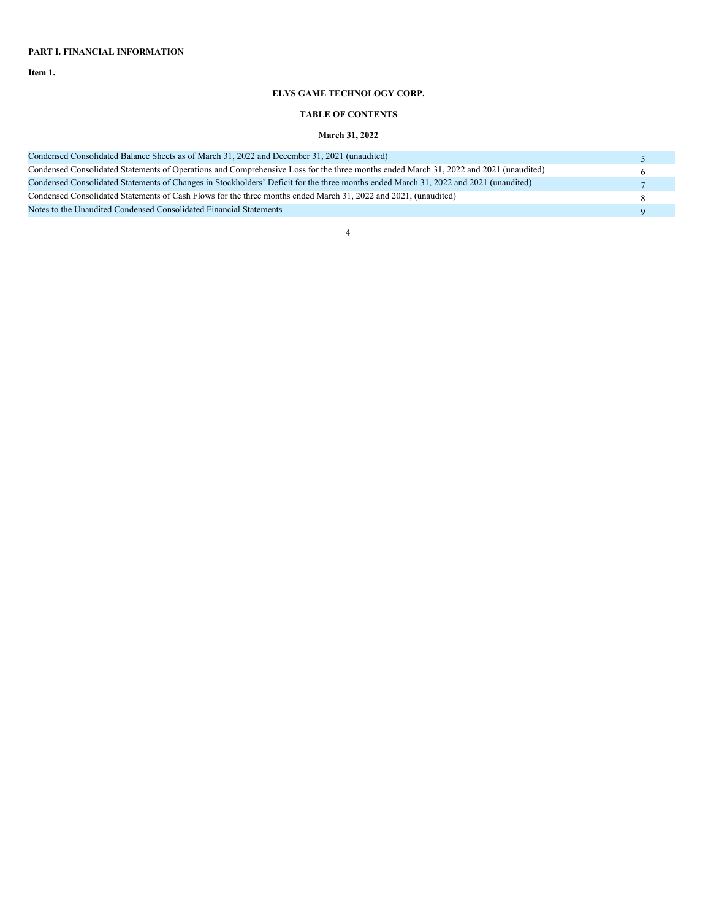**Item 1.**

# **ELYS GAME TECHNOLOGY CORP.**

# **TABLE OF CONTENTS**

# **March 31, 2022**

| Condensed Consolidated Balance Sheets as of March 31, 2022 and December 31, 2021 (unaudited)                                          |  |
|---------------------------------------------------------------------------------------------------------------------------------------|--|
| Condensed Consolidated Statements of Operations and Comprehensive Loss for the three months ended March 31, 2022 and 2021 (unaudited) |  |
| Condensed Consolidated Statements of Changes in Stockholders' Deficit for the three months ended March 31, 2022 and 2021 (unaudited)  |  |
| Condensed Consolidated Statements of Cash Flows for the three months ended March 31, 2022 and 2021, (unaudited)                       |  |
| Notes to the Unaudited Condensed Consolidated Financial Statements                                                                    |  |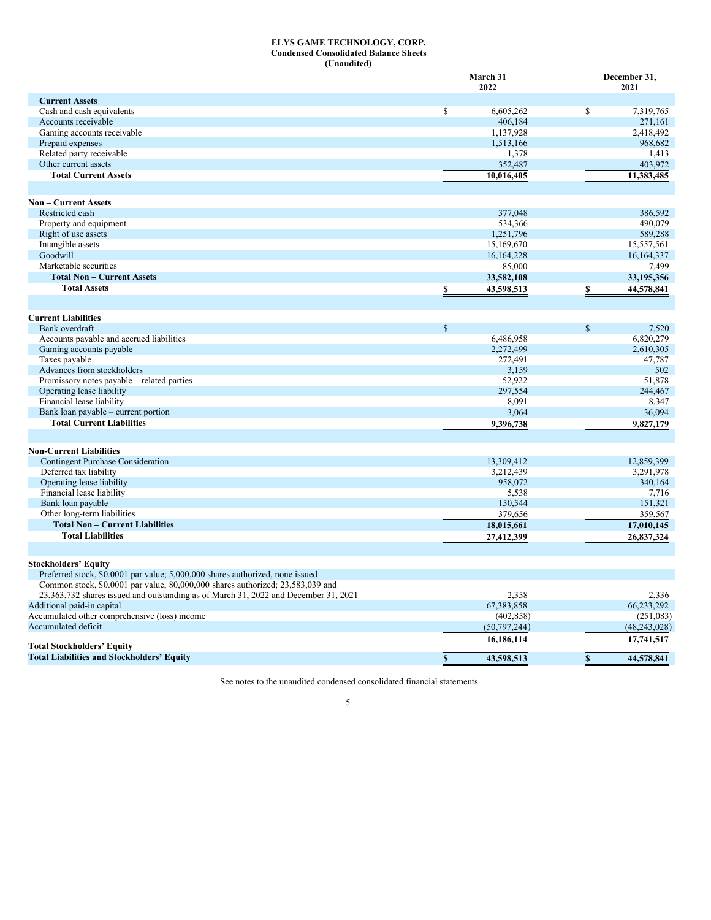## **ELYS GAME TECHNOLOGY, CORP. Condensed Consolidated Balance Sheets (Unaudited)**

|                                                                                     |               | March 31<br>2022 |    | December 31,<br>2021 |  |  |
|-------------------------------------------------------------------------------------|---------------|------------------|----|----------------------|--|--|
| <b>Current Assets</b>                                                               |               |                  |    |                      |  |  |
| Cash and cash equivalents                                                           | $\mathbb{S}$  | 6,605,262        | \$ | 7,319,765            |  |  |
| Accounts receivable                                                                 |               | 406,184          |    | 271,161              |  |  |
| Gaming accounts receivable                                                          |               | 1,137,928        |    | 2,418,492            |  |  |
| Prepaid expenses                                                                    |               | 1,513,166        |    | 968,682              |  |  |
| Related party receivable                                                            |               | 1,378            |    | 1,413                |  |  |
| Other current assets                                                                |               | 352,487          |    | 403,972              |  |  |
| <b>Total Current Assets</b>                                                         |               | 10,016,405       |    | 11,383,485           |  |  |
|                                                                                     |               |                  |    |                      |  |  |
| <b>Non – Current Assets</b>                                                         |               |                  |    |                      |  |  |
| Restricted cash                                                                     |               | 377,048          |    | 386,592              |  |  |
| Property and equipment                                                              |               | 534,366          |    | 490,079              |  |  |
| Right of use assets                                                                 |               | 1,251,796        |    | 589,288              |  |  |
| Intangible assets                                                                   |               | 15,169,670       |    | 15,557,561           |  |  |
| Goodwill                                                                            |               | 16,164,228       |    | 16, 164, 337         |  |  |
| Marketable securities                                                               |               | 85,000           |    | 7,499                |  |  |
| <b>Total Non - Current Assets</b>                                                   |               | 33,582,108       |    | 33,195,356           |  |  |
| <b>Total Assets</b>                                                                 | \$            | 43,598,513       | \$ | 44,578,841           |  |  |
|                                                                                     |               |                  |    |                      |  |  |
| <b>Current Liabilities</b>                                                          |               |                  |    |                      |  |  |
| Bank overdraft                                                                      | $\mathsf{\$}$ |                  | \$ | 7.520                |  |  |
| Accounts payable and accrued liabilities                                            |               | 6,486,958        |    | 6,820,279            |  |  |
| Gaming accounts payable                                                             |               | 2,272,499        |    | 2,610,305            |  |  |
| Taxes payable                                                                       |               | 272,491          |    | 47.787               |  |  |
| Advances from stockholders                                                          |               | 3,159            |    | 502                  |  |  |
| Promissory notes payable - related parties                                          |               | 52,922           |    | 51,878               |  |  |
| Operating lease liability                                                           |               | 297,554          |    | 244,467              |  |  |
| Financial lease liability                                                           |               | 8,091            |    | 8,347                |  |  |
| Bank loan payable – current portion                                                 |               | 3,064            |    | 36,094               |  |  |
| <b>Total Current Liabilities</b>                                                    |               | 9,396,738        |    | 9,827,179            |  |  |
| <b>Non-Current Liabilities</b>                                                      |               |                  |    |                      |  |  |
| <b>Contingent Purchase Consideration</b>                                            |               | 13,309,412       |    | 12,859,399           |  |  |
| Deferred tax liability                                                              |               | 3,212,439        |    | 3,291,978            |  |  |
| Operating lease liability                                                           |               | 958,072          |    | 340,164              |  |  |
| Financial lease liability                                                           |               | 5,538            |    | 7,716                |  |  |
| Bank loan payable                                                                   |               | 150,544          |    | 151,321              |  |  |
| Other long-term liabilities                                                         |               | 379,656          |    | 359.567              |  |  |
| <b>Total Non - Current Liabilities</b>                                              |               | 18,015,661       |    | 17,010,145           |  |  |
| <b>Total Liabilities</b>                                                            |               | 27,412,399       |    | 26,837,324           |  |  |
|                                                                                     |               |                  |    |                      |  |  |
| <b>Stockholders' Equity</b>                                                         |               |                  |    |                      |  |  |
| Preferred stock, \$0.0001 par value; 5,000,000 shares authorized, none issued       |               |                  |    |                      |  |  |
| Common stock, \$0.0001 par value, 80,000,000 shares authorized; 23,583,039 and      |               |                  |    |                      |  |  |
| 23,363,732 shares issued and outstanding as of March 31, 2022 and December 31, 2021 |               | 2,358            |    | 2.336                |  |  |
| Additional paid-in capital                                                          |               | 67,383,858       |    | 66,233,292           |  |  |
| Accumulated other comprehensive (loss) income                                       |               | (402, 858)       |    | (251, 083)           |  |  |
| Accumulated deficit                                                                 |               | (50, 797, 244)   |    | (48, 243, 028)       |  |  |
| <b>Total Stockholders' Equity</b>                                                   |               | 16,186,114       |    | 17,741,517           |  |  |
| <b>Total Liabilities and Stockholders' Equity</b>                                   | \$            | 43.598.513       | \$ | 44,578,841           |  |  |
|                                                                                     |               |                  |    |                      |  |  |

See notes to the unaudited condensed consolidated financial statements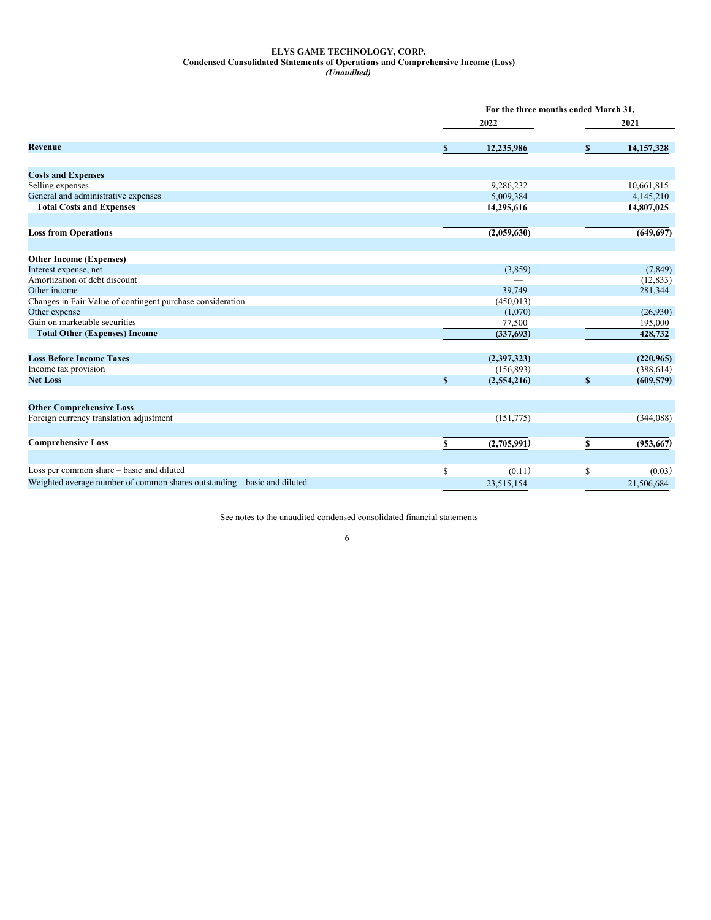### **ELYS GAME TECHNOLOGY, CORP. Condensed Consolidated Statements of Operations and Comprehensive Income (Loss)** *(Unaudited)*

|                                                                          |                            | For the three months ended March 31, |  |  |  |
|--------------------------------------------------------------------------|----------------------------|--------------------------------------|--|--|--|
|                                                                          | 2022                       | 2021                                 |  |  |  |
| <b>Revenue</b>                                                           | $\mathbf{s}$<br>12,235,986 | S<br>14, 157, 328                    |  |  |  |
| <b>Costs and Expenses</b>                                                |                            |                                      |  |  |  |
| Selling expenses                                                         | 9,286,232                  | 10,661,815                           |  |  |  |
| General and administrative expenses                                      | 5,009,384                  | 4,145,210                            |  |  |  |
| <b>Total Costs and Expenses</b>                                          | 14,295,616                 | 14,807,025                           |  |  |  |
| <b>Loss from Operations</b>                                              | (2,059,630)                | (649, 697)                           |  |  |  |
| <b>Other Income (Expenses)</b>                                           |                            |                                      |  |  |  |
| Interest expense, net                                                    | (3,859)                    | (7, 849)                             |  |  |  |
| Amortization of debt discount                                            |                            | (12, 833)                            |  |  |  |
| Other income                                                             | 39,749                     | 281,344                              |  |  |  |
| Changes in Fair Value of contingent purchase consideration               | (450, 013)                 |                                      |  |  |  |
| Other expense                                                            | (1,070)                    | (26,930)                             |  |  |  |
| Gain on marketable securities                                            | 77,500                     | 195,000                              |  |  |  |
| <b>Total Other (Expenses) Income</b>                                     | (337,693)                  | 428,732                              |  |  |  |
| <b>Loss Before Income Taxes</b>                                          | (2,397,323)                | (220, 965)                           |  |  |  |
| Income tax provision                                                     | (156, 893)                 | (388, 614)                           |  |  |  |
| <b>Net Loss</b>                                                          | $\mathbf S$<br>(2,554,216) | S<br>(609, 579)                      |  |  |  |
| <b>Other Comprehensive Loss</b>                                          |                            |                                      |  |  |  |
| Foreign currency translation adjustment                                  | (151, 775)                 | (344,088)                            |  |  |  |
| <b>Comprehensive Loss</b>                                                | (2,705,991)<br>\$          | (953,667)<br>\$.                     |  |  |  |
| Loss per common share - basic and diluted                                | (0.11)<br>S                | (0.03)                               |  |  |  |
| Weighted average number of common shares outstanding – basic and diluted | 23.515.154                 | 21.506.684                           |  |  |  |

See notes to the unaudited condensed consolidated financial statements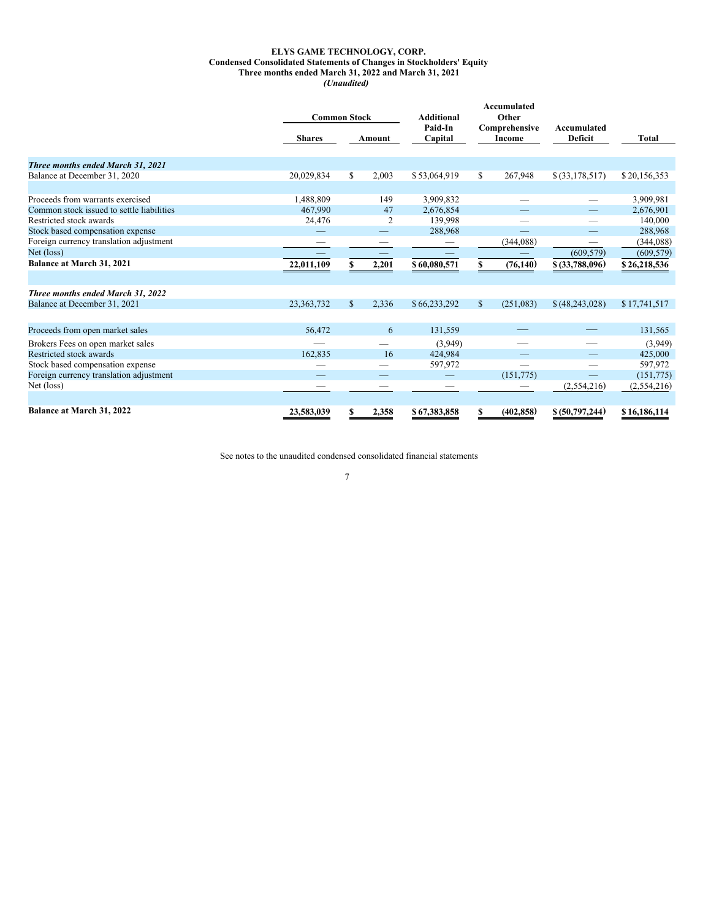## **ELYS GAME TECHNOLOGY, CORP. Condensed Consolidated Statements of Changes in Stockholders' Equity Three months ended March 31, 2022 and March 31, 2021** *(Unaudited)*

|                                           |               | <b>Common Stock</b> |                | <b>Additional</b><br>Paid-In | Accumulated<br>Other<br>Comprehensive |            | Accumulated       |              |  |
|-------------------------------------------|---------------|---------------------|----------------|------------------------------|---------------------------------------|------------|-------------------|--------------|--|
|                                           | <b>Shares</b> | Amount              |                | Capital                      |                                       | Income     | Deficit           | Total        |  |
|                                           |               |                     |                |                              |                                       |            |                   |              |  |
| Three months ended March 31, 2021         |               |                     |                |                              |                                       |            |                   |              |  |
| Balance at December 31, 2020              | 20,029,834    | \$                  | 2,003          | \$53,064,919                 | \$                                    | 267,948    | \$ (33,178,517)   | \$20,156,353 |  |
| Proceeds from warrants exercised          | 1,488,809     |                     | 149            | 3,909,832                    |                                       |            |                   | 3,909,981    |  |
| Common stock issued to settle liabilities | 467,990       |                     | 47             | 2,676,854                    |                                       |            |                   | 2,676,901    |  |
| Restricted stock awards                   | 24,476        |                     | $\overline{2}$ | 139,998                      |                                       |            |                   | 140,000      |  |
| Stock based compensation expense          |               |                     |                | 288,968                      |                                       |            |                   | 288,968      |  |
| Foreign currency translation adjustment   |               |                     |                |                              |                                       | (344,088)  |                   | (344,088)    |  |
| Net (loss)                                |               |                     |                |                              |                                       |            | (609, 579)        | (609, 579)   |  |
| Balance at March 31, 2021                 | 22,011,109    |                     | 2,201          | \$60,080,571                 | S                                     | (76, 140)  | \$(33,788,096)    | \$26,218,536 |  |
|                                           |               |                     |                |                              |                                       |            |                   |              |  |
| Three months ended March 31, 2022         |               |                     |                |                              |                                       |            |                   |              |  |
| Balance at December 31, 2021              | 23, 363, 732  | \$                  | 2,336          | \$66,233,292                 | <sup>\$</sup>                         | (251,083)  | \$(48,243,028)    | \$17,741,517 |  |
|                                           |               |                     |                |                              |                                       |            |                   |              |  |
| Proceeds from open market sales           | 56,472        |                     | 6              | 131,559                      |                                       |            |                   | 131,565      |  |
| Brokers Fees on open market sales         |               |                     |                | (3,949)                      |                                       |            |                   | (3,949)      |  |
| Restricted stock awards                   | 162,835       |                     | 16             | 424,984                      |                                       |            |                   | 425,000      |  |
| Stock based compensation expense          |               |                     |                | 597,972                      |                                       |            |                   | 597,972      |  |
| Foreign currency translation adjustment   |               |                     |                |                              |                                       | (151, 775) | $\qquad \qquad -$ | (151, 775)   |  |
| Net (loss)                                |               |                     |                |                              |                                       |            | (2,554,216)       | (2,554,216)  |  |
|                                           |               |                     |                |                              |                                       |            |                   |              |  |
| Balance at March 31, 2022                 | 23,583,039    | S                   | 2,358          | \$67,383,858                 | \$                                    | (402, 858) | \$ (50, 797, 244) | \$16,186,114 |  |

See notes to the unaudited condensed consolidated financial statements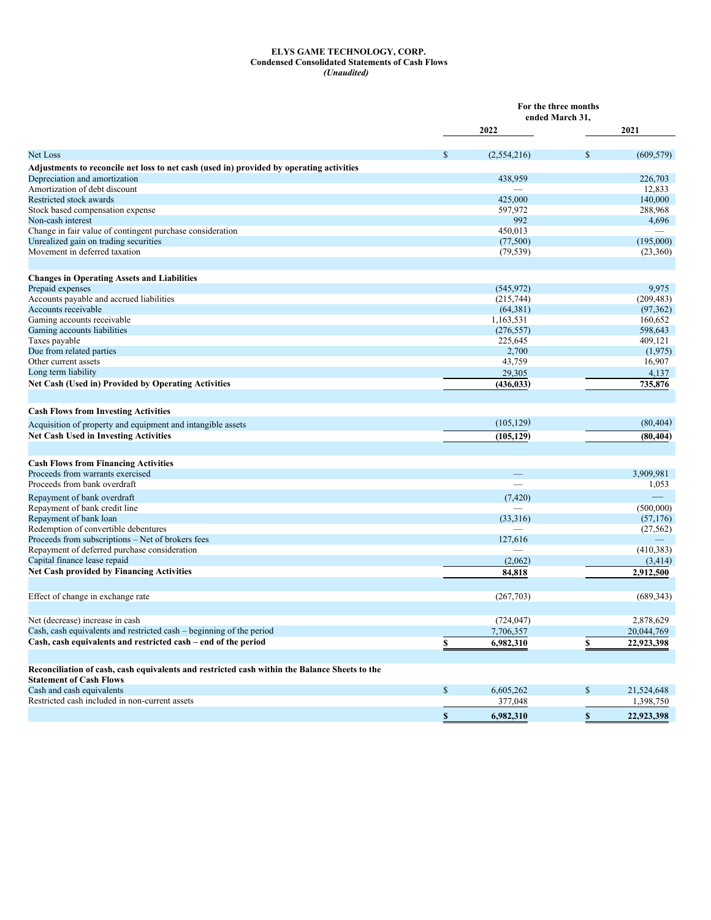## **ELYS GAME TECHNOLOGY, CORP. Condensed Consolidated Statements of Cash Flows** *(Unaudited)*

|                                                                                               | For the three months<br>ended March 31, |             |              |            |
|-----------------------------------------------------------------------------------------------|-----------------------------------------|-------------|--------------|------------|
|                                                                                               | 2022                                    |             |              | 2021       |
| Net Loss                                                                                      | \$                                      |             | \$           |            |
|                                                                                               |                                         | (2,554,216) |              | (609, 579) |
| Adjustments to reconcile net loss to net cash (used in) provided by operating activities      |                                         |             |              |            |
| Depreciation and amortization                                                                 |                                         | 438,959     |              | 226,703    |
| Amortization of debt discount                                                                 |                                         |             |              | 12,833     |
| Restricted stock awards                                                                       |                                         | 425,000     |              | 140,000    |
| Stock based compensation expense                                                              |                                         | 597,972     |              | 288,968    |
| Non-cash interest                                                                             |                                         | 992         |              | 4,696      |
| Change in fair value of contingent purchase consideration                                     |                                         | 450,013     |              |            |
| Unrealized gain on trading securities                                                         |                                         | (77,500)    |              | (195,000)  |
| Movement in deferred taxation                                                                 |                                         | (79, 539)   |              | (23,360)   |
| <b>Changes in Operating Assets and Liabilities</b>                                            |                                         |             |              |            |
| Prepaid expenses                                                                              |                                         | (545, 972)  |              | 9,975      |
| Accounts payable and accrued liabilities                                                      |                                         | (215,744)   |              | (209, 483) |
| Accounts receivable                                                                           |                                         | (64, 381)   |              | (97, 362)  |
| Gaming accounts receivable                                                                    |                                         | 1,163,531   |              | 160,652    |
| Gaming accounts liabilities                                                                   |                                         | (276, 557)  |              | 598,643    |
| Taxes payable                                                                                 |                                         | 225,645     |              | 409,121    |
| Due from related parties                                                                      |                                         | 2,700       |              | (1,975)    |
| Other current assets                                                                          |                                         | 43,759      |              | 16,907     |
| Long term liability                                                                           |                                         | 29,305      |              | 4,137      |
| Net Cash (Used in) Provided by Operating Activities                                           |                                         | (436, 033)  |              | 735,876    |
|                                                                                               |                                         |             |              |            |
| <b>Cash Flows from Investing Activities</b>                                                   |                                         |             |              |            |
| Acquisition of property and equipment and intangible assets                                   |                                         | (105, 129)  |              | (80, 404)  |
| <b>Net Cash Used in Investing Activities</b>                                                  |                                         | (105, 129)  |              | (80, 404)  |
| <b>Cash Flows from Financing Activities</b>                                                   |                                         |             |              |            |
| Proceeds from warrants exercised                                                              |                                         |             |              | 3,909,981  |
| Proceeds from bank overdraft                                                                  |                                         |             |              | 1,053      |
|                                                                                               |                                         |             |              |            |
| Repayment of bank overdraft                                                                   |                                         | (7, 420)    |              |            |
| Repayment of bank credit line                                                                 |                                         |             |              | (500,000)  |
| Repayment of bank loan                                                                        |                                         | (33,316)    |              | (57, 176)  |
| Redemption of convertible debentures                                                          |                                         |             |              | (27, 562)  |
| Proceeds from subscriptions - Net of brokers fees                                             |                                         | 127,616     |              |            |
| Repayment of deferred purchase consideration                                                  |                                         |             |              | (410, 383) |
| Capital finance lease repaid                                                                  |                                         | (2,062)     |              | (3, 414)   |
| Net Cash provided by Financing Activities                                                     |                                         | 84,818      |              | 2,912,500  |
| Effect of change in exchange rate                                                             |                                         | (267,703)   |              | (689, 343) |
| Net (decrease) increase in cash                                                               |                                         | (724, 047)  |              | 2,878,629  |
| Cash, cash equivalents and restricted cash - beginning of the period                          |                                         | 7,706,357   |              | 20,044,769 |
| Cash, cash equivalents and restricted cash – end of the period                                | \$                                      | 6,982,310   | S            | 22,923,398 |
| Reconciliation of cash, cash equivalents and restricted cash within the Balance Sheets to the |                                         |             |              |            |
| <b>Statement of Cash Flows</b>                                                                |                                         |             |              |            |
| Cash and cash equivalents                                                                     | $\$$                                    | 6,605,262   | $\mathbb{S}$ | 21,524,648 |
| Restricted cash included in non-current assets                                                |                                         | 377,048     |              | 1,398,750  |
|                                                                                               |                                         |             |              |            |
|                                                                                               | $\mathbf{s}$                            | 6,982,310   | $\mathbf{s}$ | 22,923,398 |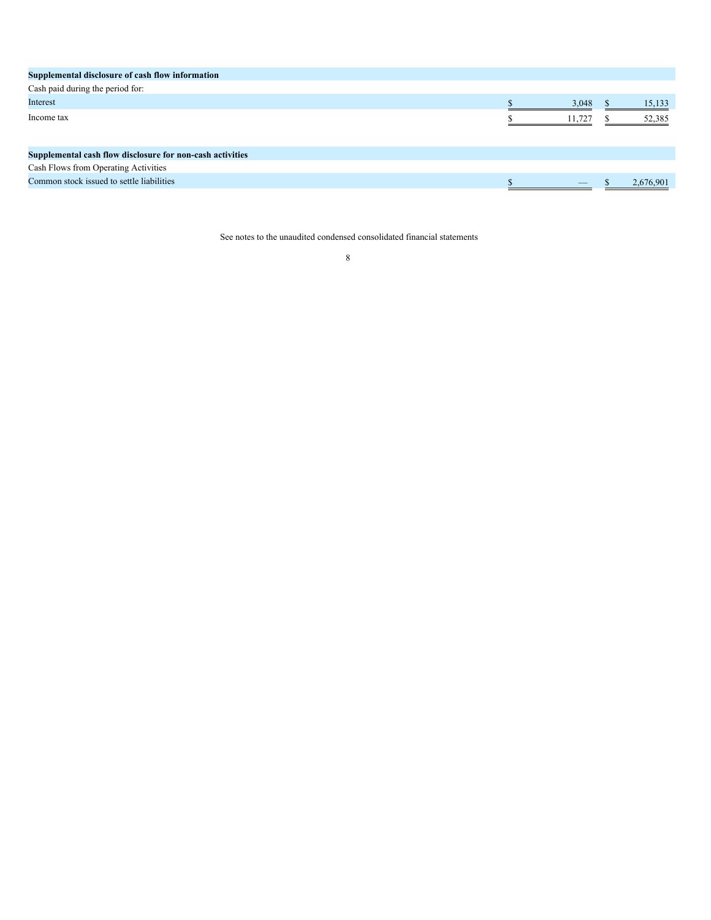| Supplemental disclosure of cash flow information          |        |           |
|-----------------------------------------------------------|--------|-----------|
| Cash paid during the period for:                          |        |           |
| Interest                                                  | 3.048  | 15.133    |
| Income tax                                                | 11.727 | 52,385    |
| Supplemental cash flow disclosure for non-cash activities |        |           |
| Cash Flows from Operating Activities                      |        |           |
| Common stock issued to settle liabilities                 |        | 2.676.901 |

See notes to the unaudited condensed consolidated financial statements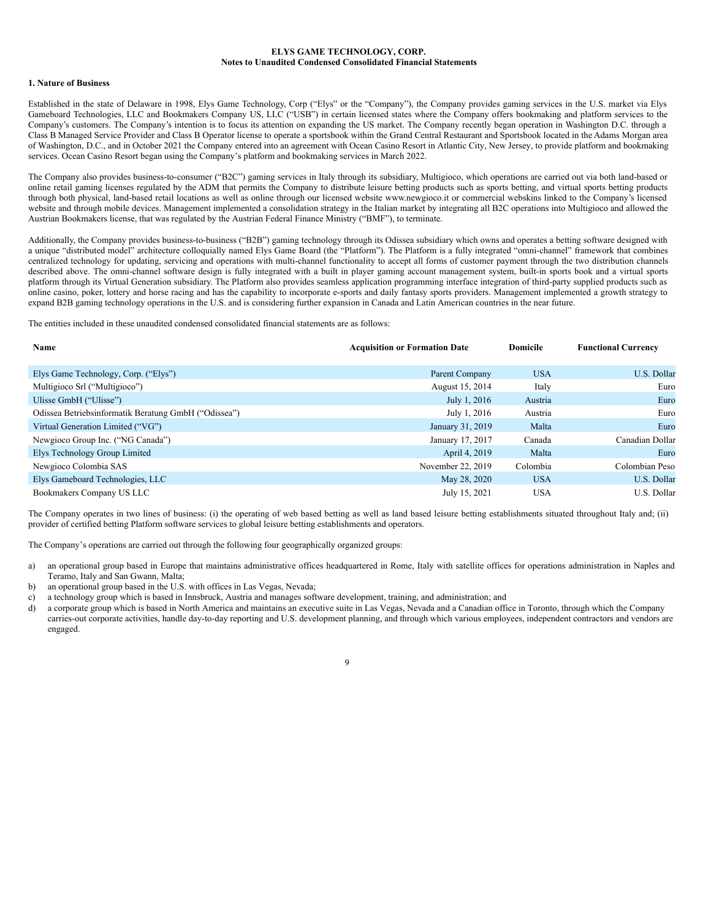# **1. Nature of Business**

Established in the state of Delaware in 1998, Elys Game Technology, Corp ("Elys" or the "Company"), the Company provides gaming services in the U.S. market via Elys Gameboard Technologies, LLC and Bookmakers Company US, LLC ("USB") in certain licensed states where the Company offers bookmaking and platform services to the Company's customers. The Company's intention is to focus its attention on expanding the US market. The Company recently began operation in Washington D.C. through a Class B Managed Service Provider and Class B Operator license to operate a sportsbook within the Grand Central Restaurant and Sportsbook located in the Adams Morgan area of Washington, D.C., and in October 2021 the Company entered into an agreement with Ocean Casino Resort in Atlantic City, New Jersey, to provide platform and bookmaking services. Ocean Casino Resort began using the Company's platform and bookmaking services in March 2022.

The Company also provides business-to-consumer ("B2C") gaming services in Italy through its subsidiary, Multigioco, which operations are carried out via both land-based or online retail gaming licenses regulated by the ADM that permits the Company to distribute leisure betting products such as sports betting, and virtual sports betting products through both physical, land-based retail locations as well as online through our licensed website www.newgioco.it or commercial webskins linked to the Company's licensed website and through mobile devices. Management implemented a consolidation strategy in the Italian market by integrating all B2C operations into Multigioco and allowed the Austrian Bookmakers license, that was regulated by the Austrian Federal Finance Ministry ("BMF"), to terminate.

Additionally, the Company provides business-to-business ("B2B") gaming technology through its Odissea subsidiary which owns and operates a betting software designed with a unique "distributed model" architecture colloquially named Elys Game Board (the "Platform"). The Platform is a fully integrated "omni-channel" framework that combines centralized technology for updating, servicing and operations with multi-channel functionality to accept all forms of customer payment through the two distribution channels described above. The omni-channel software design is fully integrated with a built in player gaming account management system, built-in sports book and a virtual sports platform through its Virtual Generation subsidiary. The Platform also provides seamless application programming interface integration of third-party supplied products such as online casino, poker, lottery and horse racing and has the capability to incorporate e-sports and daily fantasy sports providers. Management implemented a growth strategy to expand B2B gaming technology operations in the U.S. and is considering further expansion in Canada and Latin American countries in the near future.

The entities included in these unaudited condensed consolidated financial statements are as follows:

| Name                                                 | <b>Acquisition or Formation Date</b> | Domicile   | <b>Functional Currency</b> |
|------------------------------------------------------|--------------------------------------|------------|----------------------------|
|                                                      |                                      |            |                            |
| Elys Game Technology, Corp. ("Elys")                 | Parent Company                       | <b>USA</b> | U.S. Dollar                |
| Multigioco Srl ("Multigioco")                        | August 15, 2014                      | Italy      | Euro                       |
| Ulisse GmbH ("Ulisse")                               | July 1, 2016                         | Austria    | Euro                       |
| Odissea Betriebsinformatik Beratung GmbH ("Odissea") | July 1, 2016                         | Austria    | Euro                       |
| Virtual Generation Limited ("VG")                    | January 31, 2019                     | Malta      | Euro                       |
| Newgioco Group Inc. ("NG Canada")                    | January 17, 2017                     | Canada     | Canadian Dollar            |
| Elys Technology Group Limited                        | April 4, 2019                        | Malta      | Euro                       |
| Newgioco Colombia SAS                                | November 22, 2019                    | Colombia   | Colombian Peso             |
| Elys Gameboard Technologies, LLC                     | May 28, 2020                         | <b>USA</b> | U.S. Dollar                |
| Bookmakers Company US LLC                            | July 15, 2021                        | <b>USA</b> | U.S. Dollar                |

The Company operates in two lines of business: (i) the operating of web based betting as well as land based leisure betting establishments situated throughout Italy and; (ii) provider of certified betting Platform software services to global leisure betting establishments and operators.

The Company's operations are carried out through the following four geographically organized groups:

- a) an operational group based in Europe that maintains administrative offices headquartered in Rome, Italy with satellite offices for operations administration in Naples and Teramo, Italy and San Gwann, Malta;
- b) an operational group based in the U.S. with offices in Las Vegas, Nevada;
- c) a technology group which is based in Innsbruck, Austria and manages software development, training, and administration; and<br>d) a corporate group which is based in North America and maintains an executive suite in Las Ve
- a corporate group which is based in North America and maintains an executive suite in Las Vegas, Nevada and a Canadian office in Toronto, through which the Company carries-out corporate activities, handle day-to-day reporting and U.S. development planning, and through which various employees, independent contractors and vendors are engaged.

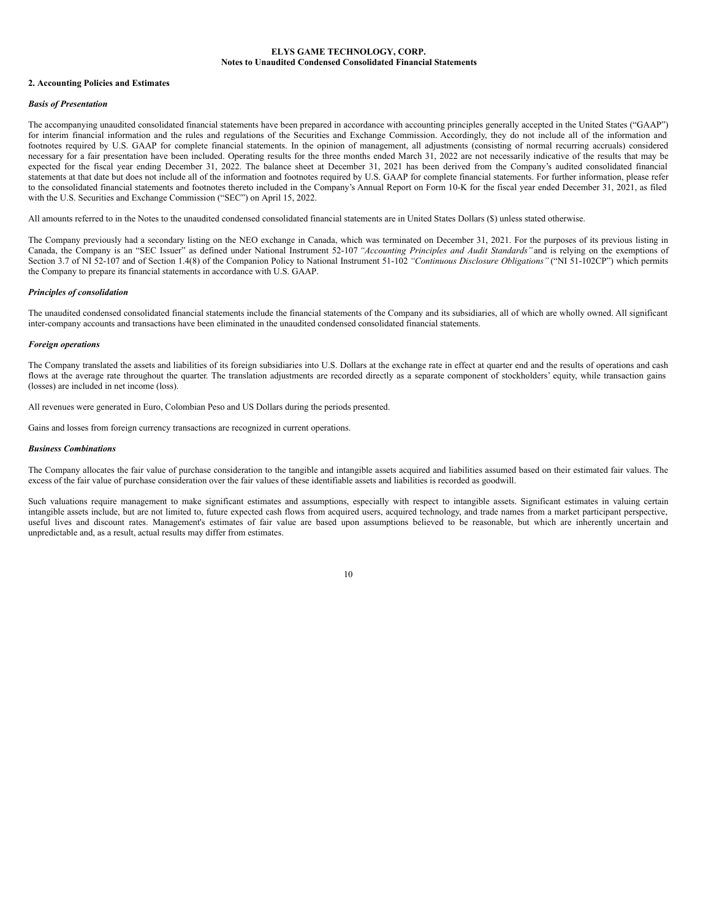# **2. Accounting Policies and Estimates**

## *Basis of Presentation*

The accompanying unaudited consolidated financial statements have been prepared in accordance with accounting principles generally accepted in the United States ("GAAP") for interim financial information and the rules and regulations of the Securities and Exchange Commission. Accordingly, they do not include all of the information and footnotes required by U.S. GAAP for complete financial statements. In the opinion of management, all adjustments (consisting of normal recurring accruals) considered necessary for a fair presentation have been included. Operating results for the three months ended March 31, 2022 are not necessarily indicative of the results that may be expected for the fiscal year ending December 31, 2022. The balance sheet at December 31, 2021 has been derived from the Company's audited consolidated financial statements at that date but does not include all of the information and footnotes required by U.S. GAAP for complete financial statements. For further information, please refer to the consolidated financial statements and footnotes thereto included in the Company's Annual Report on Form 10-K for the fiscal year ended December 31, 2021, as filed with the U.S. Securities and Exchange Commission ("SEC") on April 15, 2022.

All amounts referred to in the Notes to the unaudited condensed consolidated financial statements are in United States Dollars (\$) unless stated otherwise.

The Company previously had a secondary listing on the NEO exchange in Canada, which was terminated on December 31, 2021. For the purposes of its previous listing in Canada, the Company is an "SEC Issuer" as defined under National Instrument 52-107 *"Accounting Principles and Audit Standards"*and is relying on the exemptions of Section 3.7 of NI 52-107 and of Section 1.4(8) of the Companion Policy to National Instrument 51-102 *"Continuous Disclosure Obligations"* ("NI 51-102CP") which permits the Company to prepare its financial statements in accordance with U.S. GAAP.

## *Principles of consolidation*

The unaudited condensed consolidated financial statements include the financial statements of the Company and its subsidiaries, all of which are wholly owned. All significant inter-company accounts and transactions have been eliminated in the unaudited condensed consolidated financial statements.

### *Foreign operations*

The Company translated the assets and liabilities of its foreign subsidiaries into U.S. Dollars at the exchange rate in effect at quarter end and the results of operations and cash flows at the average rate throughout the quarter. The translation adjustments are recorded directly as a separate component of stockholders' equity, while transaction gains (losses) are included in net income (loss).

All revenues were generated in Euro, Colombian Peso and US Dollars during the periods presented.

Gains and losses from foreign currency transactions are recognized in current operations.

### *Business Combinations*

The Company allocates the fair value of purchase consideration to the tangible and intangible assets acquired and liabilities assumed based on their estimated fair values. The excess of the fair value of purchase consideration over the fair values of these identifiable assets and liabilities is recorded as goodwill.

Such valuations require management to make significant estimates and assumptions, especially with respect to intangible assets. Significant estimates in valuing certain intangible assets include, but are not limited to, future expected cash flows from acquired users, acquired technology, and trade names from a market participant perspective, useful lives and discount rates. Management's estimates of fair value are based upon assumptions believed to be reasonable, but which are inherently uncertain and unpredictable and, as a result, actual results may differ from estimates.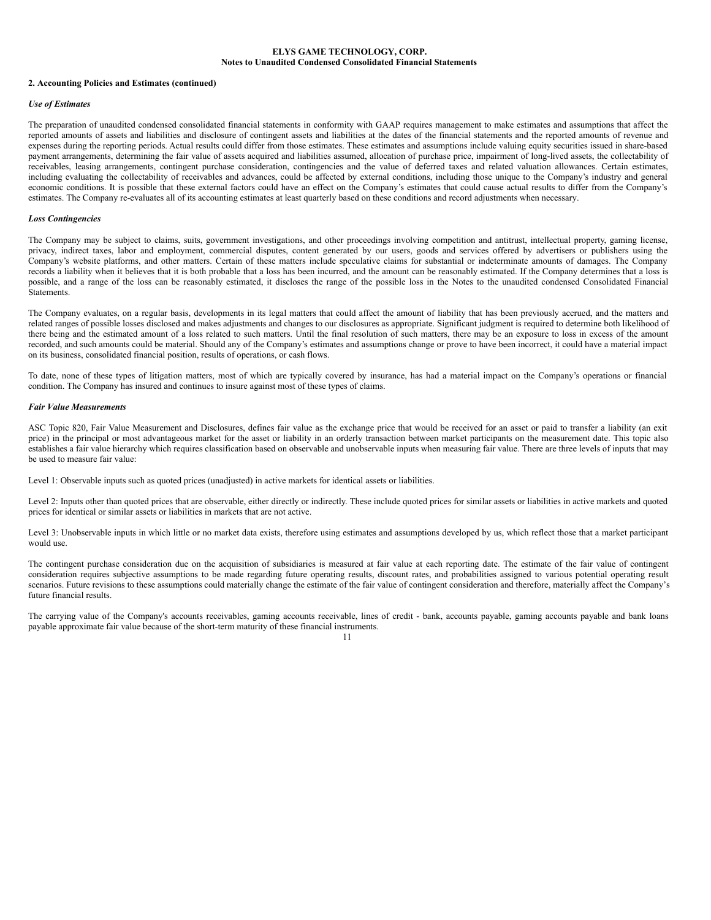# **2. Accounting Policies and Estimates (continued)**

## *Use of Estimates*

The preparation of unaudited condensed consolidated financial statements in conformity with GAAP requires management to make estimates and assumptions that affect the reported amounts of assets and liabilities and disclosure of contingent assets and liabilities at the dates of the financial statements and the reported amounts of revenue and expenses during the reporting periods. Actual results could differ from those estimates. These estimates and assumptions include valuing equity securities issued in share-based payment arrangements, determining the fair value of assets acquired and liabilities assumed, allocation of purchase price, impairment of long-lived assets, the collectability of receivables, leasing arrangements, contingent purchase consideration, contingencies and the value of deferred taxes and related valuation allowances. Certain estimates, including evaluating the collectability of receivables and advances, could be affected by external conditions, including those unique to the Company's industry and general economic conditions. It is possible that these external factors could have an effect on the Company's estimates that could cause actual results to differ from the Company's estimates. The Company re-evaluates all of its accounting estimates at least quarterly based on these conditions and record adjustments when necessary.

### *Loss Contingencies*

The Company may be subject to claims, suits, government investigations, and other proceedings involving competition and antitrust, intellectual property, gaming license, privacy, indirect taxes, labor and employment, commercial disputes, content generated by our users, goods and services offered by advertisers or publishers using the Company's website platforms, and other matters. Certain of these matters include speculative claims for substantial or indeterminate amounts of damages. The Company records a liability when it believes that it is both probable that a loss has been incurred, and the amount can be reasonably estimated. If the Company determines that a loss is possible, and a range of the loss can be reasonably estimated, it discloses the range of the possible loss in the Notes to the unaudited condensed Consolidated Financial **Statements** 

The Company evaluates, on a regular basis, developments in its legal matters that could affect the amount of liability that has been previously accrued, and the matters and related ranges of possible losses disclosed and makes adjustments and changes to our disclosures as appropriate. Significant judgment is required to determine both likelihood of there being and the estimated amount of a loss related to such matters. Until the final resolution of such matters, there may be an exposure to loss in excess of the amount recorded, and such amounts could be material. Should any of the Company's estimates and assumptions change or prove to have been incorrect, it could have a material impact on its business, consolidated financial position, results of operations, or cash flows.

To date, none of these types of litigation matters, most of which are typically covered by insurance, has had a material impact on the Company's operations or financial condition. The Company has insured and continues to insure against most of these types of claims.

## *Fair Value Measurements*

ASC Topic 820, Fair Value Measurement and Disclosures, defines fair value as the exchange price that would be received for an asset or paid to transfer a liability (an exit price) in the principal or most advantageous market for the asset or liability in an orderly transaction between market participants on the measurement date. This topic also establishes a fair value hierarchy which requires classification based on observable and unobservable inputs when measuring fair value. There are three levels of inputs that may be used to measure fair value:

Level 1: Observable inputs such as quoted prices (unadjusted) in active markets for identical assets or liabilities.

Level 2: Inputs other than quoted prices that are observable, either directly or indirectly. These include quoted prices for similar assets or liabilities in active markets and quoted prices for identical or similar assets or liabilities in markets that are not active.

Level 3: Unobservable inputs in which little or no market data exists, therefore using estimates and assumptions developed by us, which reflect those that a market participant would use.

The contingent purchase consideration due on the acquisition of subsidiaries is measured at fair value at each reporting date. The estimate of the fair value of contingent consideration requires subjective assumptions to be made regarding future operating results, discount rates, and probabilities assigned to various potential operating result scenarios. Future revisions to these assumptions could materially change the estimate of the fair value of contingent consideration and therefore, materially affect the Company's future financial results.

The carrying value of the Company's accounts receivables, gaming accounts receivable, lines of credit - bank, accounts payable, gaming accounts payable and bank loans payable approximate fair value because of the short-term maturity of these financial instruments.

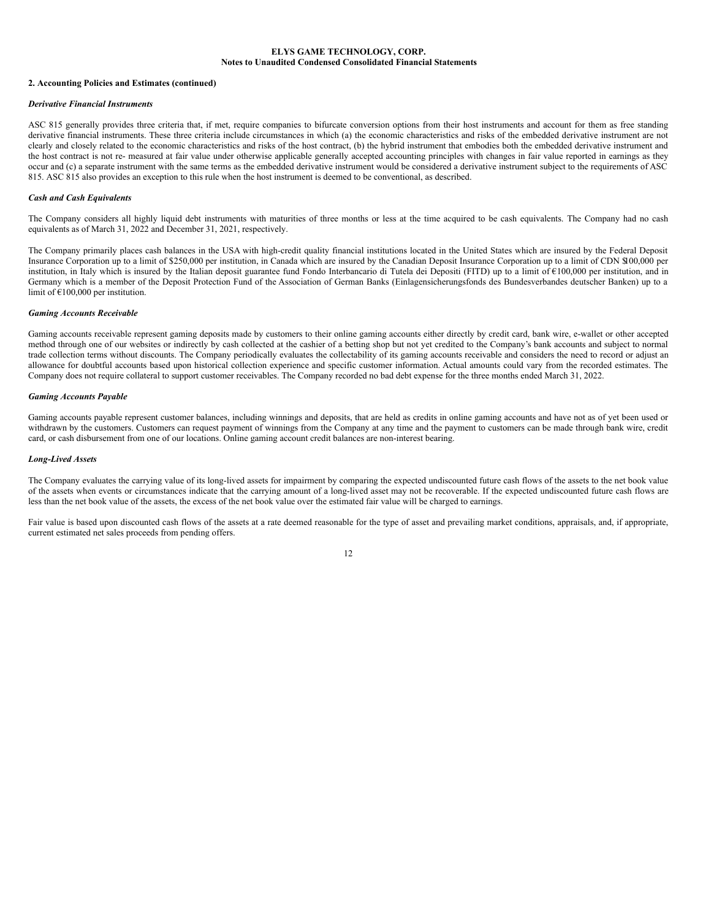# **2. Accounting Policies and Estimates (continued)**

# *Derivative Financial Instruments*

ASC 815 generally provides three criteria that, if met, require companies to bifurcate conversion options from their host instruments and account for them as free standing derivative financial instruments. These three criteria include circumstances in which (a) the economic characteristics and risks of the embedded derivative instrument are not clearly and closely related to the economic characteristics and risks of the host contract, (b) the hybrid instrument that embodies both the embedded derivative instrument and the host contract is not re- measured at fair value under otherwise applicable generally accepted accounting principles with changes in fair value reported in earnings as they occur and (c) a separate instrument with the same terms as the embedded derivative instrument would be considered a derivative instrument subject to the requirements of ASC 815. ASC 815 also provides an exception to this rule when the host instrument is deemed to be conventional, as described.

## *Cash and Cash Equivalents*

The Company considers all highly liquid debt instruments with maturities of three months or less at the time acquired to be cash equivalents. The Company had no cash equivalents as of March 31, 2022 and December 31, 2021, respectively.

The Company primarily places cash balances in the USA with high-credit quality financial institutions located in the United States which are insured by the Federal Deposit Insurance Corporation up to a limit of \$250,000 per institution, in Canada which are insured by the Canadian Deposit Insurance Corporation up to a limit of CDN \$100,000 per institution, in Italy which is insured by the Italian deposit guarantee fund Fondo Interbancario di Tutela dei Depositi (FITD) up to a limit of €100,000 per institution, and in Germany which is a member of the Deposit Protection Fund of the Association of German Banks (Einlagensicherungsfonds des Bundesverbandes deutscher Banken) up to a limit of €100,000 per institution.

## *Gaming Accounts Receivable*

Gaming accounts receivable represent gaming deposits made by customers to their online gaming accounts either directly by credit card, bank wire, e-wallet or other accepted method through one of our websites or indirectly by cash collected at the cashier of a betting shop but not yet credited to the Company's bank accounts and subject to normal trade collection terms without discounts. The Company periodically evaluates the collectability of its gaming accounts receivable and considers the need to record or adjust an allowance for doubtful accounts based upon historical collection experience and specific customer information. Actual amounts could vary from the recorded estimates. The Company does not require collateral to support customer receivables. The Company recorded no bad debt expense for the three months ended March 31, 2022.

## *Gaming Accounts Payable*

Gaming accounts payable represent customer balances, including winnings and deposits, that are held as credits in online gaming accounts and have not as of yet been used or withdrawn by the customers. Customers can request payment of winnings from the Company at any time and the payment to customers can be made through bank wire, credit card, or cash disbursement from one of our locations. Online gaming account credit balances are non-interest bearing.

# *Long-Lived Assets*

The Company evaluates the carrying value of its long-lived assets for impairment by comparing the expected undiscounted future cash flows of the assets to the net book value of the assets when events or circumstances indicate that the carrying amount of a long-lived asset may not be recoverable. If the expected undiscounted future cash flows are less than the net book value of the assets, the excess of the net book value over the estimated fair value will be charged to earnings.

Fair value is based upon discounted cash flows of the assets at a rate deemed reasonable for the type of asset and prevailing market conditions, appraisals, and, if appropriate, current estimated net sales proceeds from pending offers.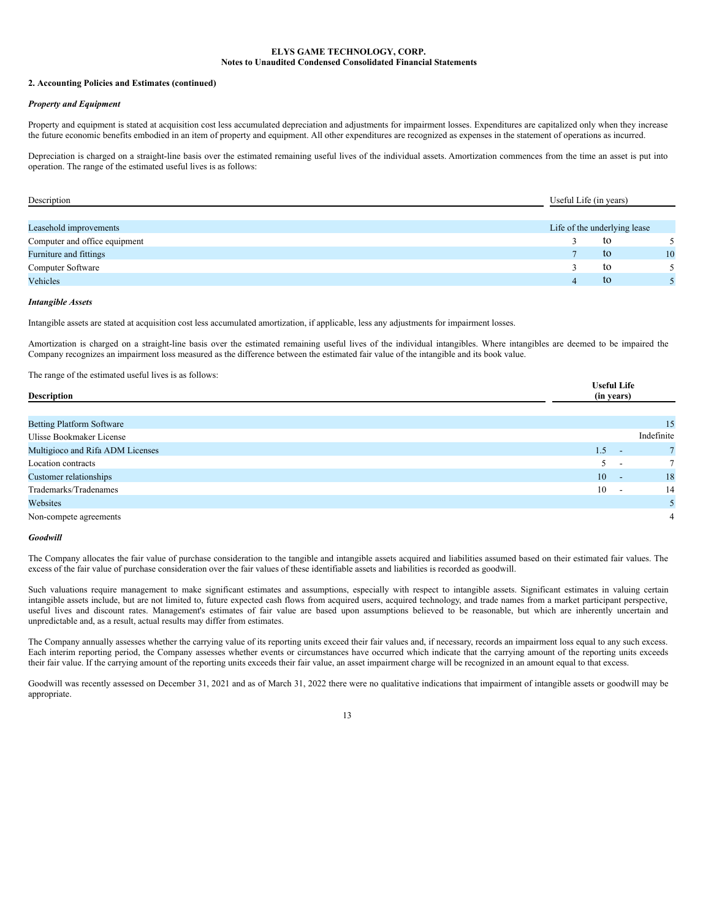# **2. Accounting Policies and Estimates (continued)**

# *Property and Equipment*

Property and equipment is stated at acquisition cost less accumulated depreciation and adjustments for impairment losses. Expenditures are capitalized only when they increase the future economic benefits embodied in an item of property and equipment. All other expenditures are recognized as expenses in the statement of operations as incurred.

Depreciation is charged on a straight-line basis over the estimated remaining useful lives of the individual assets. Amortization commences from the time an asset is put into operation. The range of the estimated useful lives is as follows:

| Description                   | Useful Life (in years) |                              |    |  |
|-------------------------------|------------------------|------------------------------|----|--|
|                               |                        |                              |    |  |
| Leasehold improvements        |                        | Life of the underlying lease |    |  |
| Computer and office equipment |                        | to                           |    |  |
| Furniture and fittings        |                        | to                           | 10 |  |
| Computer Software             |                        | to                           |    |  |
| Vehicles                      |                        | to                           |    |  |

## *Intangible Assets*

Intangible assets are stated at acquisition cost less accumulated amortization, if applicable, less any adjustments for impairment losses.

Amortization is charged on a straight-line basis over the estimated remaining useful lives of the individual intangibles. Where intangibles are deemed to be impaired the Company recognizes an impairment loss measured as the difference between the estimated fair value of the intangible and its book value.

| <b>Description</b>               | <b>Useful Life</b><br>(in years)     |
|----------------------------------|--------------------------------------|
|                                  |                                      |
| <b>Betting Platform Software</b> | 15                                   |
| Ulisse Bookmaker License         | Indefinite                           |
| Multigioco and Rifa ADM Licenses | 1.5 <sub>1</sub><br>$7\phantom{.0}$  |
| Location contracts               | 7                                    |
| Customer relationships           | 10<br>18<br>$\overline{\phantom{a}}$ |
| Trademarks/Tradenames            | 10<br>14<br>$\overline{\phantom{a}}$ |
| Websites                         |                                      |
| Non-compete agreements           | 4                                    |

## *Goodwill*

The Company allocates the fair value of purchase consideration to the tangible and intangible assets acquired and liabilities assumed based on their estimated fair values. The excess of the fair value of purchase consideration over the fair values of these identifiable assets and liabilities is recorded as goodwill.

Such valuations require management to make significant estimates and assumptions, especially with respect to intangible assets. Significant estimates in valuing certain intangible assets include, but are not limited to, future expected cash flows from acquired users, acquired technology, and trade names from a market participant perspective, useful lives and discount rates. Management's estimates of fair value are based upon assumptions believed to be reasonable, but which are inherently uncertain and unpredictable and, as a result, actual results may differ from estimates.

The Company annually assesses whether the carrying value of its reporting units exceed their fair values and, if necessary, records an impairment loss equal to any such excess. Each interim reporting period, the Company assesses whether events or circumstances have occurred which indicate that the carrying amount of the reporting units exceeds their fair value. If the carrying amount of the reporting units exceeds their fair value, an asset impairment charge will be recognized in an amount equal to that excess.

Goodwill was recently assessed on December 31, 2021 and as of March 31, 2022 there were no qualitative indications that impairment of intangible assets or goodwill may be appropriate.

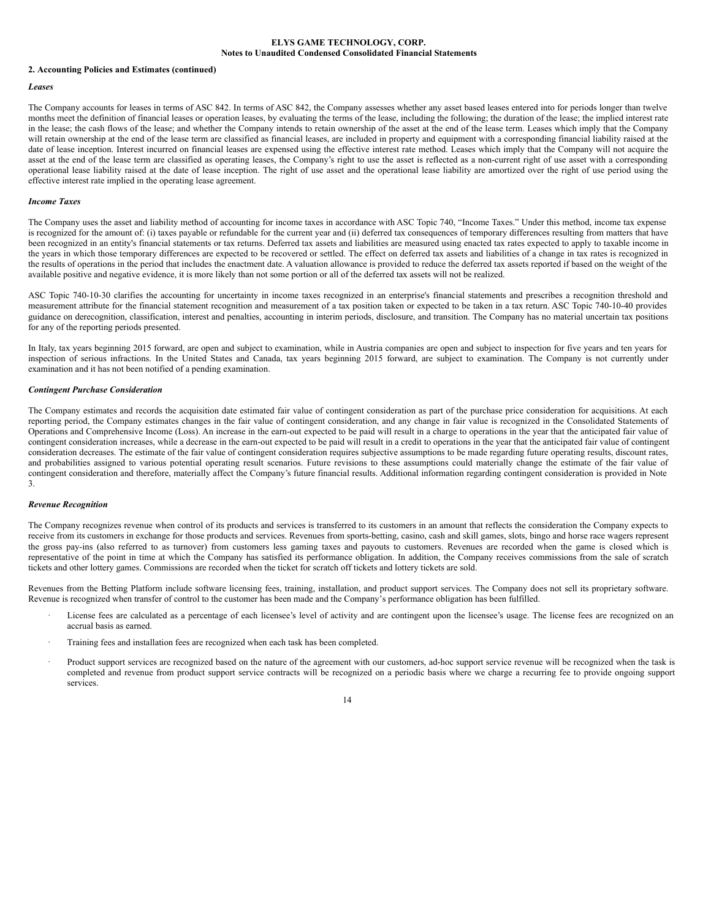# **2. Accounting Policies and Estimates (continued)**

### *Leases*

The Company accounts for leases in terms of ASC 842. In terms of ASC 842, the Company assesses whether any asset based leases entered into for periods longer than twelve months meet the definition of financial leases or operation leases, by evaluating the terms of the lease, including the following; the duration of the lease; the implied interest rate in the lease; the cash flows of the lease; and whether the Company intends to retain ownership of the asset at the end of the lease term. Leases which imply that the Company will retain ownership at the end of the lease term are classified as financial leases, are included in property and equipment with a corresponding financial liability raised at the date of lease inception. Interest incurred on financial leases are expensed using the effective interest rate method. Leases which imply that the Company will not acquire the asset at the end of the lease term are classified as operating leases, the Company's right to use the asset is reflected as a non-current right of use asset with a corresponding operational lease liability raised at the date of lease inception. The right of use asset and the operational lease liability are amortized over the right of use period using the effective interest rate implied in the operating lease agreement.

### *Income Taxes*

The Company uses the asset and liability method of accounting for income taxes in accordance with ASC Topic 740, "Income Taxes." Under this method, income tax expense is recognized for the amount of: (i) taxes payable or refundable for the current year and (ii) deferred tax consequences of temporary differences resulting from matters that have been recognized in an entity's financial statements or tax returns. Deferred tax assets and liabilities are measured using enacted tax rates expected to apply to taxable income in the years in which those temporary differences are expected to be recovered or settled. The effect on deferred tax assets and liabilities of a change in tax rates is recognized in the results of operations in the period that includes the enactment date. A valuation allowance is provided to reduce the deferred tax assets reported if based on the weight of the available positive and negative evidence, it is more likely than not some portion or all of the deferred tax assets will not be realized.

ASC Topic 740-10-30 clarifies the accounting for uncertainty in income taxes recognized in an enterprise's financial statements and prescribes a recognition threshold and measurement attribute for the financial statement recognition and measurement of a tax position taken or expected to be taken in a tax return. ASC Topic 740-10-40 provides guidance on derecognition, classification, interest and penalties, accounting in interim periods, disclosure, and transition. The Company has no material uncertain tax positions for any of the reporting periods presented.

In Italy, tax years beginning 2015 forward, are open and subject to examination, while in Austria companies are open and subject to inspection for five years and ten years for inspection of serious infractions. In the United States and Canada, tax years beginning 2015 forward, are subject to examination. The Company is not currently under examination and it has not been notified of a pending examination.

### *Contingent Purchase Consideration*

The Company estimates and records the acquisition date estimated fair value of contingent consideration as part of the purchase price consideration for acquisitions. At each reporting period, the Company estimates changes in the fair value of contingent consideration, and any change in fair value is recognized in the Consolidated Statements of Operations and Comprehensive Income (Loss). An increase in the earn-out expected to be paid will result in a charge to operations in the year that the anticipated fair value of contingent consideration increases, while a decrease in the earn-out expected to be paid will result in a credit to operations in the year that the anticipated fair value of contingent consideration decreases. The estimate of the fair value of contingent consideration requires subjective assumptions to be made regarding future operating results, discount rates, and probabilities assigned to various potential operating result scenarios. Future revisions to these assumptions could materially change the estimate of the fair value of contingent consideration and therefore, materially affect the Company's future financial results. Additional information regarding contingent consideration is provided in Note 3.

### *Revenue Recognition*

The Company recognizes revenue when control of its products and services is transferred to its customers in an amount that reflects the consideration the Company expects to receive from its customers in exchange for those products and services. Revenues from sports-betting, casino, cash and skill games, slots, bingo and horse race wagers represent the gross pay-ins (also referred to as turnover) from customers less gaming taxes and payouts to customers. Revenues are recorded when the game is closed which is representative of the point in time at which the Company has satisfied its performance obligation. In addition, the Company receives commissions from the sale of scratch tickets and other lottery games. Commissions are recorded when the ticket for scratch off tickets and lottery tickets are sold.

Revenues from the Betting Platform include software licensing fees, training, installation, and product support services. The Company does not sell its proprietary software. Revenue is recognized when transfer of control to the customer has been made and the Company's performance obligation has been fulfilled.

- License fees are calculated as a percentage of each licensee's level of activity and are contingent upon the licensee's usage. The license fees are recognized on an accrual basis as earned.
- · Training fees and installation fees are recognized when each task has been completed.
- · Product support services are recognized based on the nature of the agreement with our customers, ad-hoc support service revenue will be recognized when the task is completed and revenue from product support service contracts will be recognized on a periodic basis where we charge a recurring fee to provide ongoing support services.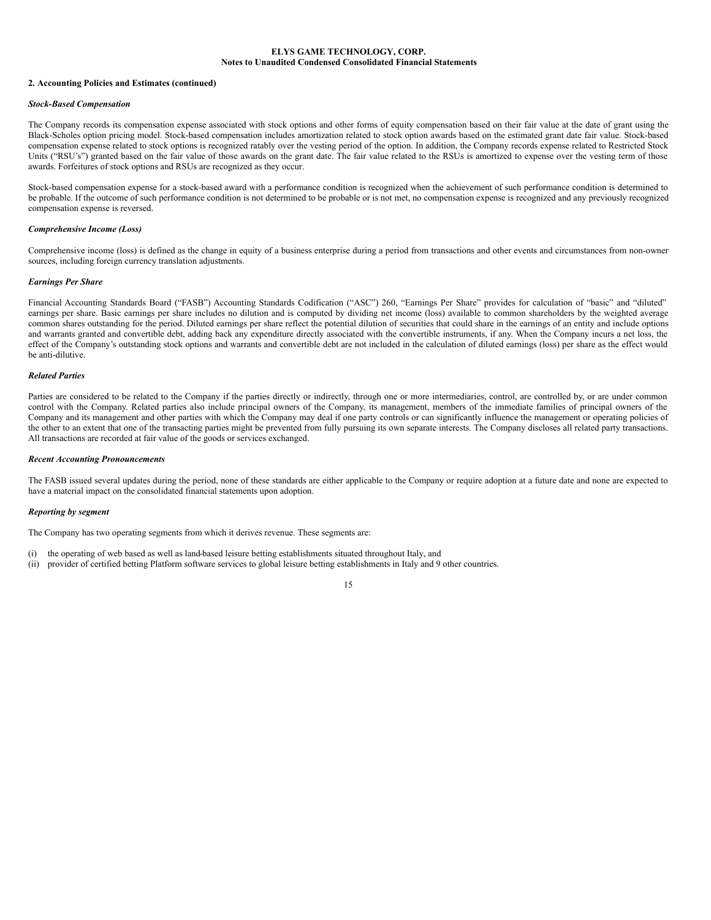# **2. Accounting Policies and Estimates (continued)**

### *Stock-Based Compensation*

The Company records its compensation expense associated with stock options and other forms of equity compensation based on their fair value at the date of grant using the Black-Scholes option pricing model. Stock-based compensation includes amortization related to stock option awards based on the estimated grant date fair value. Stock-based compensation expense related to stock options is recognized ratably over the vesting period of the option. In addition, the Company records expense related to Restricted Stock Units ("RSU's") granted based on the fair value of those awards on the grant date. The fair value related to the RSUs is amortized to expense over the vesting term of those awards. Forfeitures of stock options and RSUs are recognized as they occur.

Stock-based compensation expense for a stock-based award with a performance condition is recognized when the achievement of such performance condition is determined to be probable. If the outcome of such performance condition is not determined to be probable or is not met, no compensation expense is recognized and any previously recognized compensation expense is reversed.

## *Comprehensive Income (Loss)*

Comprehensive income (loss) is defined as the change in equity of a business enterprise during a period from transactions and other events and circumstances from non-owner sources, including foreign currency translation adjustments.

### *Earnings Per Share*

Financial Accounting Standards Board ("FASB") Accounting Standards Codification ("ASC") 260, "Earnings Per Share" provides for calculation of "basic" and "diluted" earnings per share. Basic earnings per share includes no dilution and is computed by dividing net income (loss) available to common shareholders by the weighted average common shares outstanding for the period. Diluted earnings per share reflect the potential dilution of securities that could share in the earnings of an entity and include options and warrants granted and convertible debt, adding back any expenditure directly associated with the convertible instruments, if any. When the Company incurs a net loss, the effect of the Company's outstanding stock options and warrants and convertible debt are not included in the calculation of diluted earnings (loss) per share as the effect would be anti-dilutive.

## *Related Parties*

Parties are considered to be related to the Company if the parties directly or indirectly, through one or more intermediaries, control, are controlled by, or are under common control with the Company. Related parties also include principal owners of the Company, its management, members of the immediate families of principal owners of the Company and its management and other parties with which the Company may deal if one party controls or can significantly influence the management or operating policies of the other to an extent that one of the transacting parties might be prevented from fully pursuing its own separate interests. The Company discloses all related party transactions. All transactions are recorded at fair value of the goods or services exchanged.

## *Recent Accounting Pronouncements*

The FASB issued several updates during the period, none of these standards are either applicable to the Company or require adoption at a future date and none are expected to have a material impact on the consolidated financial statements upon adoption.

### *Reporting by segment*

The Company has two operating segments from which it derives revenue. These segments are:

- (i) the operating of web based as well as land-based leisure betting establishments situated throughout Italy, and
- (ii) provider of certified betting Platform software services to global leisure betting establishments in Italy and 9 other countries.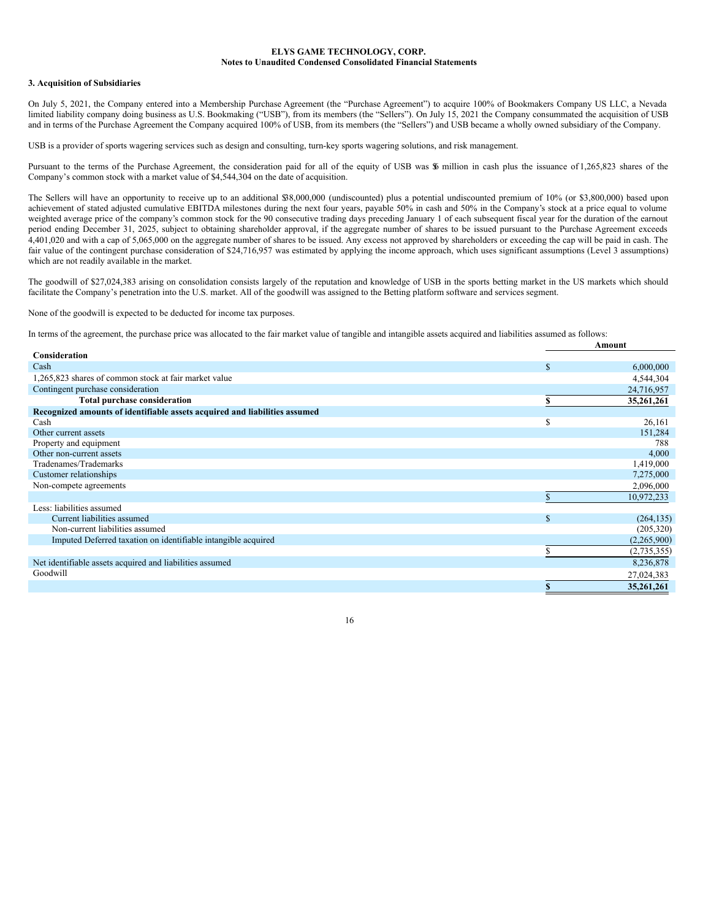## **3. Acquisition of Subsidiaries**

On July 5, 2021, the Company entered into a Membership Purchase Agreement (the "Purchase Agreement") to acquire 100% of Bookmakers Company US LLC, a Nevada limited liability company doing business as U.S. Bookmaking ("USB"), from its members (the "Sellers"). On July 15, 2021 the Company consummated the acquisition of USB and in terms of the Purchase Agreement the Company acquired 100% of USB, from its members (the "Sellers") and USB became a wholly owned subsidiary of the Company.

USB is a provider of sports wagering services such as design and consulting, turn-key sports wagering solutions, and risk management.

Pursuant to the terms of the Purchase Agreement, the consideration paid for all of the equity of USB was \$6 million in cash plus the issuance of 1,265,823 shares of the Company's common stock with a market value of \$4,544,304 on the date of acquisition.

The Sellers will have an opportunity to receive up to an additional \$8,000,000 (undiscounted) plus a potential undiscounted premium of 10% (or \$3,800,000) based upon achievement of stated adjusted cumulative EBITDA milestones during the next four years, payable 50% in cash and 50% in the Company's stock at a price equal to volume weighted average price of the company's common stock for the 90 consecutive trading days preceding January 1 of each subsequent fiscal year for the duration of the earnout period ending December 31, 2025, subject to obtaining shareholder approval, if the aggregate number of shares to be issued pursuant to the Purchase Agreement exceeds 4,401,020 and with a cap of 5,065,000 on the aggregate number of shares to be issued. Any excess not approved by shareholders or exceeding the cap will be paid in cash. The fair value of the contingent purchase consideration of \$24,716,957 was estimated by applying the income approach, which uses significant assumptions (Level 3 assumptions) which are not readily available in the market.

The goodwill of \$27,024,383 arising on consolidation consists largely of the reputation and knowledge of USB in the sports betting market in the US markets which should facilitate the Company's penetration into the U.S. market. All of the goodwill was assigned to the Betting platform software and services segment.

**Amount**

None of the goodwill is expected to be deducted for income tax purposes.

In terms of the agreement, the purchase price was allocated to the fair market value of tangible and intangible assets acquired and liabilities assumed as follows:

| Consideration<br>Cash<br>6,000,000<br>S<br>1,265,823 shares of common stock at fair market value<br>4,544,304<br>Contingent purchase consideration<br>24,716,957<br><b>Total purchase consideration</b><br>\$<br>35,261,261<br>Recognized amounts of identifiable assets acquired and liabilities assumed<br>\$<br>26,161<br>Cash<br>151,284<br>Other current assets<br>Property and equipment<br>788<br>Other non-current assets<br>4,000<br>Tradenames/Trademarks<br>1,419,000<br>Customer relationships<br>7,275,000<br>Non-compete agreements<br>2,096,000<br>10,972,233<br>Less: liabilities assumed<br>Current liabilities assumed<br>\$<br>Non-current liabilities assumed<br>Imputed Deferred taxation on identifiable intangible acquired<br>(2,265,900)<br>(2,735,355)<br>Net identifiable assets acquired and liabilities assumed<br>8,236,878<br>Goodwill<br>27,024,383<br>35,261,261 |  | лшчин      |
|---------------------------------------------------------------------------------------------------------------------------------------------------------------------------------------------------------------------------------------------------------------------------------------------------------------------------------------------------------------------------------------------------------------------------------------------------------------------------------------------------------------------------------------------------------------------------------------------------------------------------------------------------------------------------------------------------------------------------------------------------------------------------------------------------------------------------------------------------------------------------------------------------|--|------------|
|                                                                                                                                                                                                                                                                                                                                                                                                                                                                                                                                                                                                                                                                                                                                                                                                                                                                                                   |  |            |
|                                                                                                                                                                                                                                                                                                                                                                                                                                                                                                                                                                                                                                                                                                                                                                                                                                                                                                   |  |            |
|                                                                                                                                                                                                                                                                                                                                                                                                                                                                                                                                                                                                                                                                                                                                                                                                                                                                                                   |  |            |
|                                                                                                                                                                                                                                                                                                                                                                                                                                                                                                                                                                                                                                                                                                                                                                                                                                                                                                   |  |            |
|                                                                                                                                                                                                                                                                                                                                                                                                                                                                                                                                                                                                                                                                                                                                                                                                                                                                                                   |  |            |
|                                                                                                                                                                                                                                                                                                                                                                                                                                                                                                                                                                                                                                                                                                                                                                                                                                                                                                   |  |            |
|                                                                                                                                                                                                                                                                                                                                                                                                                                                                                                                                                                                                                                                                                                                                                                                                                                                                                                   |  |            |
|                                                                                                                                                                                                                                                                                                                                                                                                                                                                                                                                                                                                                                                                                                                                                                                                                                                                                                   |  |            |
|                                                                                                                                                                                                                                                                                                                                                                                                                                                                                                                                                                                                                                                                                                                                                                                                                                                                                                   |  |            |
|                                                                                                                                                                                                                                                                                                                                                                                                                                                                                                                                                                                                                                                                                                                                                                                                                                                                                                   |  |            |
|                                                                                                                                                                                                                                                                                                                                                                                                                                                                                                                                                                                                                                                                                                                                                                                                                                                                                                   |  |            |
|                                                                                                                                                                                                                                                                                                                                                                                                                                                                                                                                                                                                                                                                                                                                                                                                                                                                                                   |  |            |
|                                                                                                                                                                                                                                                                                                                                                                                                                                                                                                                                                                                                                                                                                                                                                                                                                                                                                                   |  |            |
|                                                                                                                                                                                                                                                                                                                                                                                                                                                                                                                                                                                                                                                                                                                                                                                                                                                                                                   |  |            |
|                                                                                                                                                                                                                                                                                                                                                                                                                                                                                                                                                                                                                                                                                                                                                                                                                                                                                                   |  |            |
|                                                                                                                                                                                                                                                                                                                                                                                                                                                                                                                                                                                                                                                                                                                                                                                                                                                                                                   |  | (264, 135) |
|                                                                                                                                                                                                                                                                                                                                                                                                                                                                                                                                                                                                                                                                                                                                                                                                                                                                                                   |  | (205, 320) |
|                                                                                                                                                                                                                                                                                                                                                                                                                                                                                                                                                                                                                                                                                                                                                                                                                                                                                                   |  |            |
|                                                                                                                                                                                                                                                                                                                                                                                                                                                                                                                                                                                                                                                                                                                                                                                                                                                                                                   |  |            |
|                                                                                                                                                                                                                                                                                                                                                                                                                                                                                                                                                                                                                                                                                                                                                                                                                                                                                                   |  |            |
|                                                                                                                                                                                                                                                                                                                                                                                                                                                                                                                                                                                                                                                                                                                                                                                                                                                                                                   |  |            |
|                                                                                                                                                                                                                                                                                                                                                                                                                                                                                                                                                                                                                                                                                                                                                                                                                                                                                                   |  |            |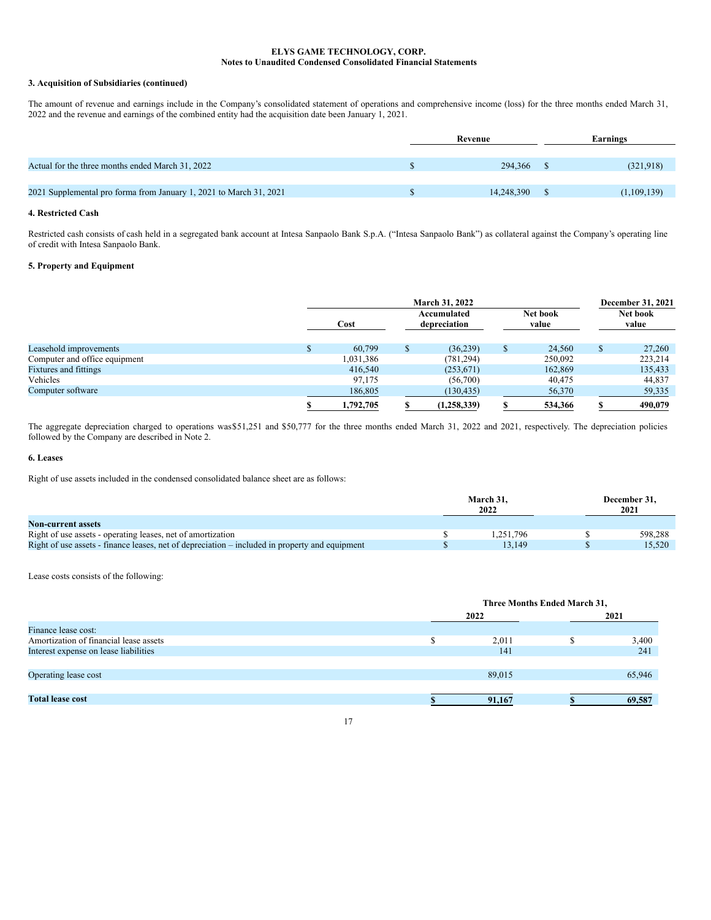# **3. Acquisition of Subsidiaries (continued)**

The amount of revenue and earnings include in the Company's consolidated statement of operations and comprehensive income (loss) for the three months ended March 31, 2022 and the revenue and earnings of the combined entity had the acquisition date been January 1, 2021.

|                                                                    |  | Revenue    |  |             |  | Earnings |
|--------------------------------------------------------------------|--|------------|--|-------------|--|----------|
|                                                                    |  |            |  |             |  |          |
| Actual for the three months ended March 31, 2022                   |  | 294,366 \$ |  | (321, 918)  |  |          |
| 2021 Supplemental pro forma from January 1, 2021 to March 31, 2021 |  | 14.248.390 |  |             |  |          |
|                                                                    |  |            |  | (1,109,139) |  |          |

# **4. Restricted Cash**

Restricted cash consists of cash held in a segregated bank account at Intesa Sanpaolo Bank S.p.A. ("Intesa Sanpaolo Bank") as collateral against the Company's operating line of credit with Intesa Sanpaolo Bank.

# **5. Property and Equipment**

|                               |    | <b>March 31, 2022</b> |  |                                                  |     |         |                   | December 31, 2021 |
|-------------------------------|----|-----------------------|--|--------------------------------------------------|-----|---------|-------------------|-------------------|
|                               |    | Cost                  |  | Net book<br>Accumulated<br>depreciation<br>value |     |         | Net book<br>value |                   |
| Leasehold improvements        | ۰D | 60,799                |  | (36,239)                                         | аħ. | 24.560  | S                 | 27,260            |
| Computer and office equipment |    | 1,031,386             |  | (781, 294)                                       |     | 250,092 |                   | 223,214           |
| <b>Fixtures and fittings</b>  |    | 416,540               |  | (253, 671)                                       |     | 162,869 |                   | 135,433           |
| Vehicles                      |    | 97.175                |  | (56,700)                                         |     | 40,475  |                   | 44,837            |
| Computer software             |    | 186,805               |  | (130, 435)                                       |     | 56,370  |                   | 59,335            |
|                               |    | 1,792,705             |  | (1,258,339)                                      |     | 534,366 |                   | 490,079           |

The aggregate depreciation charged to operations was\$51,251 and \$50,777 for the three months ended March 31, 2022 and 2021, respectively. The depreciation policies followed by the Company are described in Note 2.

# **6. Leases**

Right of use assets included in the condensed consolidated balance sheet are as follows:

|                                                                                                | March 31<br>2022 | December 31.<br>2021 |
|------------------------------------------------------------------------------------------------|------------------|----------------------|
| <b>Non-current assets</b>                                                                      |                  |                      |
| Right of use assets - operating leases, net of amortization                                    | 1.251.796        | 598,288              |
| Right of use assets - finance leases, net of depreciation – included in property and equipment | 13.149           | 15.520               |

Lease costs consists of the following:

|                                        | Three Months Ended March 31, |  |        |  |
|----------------------------------------|------------------------------|--|--------|--|
|                                        | 2022                         |  | 2021   |  |
| Finance lease cost:                    |                              |  |        |  |
| Amortization of financial lease assets | 2,011                        |  | 3,400  |  |
| Interest expense on lease liabilities  | 141                          |  | 241    |  |
|                                        |                              |  |        |  |
| Operating lease cost                   | 89,015                       |  | 65,946 |  |
|                                        |                              |  |        |  |
| <b>Total lease cost</b>                | 91,167                       |  | 69,587 |  |

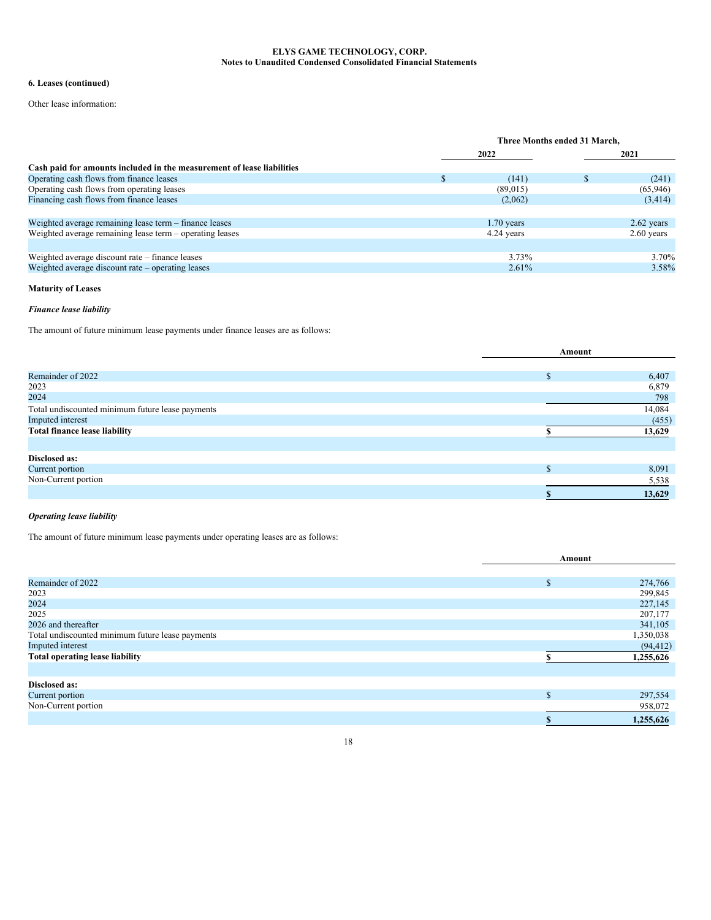# **6. Leases (continued)**

Other lease information:

|                                                                        | Three Months ended 31 March, |  |              |  |
|------------------------------------------------------------------------|------------------------------|--|--------------|--|
|                                                                        | 2022                         |  | 2021         |  |
| Cash paid for amounts included in the measurement of lease liabilities |                              |  |              |  |
| Operating cash flows from finance leases                               | (141)                        |  | (241)        |  |
| Operating cash flows from operating leases                             | (89,015)                     |  | (65, 946)    |  |
| Financing cash flows from finance leases                               | (2,062)                      |  | (3, 414)     |  |
|                                                                        |                              |  |              |  |
| Weighted average remaining lease term – finance leases                 | $1.70$ years                 |  | $2.62$ years |  |
| Weighted average remaining lease term – operating leases               | 4.24 years                   |  | $2.60$ years |  |
|                                                                        |                              |  |              |  |
| Weighted average discount rate - finance leases                        | 3.73%                        |  | 3.70%        |  |
| Weighted average discount rate – operating leases                      | $2.61\%$                     |  | 3.58%        |  |
|                                                                        |                              |  |              |  |

# **Maturity of Leases**

## *Finance lease liability*

The amount of future minimum lease payments under finance leases are as follows:

|                                                  | Amount   |        |  |
|--------------------------------------------------|----------|--------|--|
|                                                  |          |        |  |
| Remainder of 2022                                | <b>S</b> | 6,407  |  |
| 2023                                             |          | 6,879  |  |
| 2024                                             |          | 798    |  |
| Total undiscounted minimum future lease payments |          | 14,084 |  |
| Imputed interest                                 |          | (455)  |  |
| <b>Total finance lease liability</b>             |          | 13,629 |  |
|                                                  |          |        |  |
| Disclosed as:                                    |          |        |  |
| Current portion                                  | $\sigma$ | 8,091  |  |
| Non-Current portion                              |          | 5,538  |  |
|                                                  |          | 13,629 |  |

# *Operating lease liability*

The amount of future minimum lease payments under operating leases are as follows:

|                                                  | Amount |           |
|--------------------------------------------------|--------|-----------|
|                                                  |        |           |
| Remainder of 2022                                | S      | 274,766   |
| 2023                                             |        | 299,845   |
| 2024                                             |        | 227,145   |
| 2025                                             |        | 207,177   |
| 2026 and thereafter                              |        | 341,105   |
| Total undiscounted minimum future lease payments |        | 1,350,038 |
| Imputed interest                                 |        | (94, 412) |
| <b>Total operating lease liability</b>           |        | 1,255,626 |
|                                                  |        |           |
| Disclosed as:                                    |        |           |
| Current portion                                  | \$.    | 297,554   |
| Non-Current portion                              |        | 958,072   |
|                                                  |        | 1,255,626 |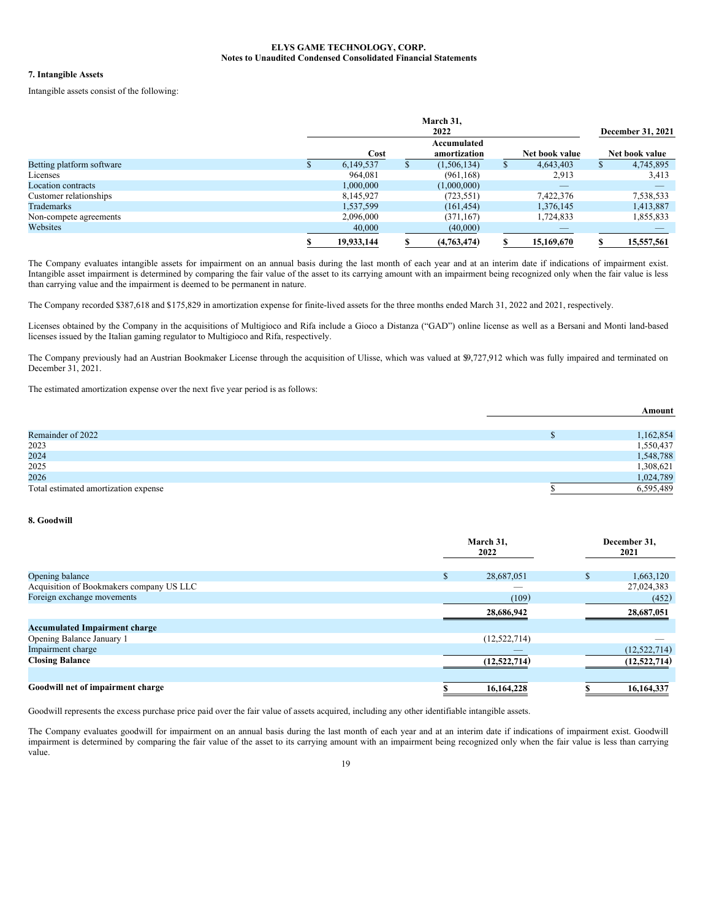## **7. Intangible Assets**

Intangible assets consist of the following:

|                           | March 31,<br>2022 |    |                             |  |                | December 31, 2021 |                |
|---------------------------|-------------------|----|-----------------------------|--|----------------|-------------------|----------------|
|                           | Cost              |    | Accumulated<br>amortization |  | Net book value |                   | Net book value |
| Betting platform software | 6,149,537         | D. | (1,506,134)                 |  | 4,643,403      | ъ                 | 4,745,895      |
| Licenses                  | 964.081           |    | (961, 168)                  |  | 2,913          |                   | 3,413          |
| Location contracts        | 1,000,000         |    | (1,000,000)                 |  | _              |                   |                |
| Customer relationships    | 8,145,927         |    | (723, 551)                  |  | 7,422,376      |                   | 7,538,533      |
| Trademarks                | 1,537,599         |    | (161, 454)                  |  | 1,376,145      |                   | 1,413,887      |
| Non-compete agreements    | 2,096,000         |    | (371, 167)                  |  | 1,724,833      |                   | 1,855,833      |
| Websites                  | 40,000            |    | (40,000)                    |  |                |                   |                |
|                           | 19,933,144        |    | (4,763,474)                 |  | 15,169,670     |                   | 15,557,561     |

The Company evaluates intangible assets for impairment on an annual basis during the last month of each year and at an interim date if indications of impairment exist. Intangible asset impairment is determined by comparing the fair value of the asset to its carrying amount with an impairment being recognized only when the fair value is less than carrying value and the impairment is deemed to be permanent in nature.

The Company recorded \$387,618 and \$175,829 in amortization expense for finite-lived assets for the three months ended March 31, 2022 and 2021, respectively.

Licenses obtained by the Company in the acquisitions of Multigioco and Rifa include a Gioco a Distanza ("GAD") online license as well as a Bersani and Monti land-based licenses issued by the Italian gaming regulator to Multigioco and Rifa, respectively.

The Company previously had an Austrian Bookmaker License through the acquisition of Ulisse, which was valued at \$9,727,912 which was fully impaired and terminated on December 31, 2021.

The estimated amortization expense over the next five year period is as follows:

|                                      |   | Amount    |
|--------------------------------------|---|-----------|
|                                      |   |           |
| Remainder of 2022                    | ш | 1,162,854 |
| 2023                                 |   | 1,550,437 |
| 2024                                 |   | 1,548,788 |
| 2025                                 |   | 1,308,621 |
| 2026                                 |   | 1,024,789 |
| Total estimated amortization expense |   | 6,595,489 |

### **8. Goodwill**

|                                          | March 31,<br>2022 |    | December 31,<br>2021 |
|------------------------------------------|-------------------|----|----------------------|
|                                          |                   |    |                      |
| Opening balance                          | \$<br>28,687,051  | -S | 1,663,120            |
| Acquisition of Bookmakers company US LLC |                   |    | 27,024,383           |
| Foreign exchange movements               | (109)             |    | (452)                |
|                                          | 28,686,942        |    | 28,687,051           |
| <b>Accumulated Impairment charge</b>     |                   |    |                      |
| Opening Balance January 1                | (12, 522, 714)    |    |                      |
| Impairment charge                        |                   |    | (12, 522, 714)       |
| <b>Closing Balance</b>                   | (12, 522, 714)    |    | (12,522,714)         |
|                                          |                   |    |                      |
| Goodwill net of impairment charge        | 16, 164, 228      |    | 16, 164, 337         |

Goodwill represents the excess purchase price paid over the fair value of assets acquired, including any other identifiable intangible assets.

The Company evaluates goodwill for impairment on an annual basis during the last month of each year and at an interim date if indications of impairment exist. Goodwill impairment is determined by comparing the fair value of the asset to its carrying amount with an impairment being recognized only when the fair value is less than carrying value.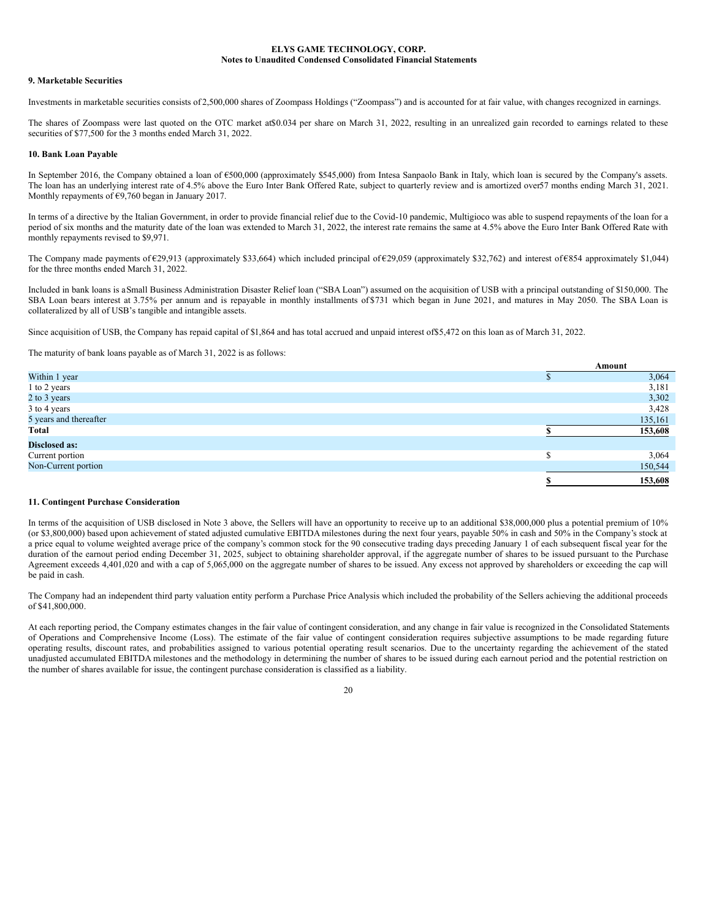# **9. Marketable Securities**

Investments in marketable securities consists of 2,500,000 shares of Zoompass Holdings ("Zoompass") and is accounted for at fair value, with changes recognized in earnings.

The shares of Zoompass were last quoted on the OTC market at\$0.034 per share on March 31, 2022, resulting in an unrealized gain recorded to earnings related to these securities of \$77,500 for the 3 months ended March 31, 2022.

# **10. Bank Loan Payable**

In September 2016, the Company obtained a loan of €500,000 (approximately \$545,000) from Intesa Sanpaolo Bank in Italy, which loan is secured by the Company's assets. The loan has an underlying interest rate of 4.5% above the Euro Inter Bank Offered Rate, subject to quarterly review and is amortized over57 months ending March 31, 2021. Monthly repayments of €9,760 began in January 2017.

In terms of a directive by the Italian Government, in order to provide financial relief due to the Covid-10 pandemic, Multigioco was able to suspend repayments of the loan for a period of six months and the maturity date of the loan was extended to March 31, 2022, the interest rate remains the same at 4.5% above the Euro Inter Bank Offered Rate with monthly repayments revised to \$9,971.

The Company made payments of  $\epsilon$ 29,913 (approximately \$33,664) which included principal of  $\epsilon$ 29,059 (approximately \$32,762) and interest of  $\epsilon$ 854 approximately \$1,044) for the three months ended March 31, 2022.

Included in bank loans is aSmall Business Administration Disaster Relief loan ("SBA Loan") assumed on the acquisition of USB with a principal outstanding of \$150,000. The SBA Loan bears interest at 3.75% per annum and is repayable in monthly installments of \$731 which began in June 2021, and matures in May 2050. The SBA Loan is collateralized by all of USB's tangible and intangible assets.

Since acquisition of USB, the Company has repaid capital of \$1,864 and has total accrued and unpaid interest of\$5,472 on this loan as of March 31, 2022.

The maturity of bank loans payable as of March 31, 2022 is as follows:

|                        |   | Amount  |
|------------------------|---|---------|
| Within 1 year          |   | 3,064   |
| 1 to 2 years           |   | 3,181   |
| 2 to 3 years           |   | 3,302   |
| 3 to 4 years           |   | 3,428   |
| 5 years and thereafter |   | 135,161 |
| Total                  |   | 153,608 |
| <b>Disclosed as:</b>   |   |         |
| Current portion        | S | 3,064   |
| Non-Current portion    |   | 150,544 |
|                        |   | 153,608 |

## **11. Contingent Purchase Consideration**

In terms of the acquisition of USB disclosed in Note 3 above, the Sellers will have an opportunity to receive up to an additional \$38,000,000 plus a potential premium of 10% (or \$3,800,000) based upon achievement of stated adjusted cumulative EBITDA milestones during the next four years, payable 50% in cash and 50% in the Company's stock at a price equal to volume weighted average price of the company's common stock for the 90 consecutive trading days preceding January 1 of each subsequent fiscal year for the duration of the earnout period ending December 31, 2025, subject to obtaining shareholder approval, if the aggregate number of shares to be issued pursuant to the Purchase Agreement exceeds 4,401,020 and with a cap of 5,065,000 on the aggregate number of shares to be issued. Any excess not approved by shareholders or exceeding the cap will be paid in cash.

The Company had an independent third party valuation entity perform a Purchase Price Analysis which included the probability of the Sellers achieving the additional proceeds of \$41,800,000.

At each reporting period, the Company estimates changes in the fair value of contingent consideration, and any change in fair value is recognized in the Consolidated Statements of Operations and Comprehensive Income (Loss). The estimate of the fair value of contingent consideration requires subjective assumptions to be made regarding future operating results, discount rates, and probabilities assigned to various potential operating result scenarios. Due to the uncertainty regarding the achievement of the stated unadjusted accumulated EBITDA milestones and the methodology in determining the number of shares to be issued during each earnout period and the potential restriction on the number of shares available for issue, the contingent purchase consideration is classified as a liability.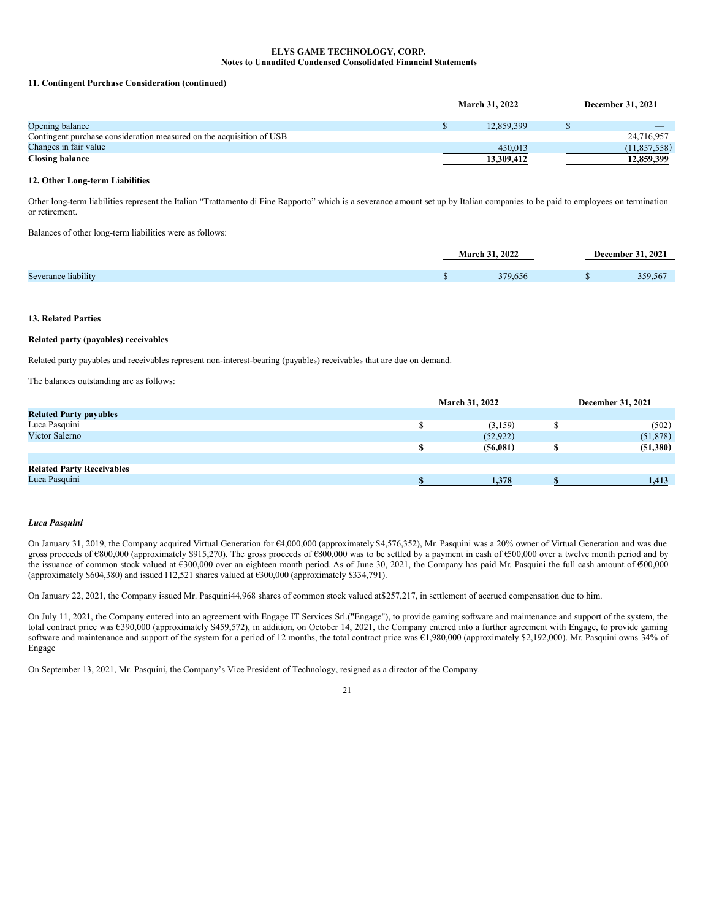# **11. Contingent Purchase Consideration (continued)**

|                                                                      | <b>March 31, 2022</b> |                          | <b>December 31, 2021</b> |  |
|----------------------------------------------------------------------|-----------------------|--------------------------|--------------------------|--|
|                                                                      |                       |                          |                          |  |
| Opening balance                                                      |                       | 12.859.399               |                          |  |
| Contingent purchase consideration measured on the acquisition of USB |                       | $\overline{\phantom{a}}$ | 24,716,957               |  |
| Changes in fair value                                                |                       | 450,013                  | (11, 857, 558)           |  |
| Closing balance                                                      |                       | 13,309,412               | 12,859,399               |  |

## **12. Other Long-term Liabilities**

Other long-term liabilities represent the Italian "Trattamento di Fine Rapporto" which is a severance amount set up by Italian companies to be paid to employees on termination or retirement.

Balances of other long-term liabilities were as follows:

|                                 | March | 2022<br>the contract of the contract of the | $-2021$<br>- -<br>December |  |  |
|---------------------------------|-------|---------------------------------------------|----------------------------|--|--|
|                                 |       |                                             |                            |  |  |
| $\cdots$<br>Severance liability |       | 379,656                                     | 159.56                     |  |  |

# **13. Related Parties**

## **Related party (payables) receivables**

Related party payables and receivables represent non-interest-bearing (payables) receivables that are due on demand.

The balances outstanding are as follows:

|                                  |  | <b>March 31, 2022</b> | December 31, 2021 |  |
|----------------------------------|--|-----------------------|-------------------|--|
| <b>Related Party payables</b>    |  |                       |                   |  |
| Luca Pasquini                    |  | (3,159)               | (502)             |  |
| Victor Salerno                   |  | (52, 922)             | (51, 878)         |  |
|                                  |  | (56,081)              | (51,380)          |  |
|                                  |  |                       |                   |  |
| <b>Related Party Receivables</b> |  |                       |                   |  |
| Luca Pasquini                    |  | 1,378                 | 1,413             |  |

# *Luca Pasquini*

On January 31, 2019, the Company acquired Virtual Generation for €4,000,000 (approximately \$4,576,352), Mr. Pasquini was a 20% owner of Virtual Generation and was due gross proceeds of  $6800,000$  (approximately \$915,270). The gross proceeds of  $6800,000$  was to be settled by a payment in cash of  $600,000$  over a twelve month period and by the issuance of common stock valued at €300,000 over an eighteen month period. As of June 30, 2021, the Company has paid Mr. Pasquini the full cash amount of €00,000 (approximately \$604,380) and issued 112,521 shares valued at €300,000 (approximately \$334,791).

On January 22, 2021, the Company issued Mr. Pasquini44,968 shares of common stock valued at\$257,217, in settlement of accrued compensation due to him.

On July 11, 2021, the Company entered into an agreement with Engage IT Services Srl.("Engage"), to provide gaming software and maintenance and support of the system, the total contract price was €390,000 (approximately \$459,572), in addition, on October 14, 2021, the Company entered into a further agreement with Engage, to provide gaming software and maintenance and support of the system for a period of 12 months, the total contract price was €1,980,000 (approximately \$2,192,000). Mr. Pasquini owns 34% of Engage

On September 13, 2021, Mr. Pasquini, the Company's Vice President of Technology, resigned as a director of the Company.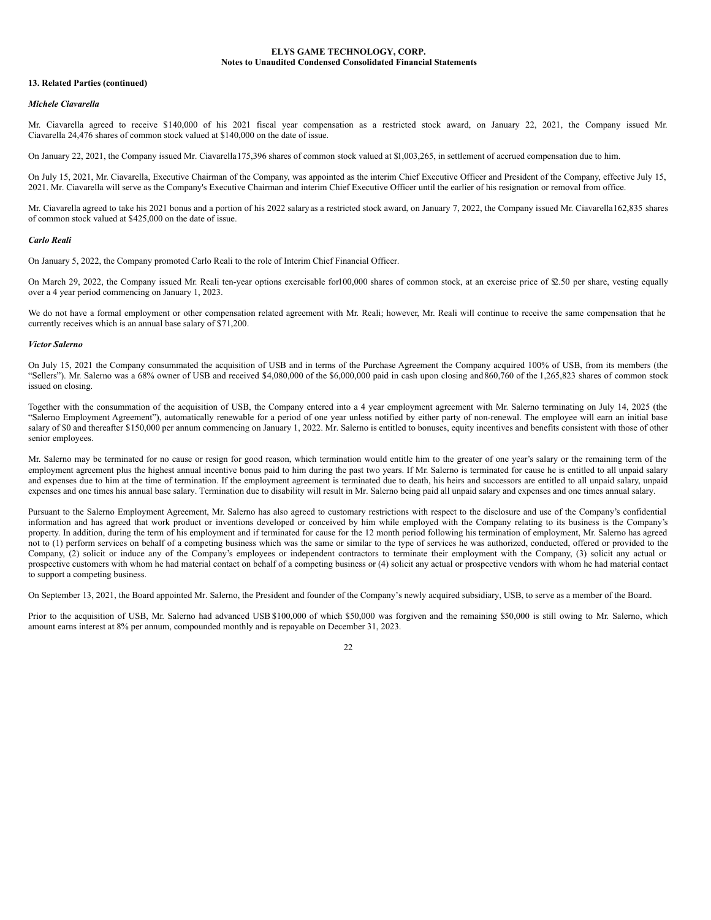## **13. Related Parties (continued)**

# *Michele Ciavarella*

Mr. Ciavarella agreed to receive \$140,000 of his 2021 fiscal year compensation as a restricted stock award, on January 22, 2021, the Company issued Mr. Ciavarella 24,476 shares of common stock valued at \$140,000 on the date of issue.

On January 22, 2021, the Company issued Mr. Ciavarella175,396 shares of common stock valued at \$1,003,265, in settlement of accrued compensation due to him.

On July 15, 2021, Mr. Ciavarella, Executive Chairman of the Company, was appointed as the interim Chief Executive Officer and President of the Company, effective July 15, 2021. Mr. Ciavarella will serve as the Company's Executive Chairman and interim Chief Executive Officer until the earlier of his resignation or removal from office.

Mr. Ciavarella agreed to take his 2021 bonus and a portion of his 2022 salary as a restricted stock award, on January 7, 2022, the Company issued Mr. Ciavarella 162,835 shares of common stock valued at \$425,000 on the date of issue.

### *Carlo Reali*

On January 5, 2022, the Company promoted Carlo Reali to the role of Interim Chief Financial Officer.

On March 29, 2022, the Company issued Mr. Reali ten-year options exercisable for100,000 shares of common stock, at an exercise price of \$2.50 per share, vesting equally over a 4 year period commencing on January 1, 2023.

We do not have a formal employment or other compensation related agreement with Mr. Reali; however, Mr. Reali will continue to receive the same compensation that he currently receives which is an annual base salary of \$71,200.

#### *Victor Salerno*

On July 15, 2021 the Company consummated the acquisition of USB and in terms of the Purchase Agreement the Company acquired 100% of USB, from its members (the "Sellers"). Mr. Salerno was a 68% owner of USB and received \$4,080,000 of the \$6,000,000 paid in cash upon closing and 860,760 of the 1,265,823 shares of common stock issued on closing.

Together with the consummation of the acquisition of USB, the Company entered into a 4 year employment agreement with Mr. Salerno terminating on July 14, 2025 (the "Salerno Employment Agreement"), automatically renewable for a period of one year unless notified by either party of non-renewal. The employee will earn an initial base salary of \$0 and thereafter \$150,000 per annum commencing on January 1, 2022. Mr. Salerno is entitled to bonuses, equity incentives and benefits consistent with those of other senior employees.

Mr. Salerno may be terminated for no cause or resign for good reason, which termination would entitle him to the greater of one year's salary or the remaining term of the employment agreement plus the highest annual incentive bonus paid to him during the past two years. If Mr. Salerno is terminated for cause he is entitled to all unpaid salary and expenses due to him at the time of termination. If the employment agreement is terminated due to death, his heirs and successors are entitled to all unpaid salary, unpaid expenses and one times his annual base salary. Termination due to disability will result in Mr. Salerno being paid all unpaid salary and expenses and one times annual salary.

Pursuant to the Salerno Employment Agreement, Mr. Salerno has also agreed to customary restrictions with respect to the disclosure and use of the Company's confidential information and has agreed that work product or inventions developed or conceived by him while employed with the Company relating to its business is the Company's property. In addition, during the term of his employment and if terminated for cause for the 12 month period following his termination of employment, Mr. Salerno has agreed not to (1) perform services on behalf of a competing business which was the same or similar to the type of services he was authorized, conducted, offered or provided to the Company, (2) solicit or induce any of the Company's employees or independent contractors to terminate their employment with the Company, (3) solicit any actual or prospective customers with whom he had material contact on behalf of a competing business or (4) solicit any actual or prospective vendors with whom he had material contact to support a competing business.

On September 13, 2021, the Board appointed Mr. Salerno, the President and founder of the Company's newly acquired subsidiary, USB, to serve as a member of the Board.

Prior to the acquisition of USB, Mr. Salerno had advanced USB \$100,000 of which \$50,000 was forgiven and the remaining \$50,000 is still owing to Mr. Salerno, which amount earns interest at 8% per annum, compounded monthly and is repayable on December 31, 2023.

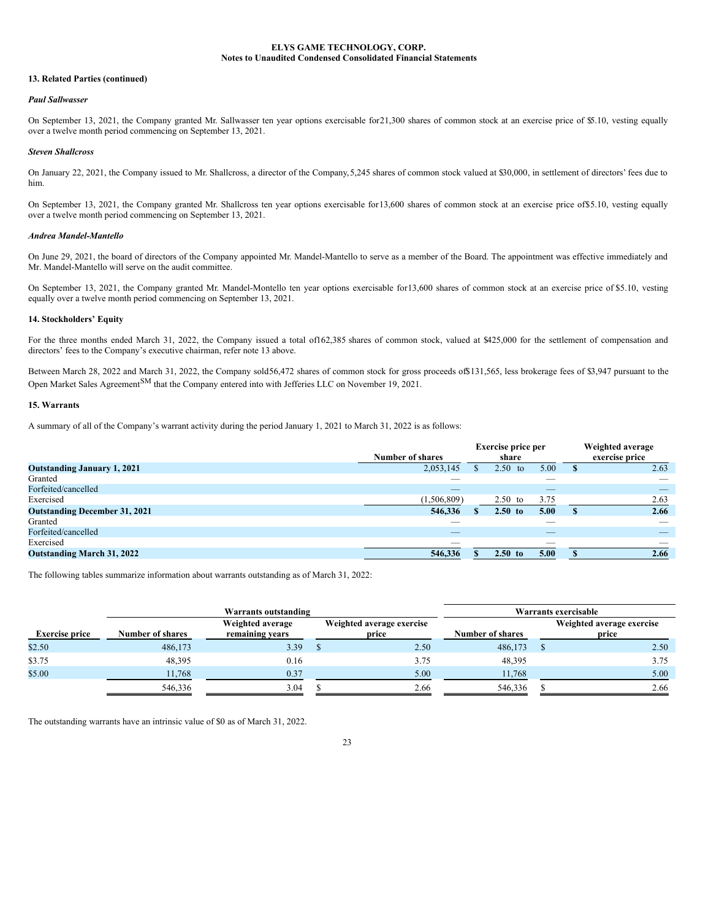## **13. Related Parties (continued)**

## *Paul Sallwasser*

On September 13, 2021, the Company granted Mr. Sallwasser ten year options exercisable for 21,300 shares of common stock at an exercise price of \$5.10, vesting equally over a twelve month period commencing on September 13, 2021.

### *Steven Shallcross*

On January 22, 2021, the Company issued to Mr. Shallcross, a director of the Company,5,245 shares of common stock valued at \$30,000, in settlement of directors' fees due to him.

On September 13, 2021, the Company granted Mr. Shallcross ten year options exercisable for13,600 shares of common stock at an exercise price of\$5.10, vesting equally over a twelve month period commencing on September 13, 2021.

## *Andrea Mandel-Mantello*

On June 29, 2021, the board of directors of the Company appointed Mr. Mandel-Mantello to serve as a member of the Board. The appointment was effective immediately and Mr. Mandel-Mantello will serve on the audit committee.

On September 13, 2021, the Company granted Mr. Mandel-Montello ten year options exercisable for13,600 shares of common stock at an exercise price of \$5.10, vesting equally over a twelve month period commencing on September 13, 2021.

# **14. Stockholders' Equity**

For the three months ended March 31, 2022, the Company issued a total of162,385 shares of common stock, valued at \$425,000 for the settlement of compensation and directors' fees to the Company's executive chairman, refer note 13 above.

Between March 28, 2022 and March 31, 2022, the Company sold56,472 shares of common stock for gross proceeds of\$131,565, less brokerage fees of \$3,947 pursuant to the Open Market Sales Agreement<sup>SM</sup> that the Company entered into with Jefferies LLC on November 19, 2021.

# **15. Warrants**

A summary of all of the Company's warrant activity during the period January 1, 2021 to March 31, 2022 is as follows:

|                                      |                          |  | <b>Exercise price per</b> |                          |                | Weighted average         |  |  |
|--------------------------------------|--------------------------|--|---------------------------|--------------------------|----------------|--------------------------|--|--|
|                                      | Number of shares         |  | share                     |                          | exercise price |                          |  |  |
| <b>Outstanding January 1, 2021</b>   | 2,053,145                |  | $2.50$ to                 | 5.00                     |                | 2.63                     |  |  |
| Granted                              | $\overline{\phantom{a}}$ |  |                           | $\overline{\phantom{a}}$ |                | $\overline{\phantom{a}}$ |  |  |
| Forfeited/cancelled                  | _                        |  |                           | __                       |                | $\overline{\phantom{a}}$ |  |  |
| Exercised                            | (1,506,809)              |  | $2.50$ to                 | 3.75                     |                | 2.63                     |  |  |
| <b>Outstanding December 31, 2021</b> | 546,336                  |  | $2.50$ to                 | 5.00                     |                | 2.66                     |  |  |
| Granted                              | _                        |  |                           | $\overline{\phantom{a}}$ |                | $\overline{\phantom{a}}$ |  |  |
| Forfeited/cancelled                  | _                        |  |                           | $\overline{\phantom{a}}$ |                |                          |  |  |
| Exercised                            | _                        |  |                           | $\overline{\phantom{a}}$ |                | $\overline{\phantom{a}}$ |  |  |
| <b>Outstanding March 31, 2022</b>    | 546,336                  |  | $2.50$ to                 | 5.00                     |                | 2.66                     |  |  |

The following tables summarize information about warrants outstanding as of March 31, 2022:

|                       | Warrants outstanding |                                     |                                    | Warrants exercisable |                         |  |                                    |
|-----------------------|----------------------|-------------------------------------|------------------------------------|----------------------|-------------------------|--|------------------------------------|
| <b>Exercise price</b> | Number of shares     | Weighted average<br>remaining years | Weighted average exercise<br>price |                      | <b>Number of shares</b> |  | Weighted average exercise<br>price |
| \$2.50                | 486,173              | 3.39                                |                                    | 2.50                 | 486,173                 |  | 2.50                               |
| \$3.75                | 48,395               | 0.16                                |                                    | 3.75                 | 48,395                  |  | 3.75                               |
| \$5.00                | 11,768               | 0.37                                |                                    | 5.00                 | 11,768                  |  | 5.00                               |
|                       | 546,336              | 3.04                                |                                    | 2.66                 | 546,336                 |  | 2.66                               |

The outstanding warrants have an intrinsic value of \$0 as of March 31, 2022.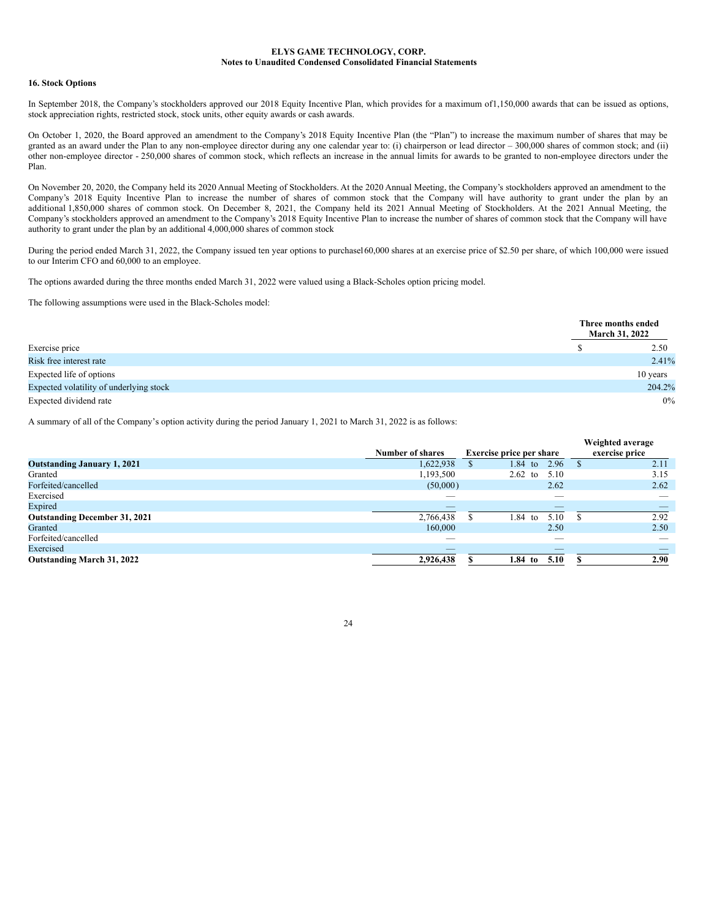# **16. Stock Options**

In September 2018, the Company's stockholders approved our 2018 Equity Incentive Plan, which provides for a maximum of1,150,000 awards that can be issued as options, stock appreciation rights, restricted stock, stock units, other equity awards or cash awards.

On October 1, 2020, the Board approved an amendment to the Company's 2018 Equity Incentive Plan (the "Plan") to increase the maximum number of shares that may be granted as an award under the Plan to any non-employee director during any one calendar year to: (i) chairperson or lead director - 300,000 shares of common stock; and (ii) other non-employee director - 250,000 shares of common stock, which reflects an increase in the annual limits for awards to be granted to non-employee directors under the Plan.

On November 20, 2020, the Company held its 2020 Annual Meeting of Stockholders. At the 2020 Annual Meeting, the Company's stockholders approved an amendment to the Company's 2018 Equity Incentive Plan to increase the number of shares of common stock that the Company will have authority to grant under the plan by an additional 1,850,000 shares of common stock. On December 8, 2021, the Company held its 2021 Annual Meeting of Stockholders. At the 2021 Annual Meeting, the Company's stockholders approved an amendment to the Company's 2018 Equity Incentive Plan to increase the number of shares of common stock that the Company will have authority to grant under the plan by an additional 4,000,000 shares of common stock

During the period ended March 31, 2022, the Company issued ten year options to purchase160,000 shares at an exercise price of \$2.50 per share, of which 100,000 were issued to our Interim CFO and 60,000 to an employee.

The options awarded during the three months ended March 31, 2022 were valued using a Black-Scholes option pricing model.

The following assumptions were used in the Black-Scholes model:

|                                         | Three months ended<br><b>March 31, 2022</b> |        |
|-----------------------------------------|---------------------------------------------|--------|
| Exercise price                          |                                             | 2.50   |
| Risk free interest rate                 |                                             | 2.41%  |
| Expected life of options                | 10 years                                    |        |
| Expected volatility of underlying stock |                                             | 204.2% |
| Expected dividend rate                  |                                             | $0\%$  |

A summary of all of the Company's option activity during the period January 1, 2021 to March 31, 2022 is as follows:

|                                      |                          |                                 |      |                | Weighted average |
|--------------------------------------|--------------------------|---------------------------------|------|----------------|------------------|
|                                      | Number of shares         | <b>Exercise price per share</b> |      | exercise price |                  |
| <b>Outstanding January 1, 2021</b>   | 1,622,938                | 1.84 to                         | 2.96 |                | 2.11             |
| Granted                              | 1,193,500                | 2.62<br>to                      | 5.10 |                | 3.15             |
| Forfeited/cancelled                  | (50,000)                 |                                 | 2.62 |                | 2.62             |
| Exercised                            |                          |                                 | __   |                | _                |
| Expired                              |                          |                                 | _    |                | _                |
| <b>Outstanding December 31, 2021</b> | 2,766,438                | .84<br>to                       | 5.10 |                | 2.92             |
| Granted                              | 160,000                  |                                 | 2.50 |                | 2.50             |
| Forfeited/cancelled                  | $\overline{\phantom{a}}$ |                                 |      |                |                  |
| Exercised                            | $\overline{\phantom{a}}$ |                                 | _    |                | _                |
| <b>Outstanding March 31, 2022</b>    | 2,926,438                | 1.84<br>to                      | 5.10 |                | 2.90             |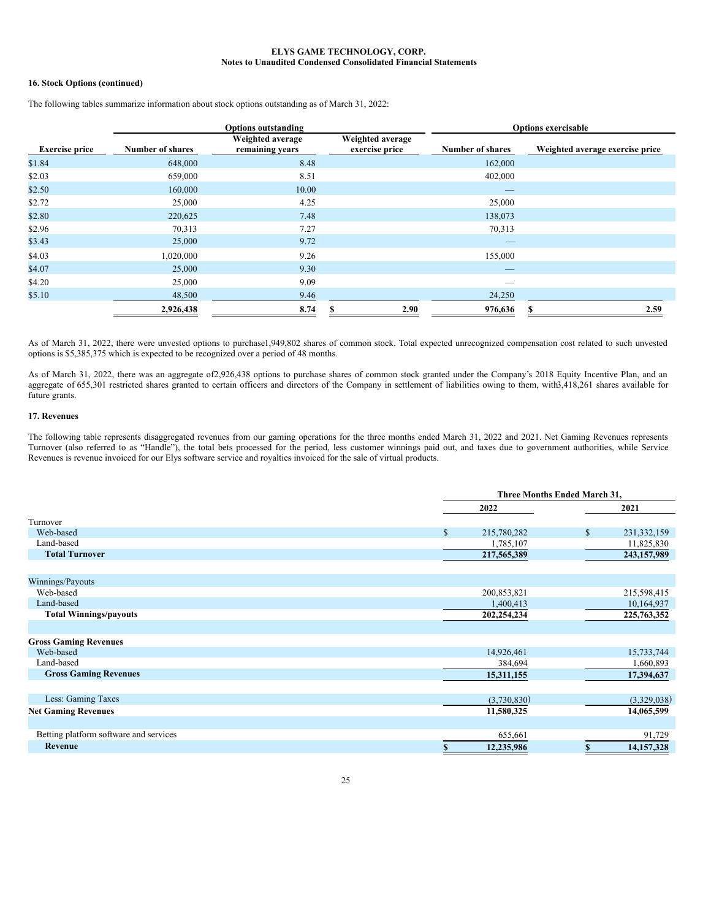# **16. Stock Options (continued)**

The following tables summarize information about stock options outstanding as of March 31, 2022:

|                       |                         | <b>Options outstanding</b>          |                                    |                         | <b>Options exercisable</b>      |
|-----------------------|-------------------------|-------------------------------------|------------------------------------|-------------------------|---------------------------------|
| <b>Exercise price</b> | <b>Number of shares</b> | Weighted average<br>remaining years | Weighted average<br>exercise price | <b>Number of shares</b> | Weighted average exercise price |
| \$1.84                | 648,000                 | 8.48                                |                                    | 162,000                 |                                 |
| \$2.03                | 659,000                 | 8.51                                |                                    | 402,000                 |                                 |
| \$2.50                | 160,000                 | 10.00                               |                                    |                         |                                 |
| \$2.72                | 25,000                  | 4.25                                |                                    | 25,000                  |                                 |
| \$2.80                | 220,625                 | 7.48                                |                                    | 138,073                 |                                 |
| \$2.96                | 70,313                  | 7.27                                |                                    | 70,313                  |                                 |
| \$3.43                | 25,000                  | 9.72                                |                                    |                         |                                 |
| \$4.03                | 1,020,000               | 9.26                                |                                    | 155,000                 |                                 |
| \$4.07                | 25,000                  | 9.30                                |                                    | _                       |                                 |
| \$4.20                | 25,000                  | 9.09                                |                                    |                         |                                 |
| \$5.10                | 48,500                  | 9.46                                |                                    | 24,250                  |                                 |
|                       | 2,926,438               | 8.74                                | 2.90                               | 976,636                 | 2.59                            |

As of March 31, 2022, there were unvested options to purchase1,949,802 shares of common stock. Total expected unrecognized compensation cost related to such unvested options is \$5,385,375 which is expected to be recognized over a period of 48 months.

As of March 31, 2022, there was an aggregate of2,926,438 options to purchase shares of common stock granted under the Company's 2018 Equity Incentive Plan, and an aggregate of 655,301 restricted shares granted to certain officers and directors of the Company in settlement of liabilities owing to them, with3,418,261 shares available for future grants.

# **17. Revenues**

The following table represents disaggregated revenues from our gaming operations for the three months ended March 31, 2022 and 2021. Net Gaming Revenues represents Turnover (also referred to as "Handle"), the total bets processed for the period, less customer winnings paid out, and taxes due to government authorities, while Service Revenues is revenue invoiced for our Elys software service and royalties invoiced for the sale of virtual products.

|                                        |                             | Three Months Ended March 31, |
|----------------------------------------|-----------------------------|------------------------------|
|                                        | 2022                        | 2021                         |
| Turnover                               |                             |                              |
| Web-based                              | $\mathbb{S}$<br>215,780,282 | \$<br>231, 332, 159          |
| Land-based                             | 1,785,107                   | 11,825,830                   |
| <b>Total Turnover</b>                  | 217,565,389                 | 243,157,989                  |
|                                        |                             |                              |
| Winnings/Payouts                       |                             |                              |
| Web-based                              | 200,853,821                 | 215,598,415                  |
| Land-based                             | 1,400,413                   | 10,164,937                   |
| <b>Total Winnings/payouts</b>          | 202,254,234                 | 225,763,352                  |
|                                        |                             |                              |
| <b>Gross Gaming Revenues</b>           |                             |                              |
| Web-based                              | 14,926,461                  | 15,733,744                   |
| Land-based                             | 384,694                     | 1,660,893                    |
| <b>Gross Gaming Revenues</b>           | 15,311,155                  | 17,394,637                   |
|                                        |                             |                              |
| Less: Gaming Taxes                     | (3,730,830)                 | (3,329,038)                  |
| <b>Net Gaming Revenues</b>             | 11,580,325                  | 14,065,599                   |
|                                        |                             |                              |
| Betting platform software and services | 655,661                     | 91,729                       |
| Revenue                                | 12,235,986<br>S             | 14, 157, 328<br>а            |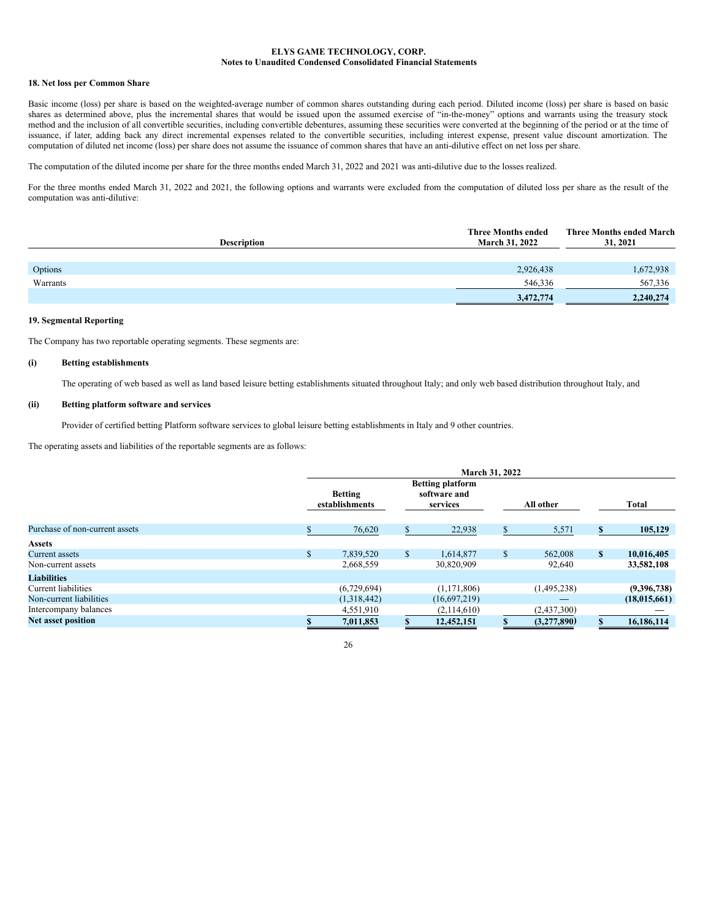# **18. Net loss per Common Share**

Basic income (loss) per share is based on the weighted-average number of common shares outstanding during each period. Diluted income (loss) per share is based on basic shares as determined above, plus the incremental shares that would be issued upon the assumed exercise of "in-the-money" options and warrants using the treasury stock method and the inclusion of all convertible securities, including convertible debentures, assuming these securities were converted at the beginning of the period or at the time of issuance, if later, adding back any direct incremental expenses related to the convertible securities, including interest expense, present value discount amortization. The computation of diluted net income (loss) per share does not assume the issuance of common shares that have an anti-dilutive effect on net loss per share.

The computation of the diluted income per share for the three months ended March 31, 2022 and 2021 was anti-dilutive due to the losses realized.

For the three months ended March 31, 2022 and 2021, the following options and warrants were excluded from the computation of diluted loss per share as the result of the computation was anti-dilutive:

|          | <b>Description</b> | <b>Three Months ended</b><br><b>March 31, 2022</b> | <b>Three Months ended March</b><br>31, 2021 |
|----------|--------------------|----------------------------------------------------|---------------------------------------------|
| Options  |                    | 2,926,438                                          | 1,672,938                                   |
| Warrants |                    | 546,336                                            | 567,336                                     |
|          |                    | 3,472,774                                          | 2,240,274                                   |

# **19. Segmental Reporting**

The Company has two reportable operating segments. These segments are:

# **(i) Betting establishments**

The operating of web based as well as land based leisure betting establishments situated throughout Italy; and only web based distribution throughout Italy, and

# **(ii) Betting platform software and services**

Provider of certified betting Platform software services to global leisure betting establishments in Italy and 9 other countries.

The operating assets and liabilities of the reportable segments are as follows:

|                                | <b>March 31, 2022</b>            |              |                                                                  |              |             |              |                |  |
|--------------------------------|----------------------------------|--------------|------------------------------------------------------------------|--------------|-------------|--------------|----------------|--|
|                                | <b>Betting</b><br>establishments |              | <b>Betting platform</b><br>software and<br>All other<br>services |              |             | Total        |                |  |
| Purchase of non-current assets | 76,620                           | \$           | 22,938                                                           |              | 5,571       | $\mathbf{s}$ | 105,129        |  |
| <b>Assets</b>                  |                                  |              |                                                                  |              |             |              |                |  |
| Current assets                 | \$<br>7,839,520                  | $\mathbb{S}$ | 1,614,877                                                        | $\mathbb{S}$ | 562,008     | $\mathbf{s}$ | 10,016,405     |  |
| Non-current assets             | 2,668,559                        |              | 30,820,909                                                       |              | 92,640      |              | 33,582,108     |  |
| <b>Liabilities</b>             |                                  |              |                                                                  |              |             |              |                |  |
| Current liabilities            | (6,729,694)                      |              | (1,171,806)                                                      |              | (1,495,238) |              | (9,396,738)    |  |
| Non-current liabilities        | (1,318,442)                      |              | (16,697,219)                                                     |              |             |              | (18, 015, 661) |  |
| Intercompany balances          | 4,551,910                        |              | (2,114,610)                                                      |              | (2,437,300) |              |                |  |
| <b>Net asset position</b>      | 7,011,853                        |              | 12,452,151                                                       |              | (3,277,890) |              | 16,186,114     |  |

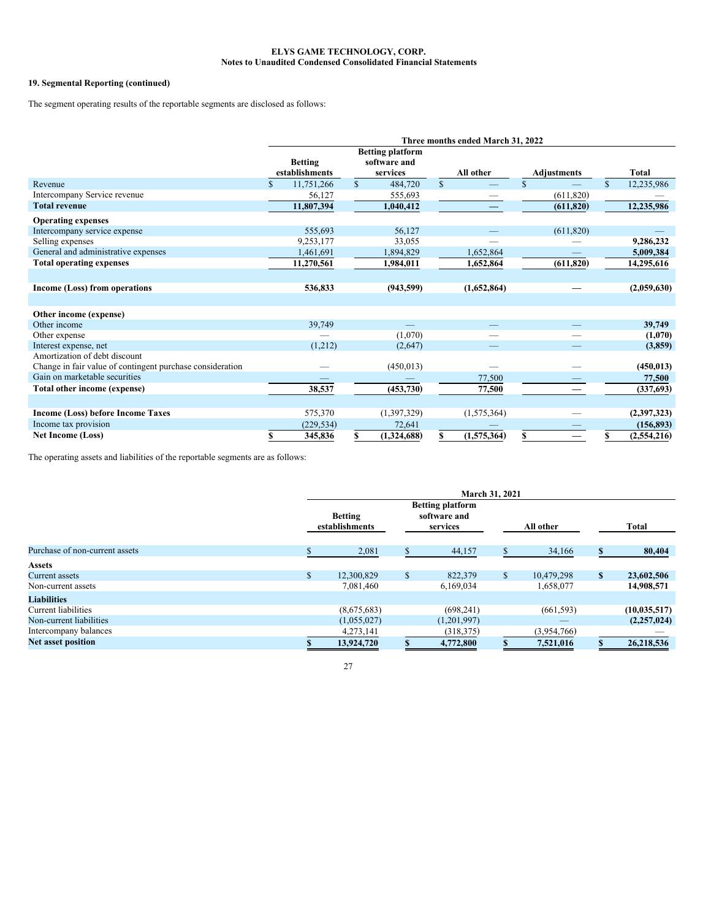# **19. Segmental Reporting (continued)**

The segment operating results of the reportable segments are disclosed as follows:

|                                                           | Three months ended March 31, 2022 |                                                     |                  |                                |                            |  |
|-----------------------------------------------------------|-----------------------------------|-----------------------------------------------------|------------------|--------------------------------|----------------------------|--|
|                                                           | <b>Betting</b><br>establishments  | <b>Betting platform</b><br>software and<br>services | All other        | <b>Adjustments</b>             | <b>Total</b>               |  |
| Revenue                                                   | 11,751,266<br>\$.                 | 484,720<br>$\mathbb{S}$                             | $\mathbf{s}$     | S                              | 12,235,986<br>$\mathbb{S}$ |  |
| Intercompany Service revenue                              | 56,127                            | 555,693                                             |                  | (611, 820)                     |                            |  |
| <b>Total revenue</b>                                      | 11,807,394                        | 1,040,412                                           |                  | (611, 820)                     | 12,235,986                 |  |
| <b>Operating expenses</b>                                 |                                   |                                                     |                  |                                |                            |  |
| Intercompany service expense                              | 555,693                           | 56,127                                              |                  | (611, 820)                     |                            |  |
| Selling expenses                                          | 9,253,177                         | 33,055                                              |                  |                                | 9,286,232                  |  |
| General and administrative expenses                       | 1,461,691                         | 1,894,829                                           | 1,652,864        |                                | 5,009,384                  |  |
| <b>Total operating expenses</b>                           | 11,270,561                        | 1,984,011                                           | 1,652,864        | (611, 820)                     | 14,295,616                 |  |
|                                                           |                                   |                                                     |                  |                                |                            |  |
| Income (Loss) from operations                             | 536,833                           | (943, 599)                                          | (1,652,864)      |                                | (2,059,630)                |  |
|                                                           |                                   |                                                     |                  |                                |                            |  |
| Other income (expense)                                    |                                   |                                                     |                  |                                |                            |  |
| Other income                                              | 39,749                            |                                                     |                  |                                | 39,749                     |  |
| Other expense                                             |                                   | (1,070)                                             |                  |                                | (1,070)                    |  |
| Interest expense, net                                     | (1,212)                           | (2,647)                                             |                  |                                | (3,859)                    |  |
| Amortization of debt discount                             |                                   |                                                     |                  |                                |                            |  |
| Change in fair value of contingent purchase consideration |                                   | (450, 013)                                          |                  |                                | (450, 013)                 |  |
| Gain on marketable securities                             |                                   |                                                     | 77,500           |                                | 77,500                     |  |
| Total other income (expense)                              | 38,537                            | (453,730)                                           | 77,500           |                                | (337, 693)                 |  |
|                                                           |                                   |                                                     |                  |                                |                            |  |
| <b>Income (Loss) before Income Taxes</b>                  | 575,370                           | (1,397,329)                                         | (1,575,364)      |                                | (2,397,323)                |  |
| Income tax provision                                      | (229, 534)                        | 72,641                                              |                  |                                | (156, 893)                 |  |
| <b>Net Income (Loss)</b>                                  | 345,836                           | (1,324,688)                                         | (1,575,364)<br>S | \$<br>$\overline{\phantom{0}}$ | (2,554,216)<br>S           |  |

The operating assets and liabilities of the reportable segments are as follows:

|                                | <b>March 31, 2021</b> |                                  |    |                                                     |              |             |              |                |
|--------------------------------|-----------------------|----------------------------------|----|-----------------------------------------------------|--------------|-------------|--------------|----------------|
|                                |                       | <b>Betting</b><br>establishments |    | <b>Betting platform</b><br>software and<br>services |              | All other   |              | <b>Total</b>   |
| Purchase of non-current assets |                       | 2,081                            |    | 44,157                                              |              | 34,166      |              | 80,404         |
| <b>Assets</b>                  |                       |                                  |    |                                                     |              |             |              |                |
| Current assets                 | \$                    | 12,300,829                       | \$ | 822,379                                             | $\mathbb{S}$ | 10,479,298  | $\mathbf{s}$ | 23,602,506     |
| Non-current assets             |                       | 7,081,460                        |    | 6,169,034                                           |              | 1,658,077   |              | 14,908,571     |
| <b>Liabilities</b>             |                       |                                  |    |                                                     |              |             |              |                |
| Current liabilities            |                       | (8,675,683)                      |    | (698, 241)                                          |              | (661, 593)  |              | (10, 035, 517) |
| Non-current liabilities        |                       | (1,055,027)                      |    | (1,201,997)                                         |              |             |              | (2,257,024)    |
| Intercompany balances          |                       | 4,273,141                        |    | (318, 375)                                          |              | (3,954,766) |              |                |
| <b>Net asset position</b>      |                       | 13,924,720                       |    | 4,772,800                                           |              | 7,521,016   |              | 26,218,536     |

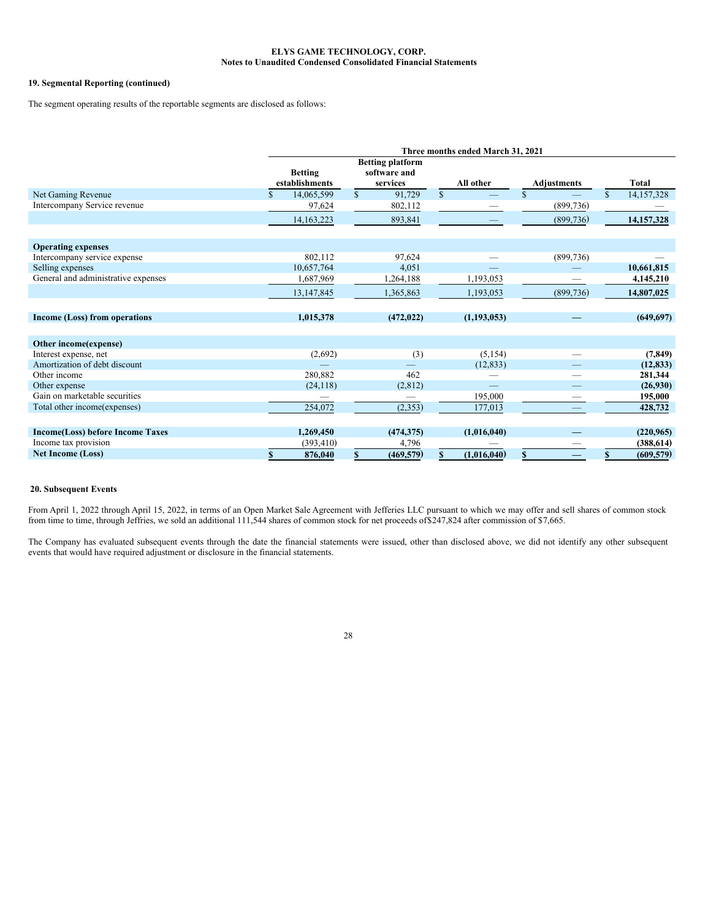# **19. Segmental Reporting (continued)**

The segment operating results of the reportable segments are disclosed as follows:

|                                         | Three months ended March 31, 2021 |                                  |              |                                                     |              |               |               |                    |               |              |
|-----------------------------------------|-----------------------------------|----------------------------------|--------------|-----------------------------------------------------|--------------|---------------|---------------|--------------------|---------------|--------------|
|                                         |                                   | <b>Betting</b><br>establishments |              | <b>Betting platform</b><br>software and<br>services |              | All other     |               | <b>Adjustments</b> |               | Total        |
| Net Gaming Revenue                      |                                   | 14,065,599                       | $\mathbb{S}$ | 91,729                                              | $\mathbb{S}$ |               | $\mathcal{S}$ |                    | $\mathcal{S}$ | 14, 157, 328 |
| Intercompany Service revenue            |                                   | 97,624                           |              | 802,112                                             |              |               |               | (899, 736)         |               |              |
|                                         |                                   | 14, 163, 223                     |              | 893,841                                             |              |               |               | (899, 736)         |               | 14,157,328   |
| <b>Operating expenses</b>               |                                   |                                  |              |                                                     |              |               |               |                    |               |              |
| Intercompany service expense            |                                   | 802,112                          |              | 97,624                                              |              |               |               | (899, 736)         |               |              |
| Selling expenses                        |                                   | 10,657,764                       |              | 4.051                                               |              |               |               |                    |               | 10.661.815   |
| General and administrative expenses     |                                   | 1,687,969                        |              | 1,264,188                                           |              | 1,193,053     |               |                    |               | 4,145,210    |
|                                         |                                   | 13, 147, 845                     |              | 1,365,863                                           |              | 1,193,053     |               | (899, 736)         |               | 14,807,025   |
| Income (Loss) from operations           |                                   | 1,015,378                        |              | (472, 022)                                          |              | (1, 193, 053) |               |                    |               | (649, 697)   |
| Other income(expense)                   |                                   |                                  |              |                                                     |              |               |               |                    |               |              |
| Interest expense, net                   |                                   | (2,692)                          |              | (3)                                                 |              | (5, 154)      |               |                    |               | (7, 849)     |
| Amortization of debt discount           |                                   |                                  |              |                                                     |              | (12, 833)     |               |                    |               | (12, 833)    |
| Other income                            |                                   | 280.882                          |              | 462                                                 |              |               |               |                    |               | 281,344      |
| Other expense                           |                                   | (24, 118)                        |              | (2,812)                                             |              |               |               |                    |               | (26,930)     |
| Gain on marketable securities           |                                   |                                  |              |                                                     |              | 195,000       |               |                    |               | 195,000      |
| Total other income(expenses)            |                                   | 254,072                          |              | (2, 353)                                            |              | 177,013       |               |                    |               | 428,732      |
| <b>Income(Loss)</b> before Income Taxes |                                   | 1,269,450                        |              | (474, 375)                                          |              | (1,016,040)   |               |                    |               | (220, 965)   |
| Income tax provision                    |                                   | (393, 410)                       |              | 4,796                                               |              |               |               |                    |               | (388, 614)   |
| <b>Net Income (Loss)</b>                |                                   | 876,040                          |              | (469, 579)                                          | S            | (1,016,040)   | S             |                    |               | (609, 579)   |

# **20. Subsequent Events**

From April 1, 2022 through April 15, 2022, in terms of an Open Market Sale Agreement with Jefferies LLC pursuant to which we may offer and sell shares of common stock from time to time, through Jeffries, we sold an additional 111,544 shares of common stock for net proceeds of\$247,824 after commission of \$7,665.

The Company has evaluated subsequent events through the date the financial statements were issued, other than disclosed above, we did not identify any other subsequent events that would have required adjustment or disclosure in the financial statements.

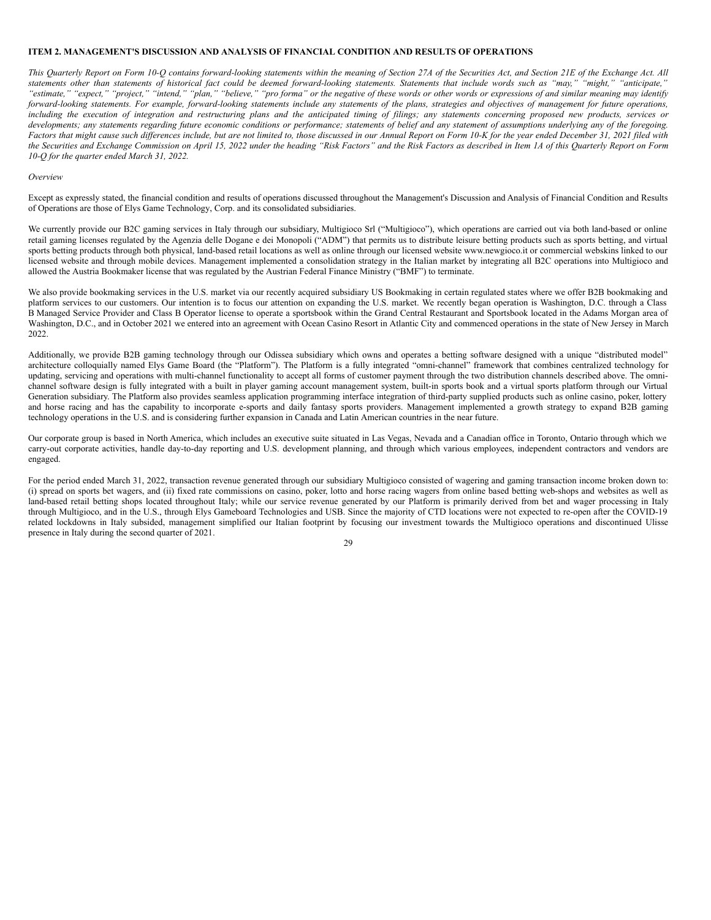## **ITEM 2. MANAGEMENT'S DISCUSSION AND ANALYSIS OF FINANCIAL CONDITION AND RESULTS OF OPERATIONS**

This Quarterly Report on Form 10-Q contains forward-looking statements within the meaning of Section 27A of the Securities Act, and Section 21E of the Exchange Act. All statements other than statements of historical fact could be deemed forward-looking statements. Statements that include words such as "may," "might," "anticipate," "estimate," "expect," "project," "intend," "plan," "believe," "pro forma" or the negative of these words or other words or expressions of and similar meaning may identify forward-looking statements. For example, forward-looking statements include any statements of the plans, strategies and objectives of management for future operations, including the execution of integration and restructuring plans and the anticipated timing of filings; any statements concerning proposed new products, services or developments; any statements regarding future economic conditions or performance; statements of belief and any statement of assumptions underlying any of the foregoing. Factors that might cause such differences include, but are not limited to, those discussed in our Annual Report on Form 10-K for the year ended December 31, 2021 filed with the Securities and Exchange Commission on April 15, 2022 under the heading "Risk Factors" and the Risk Factors as described in Item 1A of this Quarterly Report on Form *10-Q for the quarter ended March 31, 2022.*

## *Overview*

Except as expressly stated, the financial condition and results of operations discussed throughout the Management's Discussion and Analysis of Financial Condition and Results of Operations are those of Elys Game Technology, Corp. and its consolidated subsidiaries.

We currently provide our B2C gaming services in Italy through our subsidiary, Multigioco Srl ("Multigioco"), which operations are carried out via both land-based or online retail gaming licenses regulated by the Agenzia delle Dogane e dei Monopoli ("ADM") that permits us to distribute leisure betting products such as sports betting, and virtual sports betting products through both physical, land-based retail locations as well as online through our licensed website www.newgioco.it or commercial webskins linked to our licensed website and through mobile devices. Management implemented a consolidation strategy in the Italian market by integrating all B2C operations into Multigioco and allowed the Austria Bookmaker license that was regulated by the Austrian Federal Finance Ministry ("BMF") to terminate.

We also provide bookmaking services in the U.S. market via our recently acquired subsidiary US Bookmaking in certain regulated states where we offer B2B bookmaking and platform services to our customers. Our intention is to focus our attention on expanding the U.S. market. We recently began operation is Washington, D.C. through a Class B Managed Service Provider and Class B Operator license to operate a sportsbook within the Grand Central Restaurant and Sportsbook located in the Adams Morgan area of Washington, D.C., and in October 2021 we entered into an agreement with Ocean Casino Resort in Atlantic City and commenced operations in the state of New Jersey in March 2022.

Additionally, we provide B2B gaming technology through our Odissea subsidiary which owns and operates a betting software designed with a unique "distributed model" architecture colloquially named Elys Game Board (the "Platform"). The Platform is a fully integrated "omni-channel" framework that combines centralized technology for updating, servicing and operations with multi-channel functionality to accept all forms of customer payment through the two distribution channels described above. The omnichannel software design is fully integrated with a built in player gaming account management system, built-in sports book and a virtual sports platform through our Virtual Generation subsidiary. The Platform also provides seamless application programming interface integration of third-party supplied products such as online casino, poker, lottery and horse racing and has the capability to incorporate e-sports and daily fantasy sports providers. Management implemented a growth strategy to expand B2B gaming technology operations in the U.S. and is considering further expansion in Canada and Latin American countries in the near future.

Our corporate group is based in North America, which includes an executive suite situated in Las Vegas, Nevada and a Canadian office in Toronto, Ontario through which we carry-out corporate activities, handle day-to-day reporting and U.S. development planning, and through which various employees, independent contractors and vendors are engaged.

For the period ended March 31, 2022, transaction revenue generated through our subsidiary Multigioco consisted of wagering and gaming transaction income broken down to: (i) spread on sports bet wagers, and (ii) fixed rate commissions on casino, poker, lotto and horse racing wagers from online based betting web-shops and websites as well as land-based retail betting shops located throughout Italy; while our service revenue generated by our Platform is primarily derived from bet and wager processing in Italy through Multigioco, and in the U.S., through Elys Gameboard Technologies and USB. Since the majority of CTD locations were not expected to re-open after the COVID-19 related lockdowns in Italy subsided, management simplified our Italian footprint by focusing our investment towards the Multigioco operations and discontinued Ulisse presence in Italy during the second quarter of 2021.

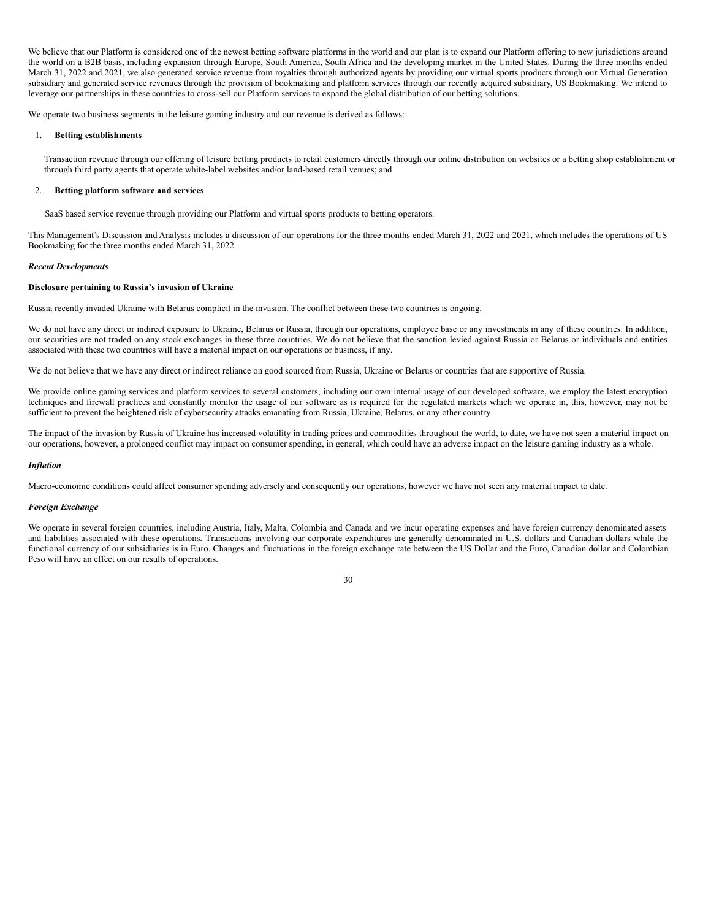We believe that our Platform is considered one of the newest betting software platforms in the world and our plan is to expand our Platform offering to new jurisdictions around the world on a B2B basis, including expansion through Europe, South America, South Africa and the developing market in the United States. During the three months ended March 31, 2022 and 2021, we also generated service revenue from royalties through authorized agents by providing our virtual sports products through our Virtual Generation subsidiary and generated service revenues through the provision of bookmaking and platform services through our recently acquired subsidiary, US Bookmaking. We intend to leverage our partnerships in these countries to cross-sell our Platform services to expand the global distribution of our betting solutions.

We operate two business segments in the leisure gaming industry and our revenue is derived as follows:

## 1. **Betting establishments**

Transaction revenue through our offering of leisure betting products to retail customers directly through our online distribution on websites or a betting shop establishment or through third party agents that operate white-label websites and/or land-based retail venues; and

## 2. **Betting platform software and services**

SaaS based service revenue through providing our Platform and virtual sports products to betting operators.

This Management's Discussion and Analysis includes a discussion of our operations for the three months ended March 31, 2022 and 2021, which includes the operations of US Bookmaking for the three months ended March 31, 2022.

## *Recent Developments*

### **Disclosure pertaining to Russia's invasion of Ukraine**

Russia recently invaded Ukraine with Belarus complicit in the invasion. The conflict between these two countries is ongoing.

We do not have any direct or indirect exposure to Ukraine, Belarus or Russia, through our operations, employee base or any investments in any of these countries. In addition, our securities are not traded on any stock exchanges in these three countries. We do not believe that the sanction levied against Russia or Belarus or individuals and entities associated with these two countries will have a material impact on our operations or business, if any.

We do not believe that we have any direct or indirect reliance on good sourced from Russia, Ukraine or Belarus or countries that are supportive of Russia.

We provide online gaming services and platform services to several customers, including our own internal usage of our developed software, we employ the latest encryption techniques and firewall practices and constantly monitor the usage of our software as is required for the regulated markets which we operate in, this, however, may not be sufficient to prevent the heightened risk of cybersecurity attacks emanating from Russia, Ukraine, Belarus, or any other country.

The impact of the invasion by Russia of Ukraine has increased volatility in trading prices and commodities throughout the world, to date, we have not seen a material impact on our operations, however, a prolonged conflict may impact on consumer spending, in general, which could have an adverse impact on the leisure gaming industry as a whole.

### *Inflation*

Macro-economic conditions could affect consumer spending adversely and consequently our operations, however we have not seen any material impact to date.

#### *Foreign Exchange*

We operate in several foreign countries, including Austria, Italy, Malta, Colombia and Canada and we incur operating expenses and have foreign currency denominated assets and liabilities associated with these operations. Transactions involving our corporate expenditures are generally denominated in U.S. dollars and Canadian dollars while the functional currency of our subsidiaries is in Euro. Changes and fluctuations in the foreign exchange rate between the US Dollar and the Euro, Canadian dollar and Colombian Peso will have an effect on our results of operations.

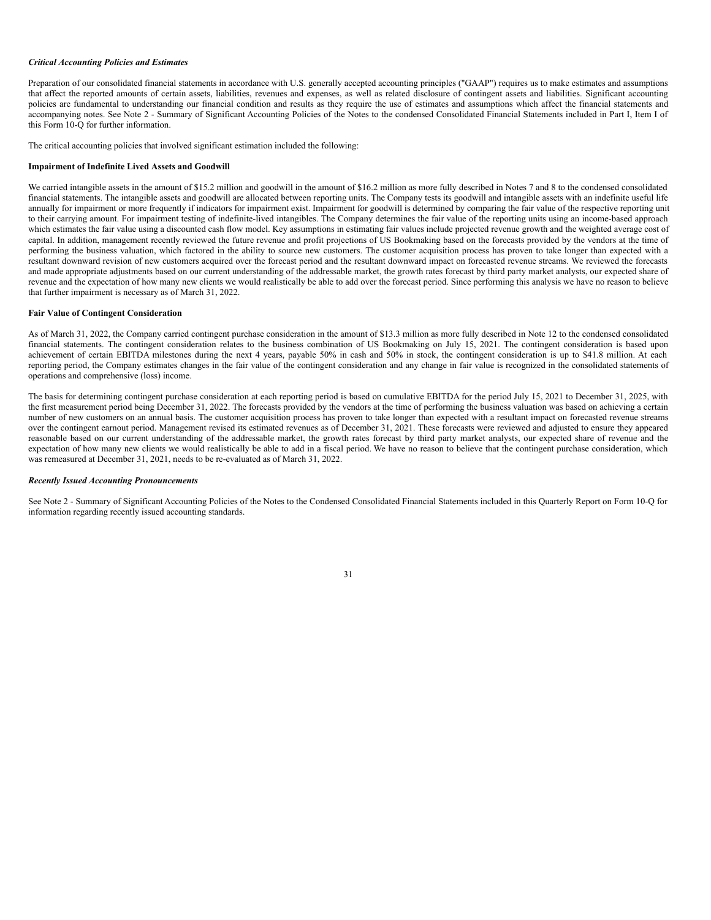## *Critical Accounting Policies and Estimates*

Preparation of our consolidated financial statements in accordance with U.S. generally accepted accounting principles ("GAAP") requires us to make estimates and assumptions that affect the reported amounts of certain assets, liabilities, revenues and expenses, as well as related disclosure of contingent assets and liabilities. Significant accounting policies are fundamental to understanding our financial condition and results as they require the use of estimates and assumptions which affect the financial statements and accompanying notes. See Note 2 - Summary of Significant Accounting Policies of the Notes to the condensed Consolidated Financial Statements included in Part I, Item I of this Form 10-Q for further information.

The critical accounting policies that involved significant estimation included the following:

## **Impairment of Indefinite Lived Assets and Goodwill**

We carried intangible assets in the amount of \$15.2 million and goodwill in the amount of \$16.2 million as more fully described in Notes 7 and 8 to the condensed consolidated financial statements. The intangible assets and goodwill are allocated between reporting units. The Company tests its goodwill and intangible assets with an indefinite useful life annually for impairment or more frequently if indicators for impairment exist. Impairment for goodwill is determined by comparing the fair value of the respective reporting unit to their carrying amount. For impairment testing of indefinite-lived intangibles. The Company determines the fair value of the reporting units using an income-based approach which estimates the fair value using a discounted cash flow model. Key assumptions in estimating fair values include projected revenue growth and the weighted average cost of capital. In addition, management recently reviewed the future revenue and profit projections of US Bookmaking based on the forecasts provided by the vendors at the time of performing the business valuation, which factored in the ability to source new customers. The customer acquisition process has proven to take longer than expected with a resultant downward revision of new customers acquired over the forecast period and the resultant downward impact on forecasted revenue streams. We reviewed the forecasts and made appropriate adjustments based on our current understanding of the addressable market, the growth rates forecast by third party market analysts, our expected share of revenue and the expectation of how many new clients we would realistically be able to add over the forecast period. Since performing this analysis we have no reason to believe that further impairment is necessary as of March 31, 2022.

## **Fair Value of Contingent Consideration**

As of March 31, 2022, the Company carried contingent purchase consideration in the amount of \$13.3 million as more fully described in Note 12 to the condensed consolidated financial statements. The contingent consideration relates to the business combination of US Bookmaking on July 15, 2021. The contingent consideration is based upon achievement of certain EBITDA milestones during the next 4 years, payable 50% in cash and 50% in stock, the contingent consideration is up to \$41.8 million. At each reporting period, the Company estimates changes in the fair value of the contingent consideration and any change in fair value is recognized in the consolidated statements of operations and comprehensive (loss) income.

The basis for determining contingent purchase consideration at each reporting period is based on cumulative EBITDA for the period July 15, 2021 to December 31, 2025, with the first measurement period being December 31, 2022. The forecasts provided by the vendors at the time of performing the business valuation was based on achieving a certain number of new customers on an annual basis. The customer acquisition process has proven to take longer than expected with a resultant impact on forecasted revenue streams over the contingent earnout period. Management revised its estimated revenues as of December 31, 2021. These forecasts were reviewed and adjusted to ensure they appeared reasonable based on our current understanding of the addressable market, the growth rates forecast by third party market analysts, our expected share of revenue and the expectation of how many new clients we would realistically be able to add in a fiscal period. We have no reason to believe that the contingent purchase consideration, which was remeasured at December 31, 2021, needs to be re-evaluated as of March 31, 2022.

### *Recently Issued Accounting Pronouncements*

See Note 2 - Summary of Significant Accounting Policies of the Notes to the Condensed Consolidated Financial Statements included in this Quarterly Report on Form 10-Q for information regarding recently issued accounting standards.

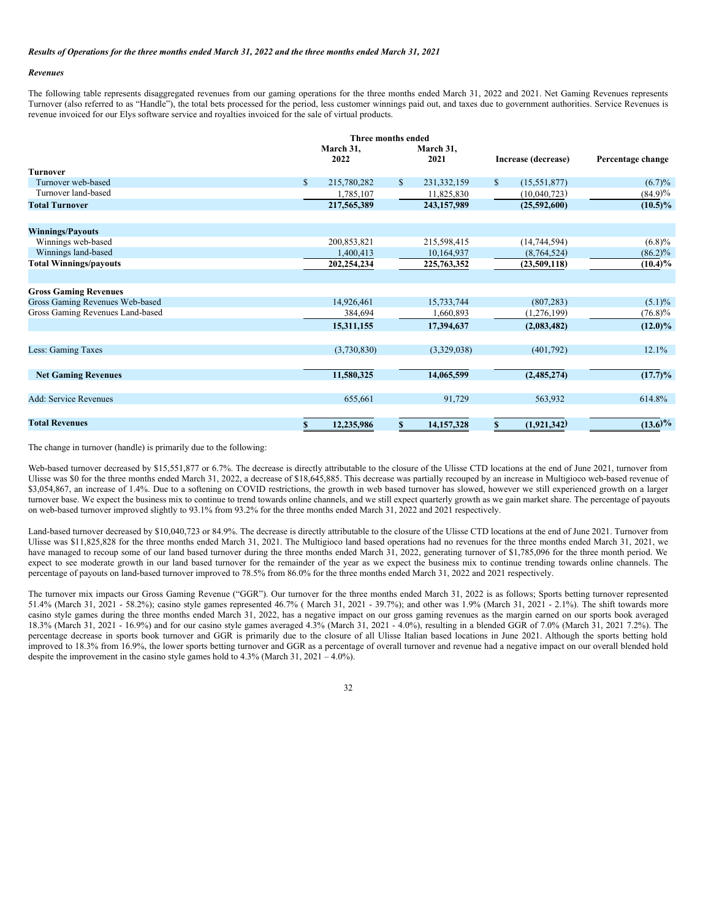## Results of Operations for the three months ended March 31, 2022 and the three months ended March 31, 2021

### *Revenues*

The following table represents disaggregated revenues from our gaming operations for the three months ended March 31, 2022 and 2021. Net Gaming Revenues represents Turnover (also referred to as "Handle"), the total bets processed for the period, less customer winnings paid out, and taxes due to government authorities. Service Revenues is revenue invoiced for our Elys software service and royalties invoiced for the sale of virtual products.

|                                  | Three months ended |                   |              |                   |              |                     |                   |
|----------------------------------|--------------------|-------------------|--------------|-------------------|--------------|---------------------|-------------------|
|                                  |                    | March 31,<br>2022 |              | March 31,<br>2021 |              | Increase (decrease) | Percentage change |
| <b>Turnover</b>                  |                    |                   |              |                   |              |                     |                   |
| Turnover web-based               | \$                 | 215,780,282       | $\mathbb{S}$ | 231,332,159       | $\mathbb{S}$ | (15, 551, 877)      | $(6.7)\%$         |
| Turnover land-based              |                    | 1,785,107         |              | 11,825,830        |              | (10,040,723)        | $(84.9)\%$        |
| <b>Total Turnover</b>            |                    | 217,565,389       |              | 243,157,989       |              | (25,592,600)        | $(10.5)\%$        |
| <b>Winnings/Payouts</b>          |                    |                   |              |                   |              |                     |                   |
| Winnings web-based               |                    | 200,853,821       |              | 215,598,415       |              | (14, 744, 594)      | $(6.8)\%$         |
| Winnings land-based              |                    | 1,400,413         |              | 10,164,937        |              | (8,764,524)         | $(86.2)\%$        |
| <b>Total Winnings/payouts</b>    |                    | 202,254,234       |              | 225,763,352       |              | (23,509,118)        | $(10.4)\%$        |
| <b>Gross Gaming Revenues</b>     |                    |                   |              |                   |              |                     |                   |
| Gross Gaming Revenues Web-based  |                    | 14,926,461        |              | 15,733,744        |              | (807, 283)          | $(5.1)\%$         |
| Gross Gaming Revenues Land-based |                    | 384,694           |              | 1,660,893         |              | (1,276,199)         | $(76.8)\%$        |
|                                  |                    | 15,311,155        |              | 17,394,637        |              | (2,083,482)         | $(12.0)\%$        |
| Less: Gaming Taxes               |                    | (3,730,830)       |              | (3,329,038)       |              | (401,792)           | 12.1%             |
|                                  |                    | 11,580,325        |              | 14,065,599        |              | (2,485,274)         | $(17.7)\%$        |
| <b>Net Gaming Revenues</b>       |                    |                   |              |                   |              |                     |                   |
| <b>Add: Service Revenues</b>     |                    | 655,661           |              | 91,729            |              | 563,932             | 614.8%            |
| <b>Total Revenues</b>            | S                  | 12,235,986        |              | 14, 157, 328      | \$           | (1,921,342)         | $(13.6)\%$        |

The change in turnover (handle) is primarily due to the following:

Web-based turnover decreased by \$15,551,877 or 6.7%. The decrease is directly attributable to the closure of the Ulisse CTD locations at the end of June 2021, turnover from Ulisse was \$0 for the three months ended March 31, 2022, a decrease of \$18,645,885. This decrease was partially recouped by an increase in Multigioco web-based revenue of \$3,054,867, an increase of 1.4%. Due to a softening on COVID restrictions, the growth in web based turnover has slowed, however we still experienced growth on a larger turnover base. We expect the business mix to continue to trend towards online channels, and we still expect quarterly growth as we gain market share. The percentage of payouts on web-based turnover improved slightly to 93.1% from 93.2% for the three months ended March 31, 2022 and 2021 respectively.

Land-based turnover decreased by \$10,040,723 or 84.9%. The decrease is directly attributable to the closure of the Ulisse CTD locations at the end of June 2021. Turnover from Ulisse was \$11,825,828 for the three months ended March 31, 2021. The Multigioco land based operations had no revenues for the three months ended March 31, 2021, we have managed to recoup some of our land based turnover during the three months ended March 31, 2022, generating turnover of \$1,785,096 for the three month period. We expect to see moderate growth in our land based turnover for the remainder of the year as we expect the business mix to continue trending towards online channels. The percentage of payouts on land-based turnover improved to 78.5% from 86.0% for the three months ended March 31, 2022 and 2021 respectively.

The turnover mix impacts our Gross Gaming Revenue ("GGR"). Our turnover for the three months ended March 31, 2022 is as follows; Sports betting turnover represented 51.4% (March 31, 2021 - 58.2%); casino style games represented 46.7% ( March 31, 2021 - 39.7%); and other was 1.9% (March 31, 2021 - 2.1%). The shift towards more casino style games during the three months ended March 31, 2022, has a negative impact on our gross gaming revenues as the margin earned on our sports book averaged 18.3% (March 31, 2021 - 16.9%) and for our casino style games averaged 4.3% (March 31, 2021 - 4.0%), resulting in a blended GGR of 7.0% (March 31, 2021 7.2%). The percentage decrease in sports book turnover and GGR is primarily due to the closure of all Ulisse Italian based locations in June 2021. Although the sports betting hold improved to 18.3% from 16.9%, the lower sports betting turnover and GGR as a percentage of overall turnover and revenue had a negative impact on our overall blended hold despite the improvement in the casino style games hold to  $4.3\%$  (March  $31, 2021 - 4.0\%$ ).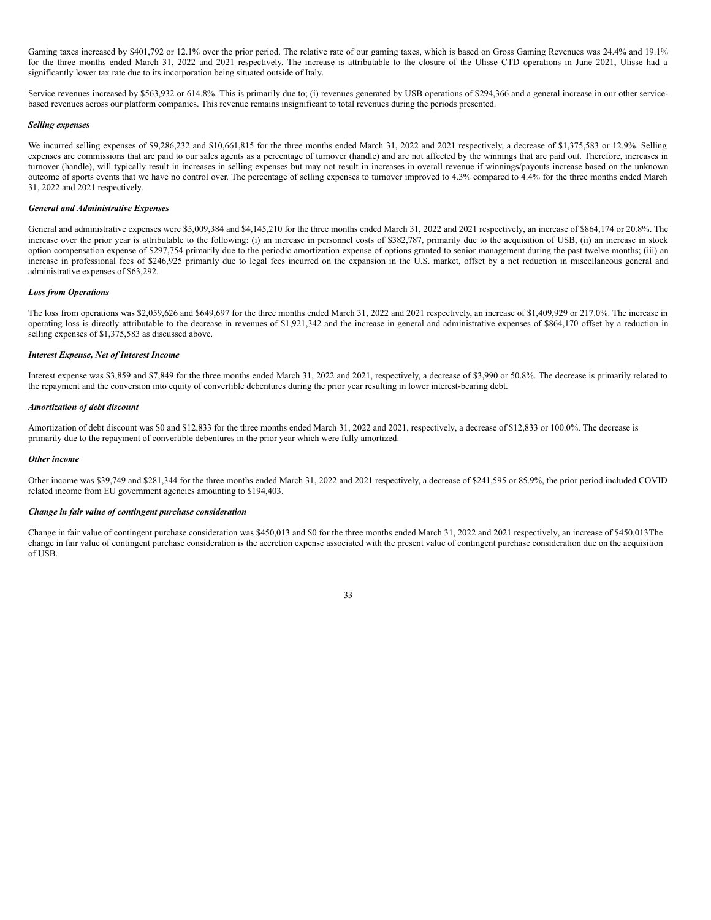Gaming taxes increased by \$401,792 or 12.1% over the prior period. The relative rate of our gaming taxes, which is based on Gross Gaming Revenues was 24.4% and 19.1% for the three months ended March 31, 2022 and 2021 respectively. The increase is attributable to the closure of the Ulisse CTD operations in June 2021, Ulisse had a significantly lower tax rate due to its incorporation being situated outside of Italy.

Service revenues increased by \$563,932 or 614.8%. This is primarily due to; (i) revenues generated by USB operations of \$294,366 and a general increase in our other servicebased revenues across our platform companies. This revenue remains insignificant to total revenues during the periods presented.

### *Selling expenses*

We incurred selling expenses of \$9,286,232 and \$10,661,815 for the three months ended March 31, 2022 and 2021 respectively, a decrease of \$1,375,583 or 12.9%. Selling expenses are commissions that are paid to our sales agents as a percentage of turnover (handle) and are not affected by the winnings that are paid out. Therefore, increases in turnover (handle), will typically result in increases in selling expenses but may not result in increases in overall revenue if winnings/payouts increase based on the unknown outcome of sports events that we have no control over. The percentage of selling expenses to turnover improved to 4.3% compared to 4.4% for the three months ended March 31, 2022 and 2021 respectively.

# *General and Administrative Expenses*

General and administrative expenses were \$5,009,384 and \$4,145,210 for the three months ended March 31, 2022 and 2021 respectively, an increase of \$864,174 or 20.8%. The increase over the prior year is attributable to the following: (i) an increase in personnel costs of \$382,787, primarily due to the acquisition of USB, (ii) an increase in stock option compensation expense of \$297,754 primarily due to the periodic amortization expense of options granted to senior management during the past twelve months; (iii) an increase in professional fees of \$246,925 primarily due to legal fees incurred on the expansion in the U.S. market, offset by a net reduction in miscellaneous general and administrative expenses of \$63,292.

### *Loss from Operations*

The loss from operations was \$2,059,626 and \$649,697 for the three months ended March 31, 2022 and 2021 respectively, an increase of \$1,409,929 or 217.0%. The increase in operating loss is directly attributable to the decrease in revenues of \$1,921,342 and the increase in general and administrative expenses of \$864,170 offset by a reduction in selling expenses of \$1,375,583 as discussed above.

### *Interest Expense, Net of Interest Income*

Interest expense was \$3,859 and \$7,849 for the three months ended March 31, 2022 and 2021, respectively, a decrease of \$3,990 or 50.8%. The decrease is primarily related to the repayment and the conversion into equity of convertible debentures during the prior year resulting in lower interest-bearing debt.

### *Amortization of debt discount*

Amortization of debt discount was \$0 and \$12,833 for the three months ended March 31, 2022 and 2021, respectively, a decrease of \$12,833 or 100.0%. The decrease is primarily due to the repayment of convertible debentures in the prior year which were fully amortized.

#### *Other income*

Other income was \$39,749 and \$281,344 for the three months ended March 31, 2022 and 2021 respectively, a decrease of \$241,595 or 85.9%, the prior period included COVID related income from EU government agencies amounting to \$194,403.

# *Change in fair value of contingent purchase consideration*

Change in fair value of contingent purchase consideration was \$450,013 and \$0 for the three months ended March 31, 2022 and 2021 respectively, an increase of \$450,013.The change in fair value of contingent purchase consideration is the accretion expense associated with the present value of contingent purchase consideration due on the acquisition of USB.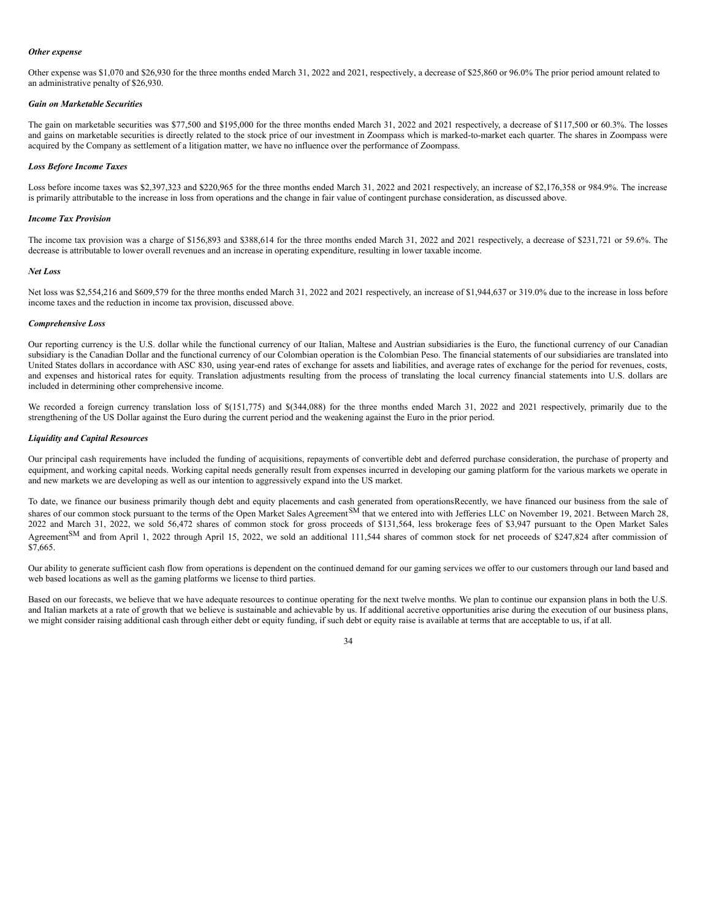### *Other expense*

Other expense was \$1,070 and \$26,930 for the three months ended March 31, 2022 and 2021, respectively, a decrease of \$25,860 or 96.0% The prior period amount related to an administrative penalty of \$26,930.

## *Gain on Marketable Securities*

The gain on marketable securities was \$77,500 and \$195,000 for the three months ended March 31, 2022 and 2021 respectively, a decrease of \$117,500 or 60.3%. The losses and gains on marketable securities is directly related to the stock price of our investment in Zoompass which is marked-to-market each quarter. The shares in Zoompass were acquired by the Company as settlement of a litigation matter, we have no influence over the performance of Zoompass.

### *Loss Before Income Taxes*

Loss before income taxes was \$2,397,323 and \$220,965 for the three months ended March 31, 2022 and 2021 respectively, an increase of \$2,176,358 or 984.9%. The increase is primarily attributable to the increase in loss from operations and the change in fair value of contingent purchase consideration, as discussed above.

### *Income Tax Provision*

The income tax provision was a charge of \$156,893 and \$388,614 for the three months ended March 31, 2022 and 2021 respectively, a decrease of \$231,721 or 59.6%. The decrease is attributable to lower overall revenues and an increase in operating expenditure, resulting in lower taxable income.

#### *Net Loss*

Net loss was \$2,554,216 and \$609,579 for the three months ended March 31, 2022 and 2021 respectively, an increase of \$1,944,637 or 319.0% due to the increase in loss before income taxes and the reduction in income tax provision, discussed above.

### *Comprehensive Loss*

Our reporting currency is the U.S. dollar while the functional currency of our Italian, Maltese and Austrian subsidiaries is the Euro, the functional currency of our Canadian subsidiary is the Canadian Dollar and the functional currency of our Colombian operation is the Colombian Peso. The financial statements of our subsidiaries are translated into United States dollars in accordance with ASC 830, using year-end rates of exchange for assets and liabilities, and average rates of exchange for the period for revenues, costs, and expenses and historical rates for equity. Translation adjustments resulting from the process of translating the local currency financial statements into U.S. dollars are included in determining other comprehensive income.

We recorded a foreign currency translation loss of  $\{(151,775)$  and  $\{(344,088)\}$  for the three months ended March 31, 2022 and 2021 respectively, primarily due to the strengthening of the US Dollar against the Euro during the current period and the weakening against the Euro in the prior period.

## *Liquidity and Capital Resources*

Our principal cash requirements have included the funding of acquisitions, repayments of convertible debt and deferred purchase consideration, the purchase of property and equipment, and working capital needs. Working capital needs generally result from expenses incurred in developing our gaming platform for the various markets we operate in and new markets we are developing as well as our intention to aggressively expand into the US market.

To date, we finance our business primarily though debt and equity placements and cash generated from operations.Recently, we have financed our business from the sale of shares of our common stock pursuant to the terms of the Open Market Sales Agreement<sup>SM</sup> that we entered into with Jefferies LLC on November 19, 2021. Between March 28, 2022 and March 31, 2022, we sold 56,472 shares of common stock for gross proceeds of \$131,564, less brokerage fees of \$3,947 pursuant to the Open Market Sales Agreement<sup>SM</sup> and from April 1, 2022 through April 15, 2022, we sold an additional 111,544 shares of common stock for net proceeds of \$247,824 after commission of \$7,665.

Our ability to generate sufficient cash flow from operations is dependent on the continued demand for our gaming services we offer to our customers through our land based and web based locations as well as the gaming platforms we license to third parties.

Based on our forecasts, we believe that we have adequate resources to continue operating for the next twelve months. We plan to continue our expansion plans in both the U.S. and Italian markets at a rate of growth that we believe is sustainable and achievable by us. If additional accretive opportunities arise during the execution of our business plans, we might consider raising additional cash through either debt or equity funding, if such debt or equity raise is available at terms that are acceptable to us, if at all.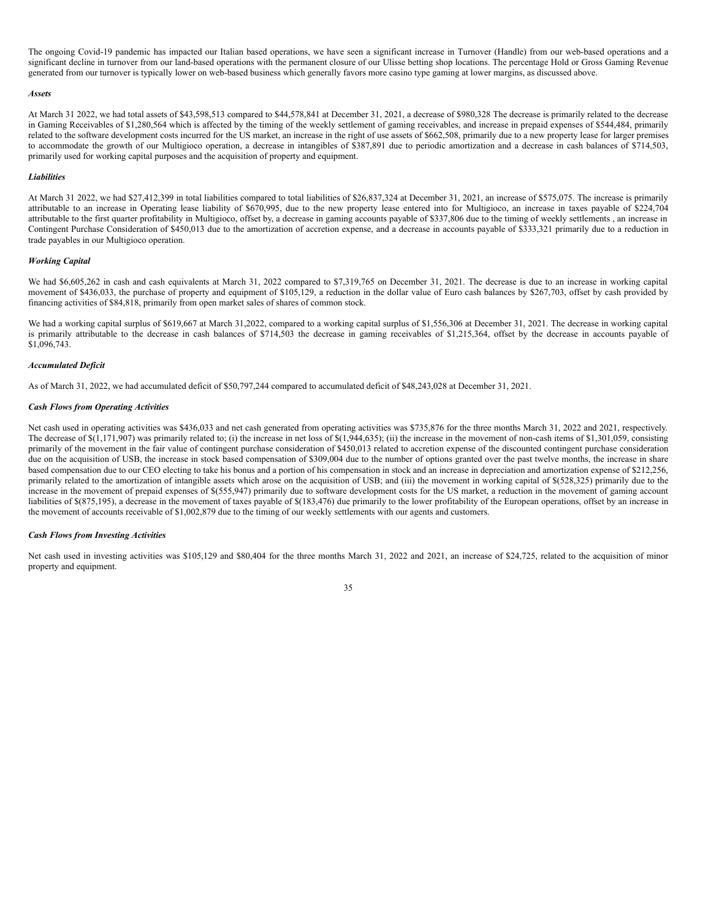The ongoing Covid-19 pandemic has impacted our Italian based operations, we have seen a significant increase in Turnover (Handle) from our web-based operations and a significant decline in turnover from our land-based operations with the permanent closure of our Ulisse betting shop locations. The percentage Hold or Gross Gaming Revenue generated from our turnover is typically lower on web-based business which generally favors more casino type gaming at lower margins, as discussed above.

### *Assets*

At March 31 2022, we had total assets of \$43,598,513 compared to \$44,578,841 at December 31, 2021, a decrease of \$980,328 The decrease is primarily related to the decrease in Gaming Receivables of \$1,280,564 which is affected by the timing of the weekly settlement of gaming receivables, and increase in prepaid expenses of \$544,484, primarily related to the software development costs incurred for the US market, an increase in the right of use assets of \$662,508, primarily due to a new property lease for larger premises to accommodate the growth of our Multigioco operation, a decrease in intangibles of \$387,891 due to periodic amortization and a decrease in cash balances of \$714,503, primarily used for working capital purposes and the acquisition of property and equipment.

## *Liabilities*

At March 31 2022, we had \$27,412,399 in total liabilities compared to total liabilities of \$26,837,324 at December 31, 2021, an increase of \$575,075. The increase is primarily attributable to an increase in Operating lease liability of \$670,995, due to the new property lease entered into for Multigioco, an increase in taxes payable of \$224,704 attributable to the first quarter profitability in Multigioco, offset by, a decrease in gaming accounts payable of \$337,806 due to the timing of weekly settlements , an increase in Contingent Purchase Consideration of \$450,013 due to the amortization of accretion expense, and a decrease in accounts payable of \$333,321 primarily due to a reduction in trade payables in our Multigioco operation.

## *Working Capital*

We had \$6,605,262 in cash and cash equivalents at March 31, 2022 compared to \$7,319,765 on December 31, 2021. The decrease is due to an increase in working capital movement of \$436,033, the purchase of property and equipment of \$105,129, a reduction in the dollar value of Euro cash balances by \$267,703, offset by cash provided by financing activities of \$84,818, primarily from open market sales of shares of common stock.

We had a working capital surplus of \$619,667 at March 31,2022, compared to a working capital surplus of \$1,556,306 at December 31, 2021. The decrease in working capital is primarily attributable to the decrease in cash balances of \$714,503 the decrease in gaming receivables of \$1,215,364, offset by the decrease in accounts payable of \$1,096,743.

## *Accumulated Deficit*

As of March 31, 2022, we had accumulated deficit of \$50,797,244 compared to accumulated deficit of \$48,243,028 at December 31, 2021.

## *Cash Flows from Operating Activities*

Net cash used in operating activities was \$436,033 and net cash generated from operating activities was \$735,876 for the three months March 31, 2022 and 2021, respectively. The decrease of  $\{(1,171,907)\}$  was primarily related to; (i) the increase in net loss of  $\{(1,944,635)\}$ ; (ii) the increase in the movement of non-cash items of \$1,301,059, consisting primarily of the movement in the fair value of contingent purchase consideration of \$450,013 related to accretion expense of the discounted contingent purchase consideration due on the acquisition of USB, the increase in stock based compensation of \$309,004 due to the number of options granted over the past twelve months, the increase in share based compensation due to our CEO electing to take his bonus and a portion of his compensation in stock and an increase in depreciation and amortization expense of \$212,256, primarily related to the amortization of intangible assets which arose on the acquisition of USB; and (iii) the movement in working capital of \$(528,325) primarily due to the increase in the movement of prepaid expenses of \$(555,947) primarily due to software development costs for the US market, a reduction in the movement of gaming account liabilities of \$(875,195), a decrease in the movement of taxes payable of \$(183,476) due primarily to the lower profitability of the European operations, offset by an increase in the movement of accounts receivable of \$1,002,879 due to the timing of our weekly settlements with our agents and customers.

# *Cash Flows from Investing Activities*

Net cash used in investing activities was \$105,129 and \$80,404 for the three months March 31, 2022 and 2021, an increase of \$24,725, related to the acquisition of minor property and equipment.

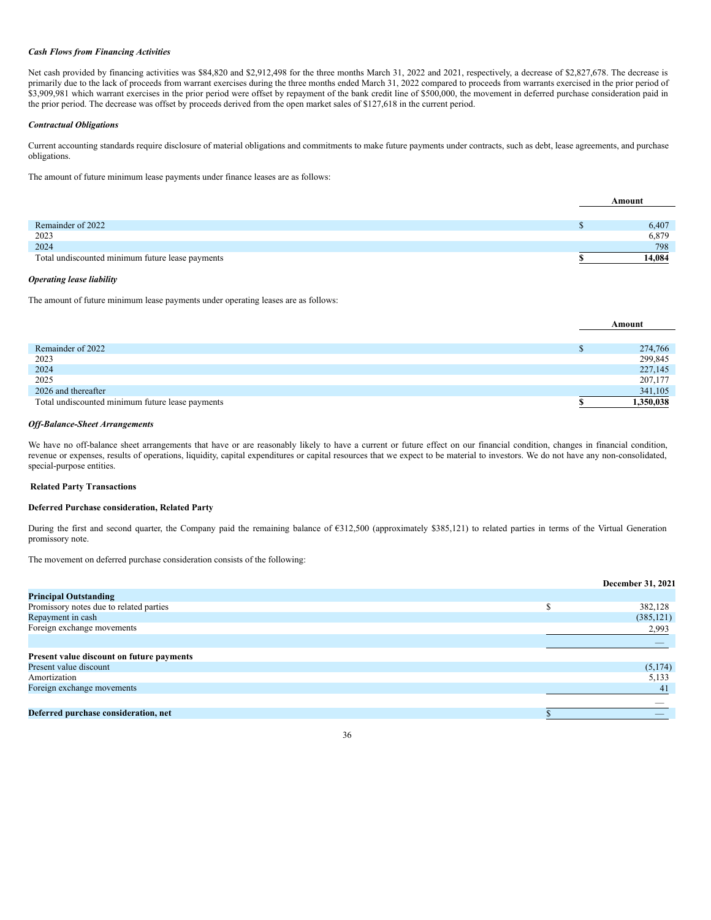# *Cash Flows from Financing Activities*

Net cash provided by financing activities was \$84,820 and \$2,912,498 for the three months March 31, 2022 and 2021, respectively, a decrease of \$2,827,678. The decrease is primarily due to the lack of proceeds from warrant exercises during the three months ended March 31, 2022 compared to proceeds from warrants exercised in the prior period of \$3,909,981 which warrant exercises in the prior period were offset by repayment of the bank credit line of \$500,000, the movement in deferred purchase consideration paid in the prior period. The decrease was offset by proceeds derived from the open market sales of \$127,618 in the current period.

### *Contractual Obligations*

Current accounting standards require disclosure of material obligations and commitments to make future payments under contracts, such as debt, lease agreements, and purchase obligations.

The amount of future minimum lease payments under finance leases are as follows:

|                                                  | Amount |
|--------------------------------------------------|--------|
|                                                  |        |
| Remainder of 2022                                | 6,407  |
| 2023                                             | 6,879  |
| 2024                                             | 798    |
| Total undiscounted minimum future lease payments | 14.084 |

## *Operating lease liability*

The amount of future minimum lease payments under operating leases are as follows:

|                                                  | Amount    |
|--------------------------------------------------|-----------|
|                                                  |           |
| Remainder of 2022                                | 274,766   |
| 2023                                             | 299,845   |
| 2024                                             | 227,145   |
| 2025                                             | 207,177   |
| 2026 and thereafter                              | 341,105   |
| Total undiscounted minimum future lease payments | 1,350,038 |

# *Of -Balance-Sheet Arrangements*

We have no off-balance sheet arrangements that have or are reasonably likely to have a current or future effect on our financial condition, changes in financial condition, revenue or expenses, results of operations, liquidity, capital expenditures or capital resources that we expect to be material to investors. We do not have any non-consolidated, special-purpose entities.

### **Related Party Transactions**

### **Deferred Purchase consideration, Related Party**

During the first and second quarter, the Company paid the remaining balance of €312,500 (approximately \$385,121) to related parties in terms of the Virtual Generation promissory note.

The movement on deferred purchase consideration consists of the following:

|                                           | December 31, 2021 |
|-------------------------------------------|-------------------|
| <b>Principal Outstanding</b>              |                   |
| Promissory notes due to related parties   | 382,128           |
| Repayment in cash                         | (385, 121)        |
| Foreign exchange movements                | 2,993             |
|                                           |                   |
| Present value discount on future payments |                   |
| Present value discount                    | (5,174)           |
| Amortization                              | 5,133             |
| Foreign exchange movements                | 41                |
|                                           |                   |
| Deferred purchase consideration, net      |                   |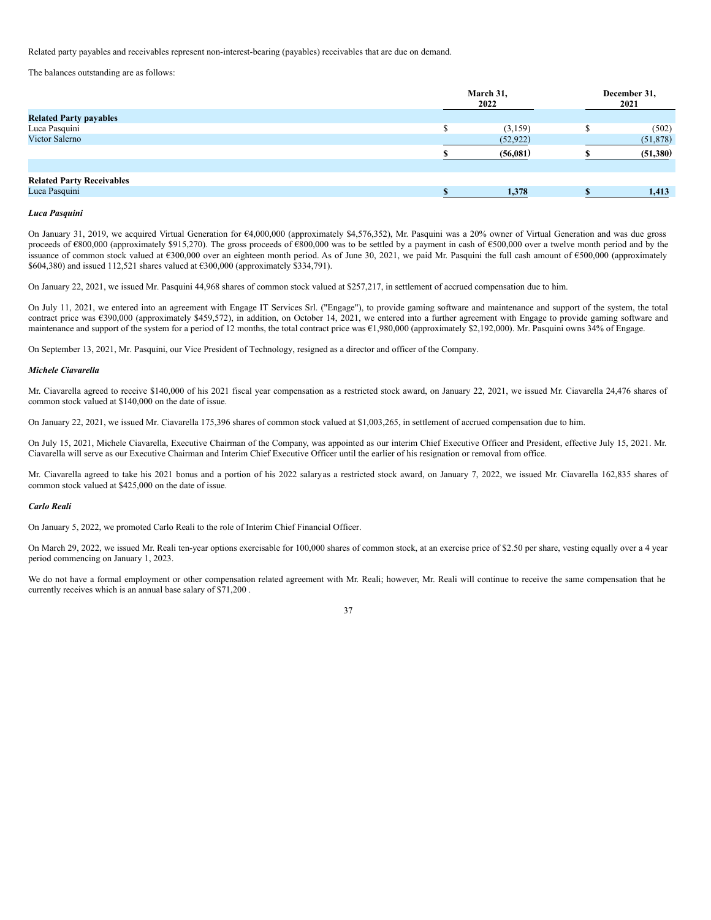Related party payables and receivables represent non-interest-bearing (payables) receivables that are due on demand.

The balances outstanding are as follows:

|                                  | March 31,<br>2022 | December 31,<br>2021 |
|----------------------------------|-------------------|----------------------|
| <b>Related Party payables</b>    |                   |                      |
| Luca Pasquini                    | (3,159)           | (502)                |
| Victor Salerno                   | (52, 922)         | (51, 878)            |
|                                  | (56,081)          | (51,380)             |
|                                  |                   |                      |
| <b>Related Party Receivables</b> |                   |                      |
| Luca Pasquini                    | 1,378             | 1,413                |

## *Luca Pasquini*

On January 31, 2019, we acquired Virtual Generation for €4,000,000 (approximately \$4,576,352), Mr. Pasquini was a 20% owner of Virtual Generation and was due gross proceeds of  $\epsilon$ 800,000 (approximately \$915,270). The gross proceeds of  $\epsilon$ 800,000 was to be settled by a payment in cash of  $\epsilon$ 500,000 over a twelve month period and by the issuance of common stock valued at €300,000 over an eighteen month period. As of June 30, 2021, we paid Mr. Pasquini the full cash amount of €500,000 (approximately \$604,380) and issued 112,521 shares valued at €300,000 (approximately \$334,791).

On January 22, 2021, we issued Mr. Pasquini 44,968 shares of common stock valued at \$257,217, in settlement of accrued compensation due to him.

On July 11, 2021, we entered into an agreement with Engage IT Services Srl. ("Engage"), to provide gaming software and maintenance and support of the system, the total contract price was €390,000 (approximately \$459,572), in addition, on October 14, 2021, we entered into a further agreement with Engage to provide gaming software and maintenance and support of the system for a period of 12 months, the total contract price was €1,980,000 (approximately \$2,192,000). Mr. Pasquini owns 34% of Engage.

On September 13, 2021, Mr. Pasquini, our Vice President of Technology, resigned as a director and officer of the Company.

### *Michele Ciavarella*

Mr. Ciavarella agreed to receive \$140,000 of his 2021 fiscal year compensation as a restricted stock award, on January 22, 2021, we issued Mr. Ciavarella 24,476 shares of common stock valued at \$140,000 on the date of issue.

On January 22, 2021, we issued Mr. Ciavarella 175,396 shares of common stock valued at \$1,003,265, in settlement of accrued compensation due to him.

On July 15, 2021, Michele Ciavarella, Executive Chairman of the Company, was appointed as our interim Chief Executive Officer and President, effective July 15, 2021. Mr. Ciavarella will serve as our Executive Chairman and Interim Chief Executive Officer until the earlier of his resignation or removal from office.

Mr. Ciavarella agreed to take his 2021 bonus and a portion of his 2022 salaryas a restricted stock award, on January 7, 2022, we issued Mr. Ciavarella 162,835 shares of common stock valued at \$425,000 on the date of issue.

### *Carlo Reali*

On January 5, 2022, we promoted Carlo Reali to the role of Interim Chief Financial Officer.

On March 29, 2022, we issued Mr. Reali ten-year options exercisable for 100,000 shares of common stock, at an exercise price of \$2.50 per share, vesting equally over a 4 year period commencing on January 1, 2023.

We do not have a formal employment or other compensation related agreement with Mr. Reali; however, Mr. Reali will continue to receive the same compensation that he currently receives which is an annual base salary of \$71,200 .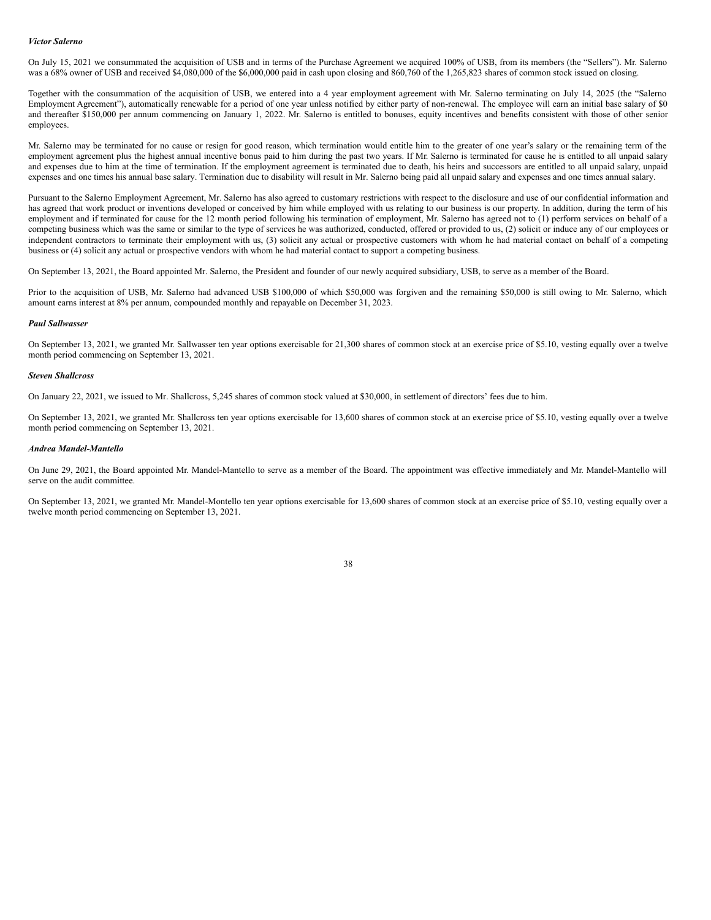### *Victor Salerno*

On July 15, 2021 we consummated the acquisition of USB and in terms of the Purchase Agreement we acquired 100% of USB, from its members (the "Sellers"). Mr. Salerno was a 68% owner of USB and received \$4,080,000 of the \$6,000,000 paid in cash upon closing and 860,760 of the 1,265,823 shares of common stock issued on closing.

Together with the consummation of the acquisition of USB, we entered into a 4 year employment agreement with Mr. Salerno terminating on July 14, 2025 (the "Salerno Employment Agreement"), automatically renewable for a period of one year unless notified by either party of non-renewal. The employee will earn an initial base salary of \$0 and thereafter \$150,000 per annum commencing on January 1, 2022. Mr. Salerno is entitled to bonuses, equity incentives and benefits consistent with those of other senior employees.

Mr. Salerno may be terminated for no cause or resign for good reason, which termination would entitle him to the greater of one year's salary or the remaining term of the employment agreement plus the highest annual incentive bonus paid to him during the past two years. If Mr. Salerno is terminated for cause he is entitled to all unpaid salary and expenses due to him at the time of termination. If the employment agreement is terminated due to death, his heirs and successors are entitled to all unpaid salary, unpaid expenses and one times his annual base salary. Termination due to disability will result in Mr. Salerno being paid all unpaid salary and expenses and one times annual salary.

Pursuant to the Salerno Employment Agreement, Mr. Salerno has also agreed to customary restrictions with respect to the disclosure and use of our confidential information and has agreed that work product or inventions developed or conceived by him while employed with us relating to our business is our property. In addition, during the term of his employment and if terminated for cause for the 12 month period following his termination of employment, Mr. Salerno has agreed not to (1) perform services on behalf of a competing business which was the same or similar to the type of services he was authorized, conducted, offered or provided to us, (2) solicit or induce any of our employees or independent contractors to terminate their employment with us, (3) solicit any actual or prospective customers with whom he had material contact on behalf of a competing business or (4) solicit any actual or prospective vendors with whom he had material contact to support a competing business.

On September 13, 2021, the Board appointed Mr. Salerno, the President and founder of our newly acquired subsidiary, USB, to serve as a member of the Board.

Prior to the acquisition of USB, Mr. Salerno had advanced USB \$100,000 of which \$50,000 was forgiven and the remaining \$50,000 is still owing to Mr. Salerno, which amount earns interest at 8% per annum, compounded monthly and repayable on December 31, 2023.

### *Paul Sallwasser*

On September 13, 2021, we granted Mr. Sallwasser ten year options exercisable for 21,300 shares of common stock at an exercise price of \$5.10, vesting equally over a twelve month period commencing on September 13, 2021.

#### *Steven Shallcross*

On January 22, 2021, we issued to Mr. Shallcross, 5,245 shares of common stock valued at \$30,000, in settlement of directors' fees due to him.

On September 13, 2021, we granted Mr. Shallcross ten year options exercisable for 13,600 shares of common stock at an exercise price of \$5.10, vesting equally over a twelve month period commencing on September 13, 2021.

### *Andrea Mandel-Mantello*

On June 29, 2021, the Board appointed Mr. Mandel-Mantello to serve as a member of the Board. The appointment was effective immediately and Mr. Mandel-Mantello will serve on the audit committee.

On September 13, 2021, we granted Mr. Mandel-Montello ten year options exercisable for 13,600 shares of common stock at an exercise price of \$5.10, vesting equally over a twelve month period commencing on September 13, 2021.

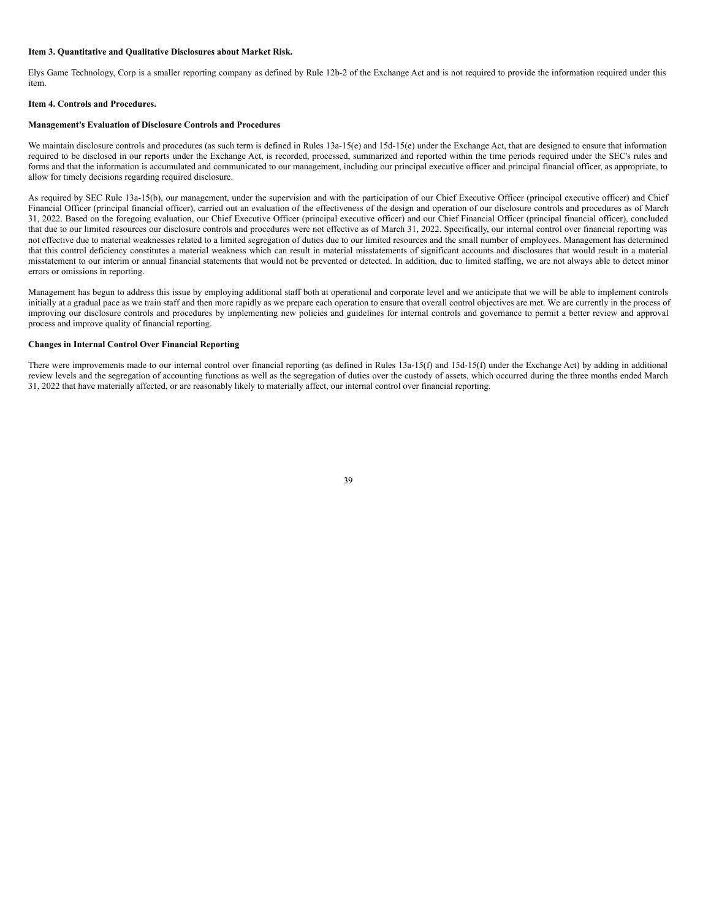## **Item 3. Quantitative and Qualitative Disclosures about Market Risk.**

Elys Game Technology, Corp is a smaller reporting company as defined by Rule 12b-2 of the Exchange Act and is not required to provide the information required under this item.

### **Item 4. Controls and Procedures.**

#### **Management's Evaluation of Disclosure Controls and Procedures**

We maintain disclosure controls and procedures (as such term is defined in Rules 13a-15(e) and 15d-15(e) under the Exchange Act, that are designed to ensure that information required to be disclosed in our reports under the Exchange Act, is recorded, processed, summarized and reported within the time periods required under the SEC's rules and forms and that the information is accumulated and communicated to our management, including our principal executive officer and principal financial officer, as appropriate, to allow for timely decisions regarding required disclosure.

As required by SEC Rule 13a-15(b), our management, under the supervision and with the participation of our Chief Executive Officer (principal executive officer) and Chief Financial Officer (principal financial officer), carried out an evaluation of the effectiveness of the design and operation of our disclosure controls and procedures as of March 31, 2022. Based on the foregoing evaluation, our Chief Executive Officer (principal executive officer) and our Chief Financial Officer (principal financial officer), concluded that due to our limited resources our disclosure controls and procedures were not effective as of March 31, 2022. Specifically, our internal control over financial reporting was not effective due to material weaknesses related to a limited segregation of duties due to our limited resources and the small number of employees. Management has determined that this control deficiency constitutes a material weakness which can result in material misstatements of significant accounts and disclosures that would result in a material misstatement to our interim or annual financial statements that would not be prevented or detected. In addition, due to limited staffing, we are not always able to detect minor errors or omissions in reporting.

Management has begun to address this issue by employing additional staff both at operational and corporate level and we anticipate that we will be able to implement controls initially at a gradual pace as we train staff and then more rapidly as we prepare each operation to ensure that overall control objectives are met. We are currently in the process of improving our disclosure controls and procedures by implementing new policies and guidelines for internal controls and governance to permit a better review and approval process and improve quality of financial reporting.

# **Changes in Internal Control Over Financial Reporting**

There were improvements made to our internal control over financial reporting (as defined in Rules 13a-15(f) and 15d-15(f) under the Exchange Act) by adding in additional review levels and the segregation of accounting functions as well as the segregation of duties over the custody of assets, which occurred during the three months ended March 31, 2022 that have materially affected, or are reasonably likely to materially affect, our internal control over financial reporting.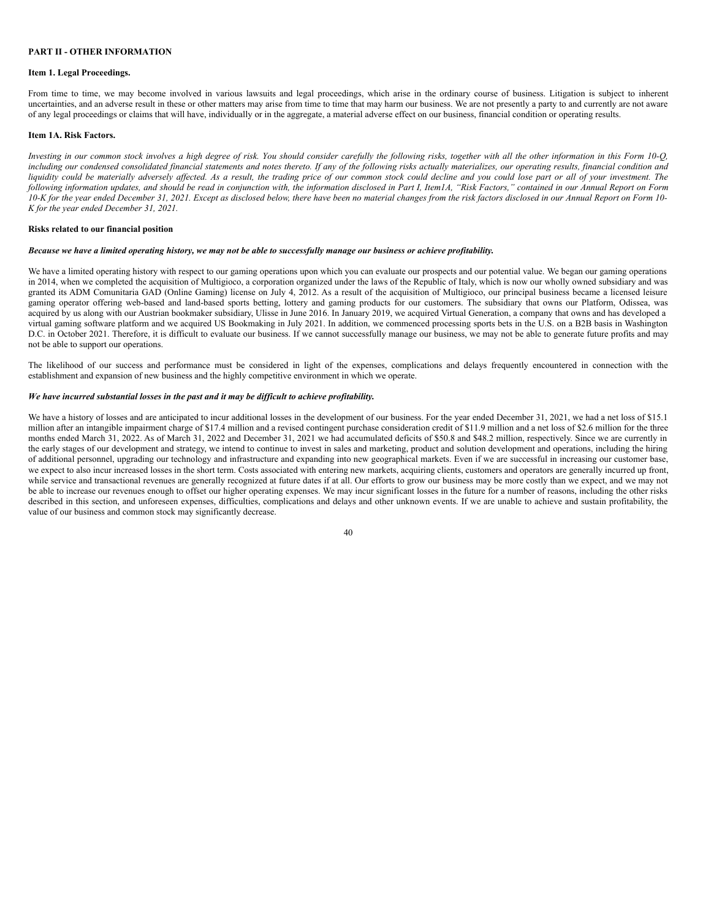# **PART II - OTHER INFORMATION**

### **Item 1. Legal Proceedings.**

From time to time, we may become involved in various lawsuits and legal proceedings, which arise in the ordinary course of business. Litigation is subject to inherent uncertainties, and an adverse result in these or other matters may arise from time to time that may harm our business. We are not presently a party to and currently are not aware of any legal proceedings or claims that will have, individually or in the aggregate, a material adverse effect on our business, financial condition or operating results.

# **Item 1A. Risk Factors.**

Investing in our common stock involves a high degree of risk. You should consider carefully the following risks, together with all the other information in this Form 10-O, including our condensed consolidated financial statements and notes thereto. If any of the following risks actually materializes, our operating results, financial condition and liquidity could be materially adversely affected. As a result, the trading price of our common stock could decline and you could lose part or all of your investment. The following information updates, and should be read in conjunction with, the information disclosed in Part I, Item1A, "Risk Factors," contained in our Annual Report on Form 10-K for the year ended December 31, 2021. Except as disclosed below, there have been no material changes from the risk factors disclosed in our Annual Report on Form 10-*K for the year ended December 31, 2021.*

## **Risks related to our financial position**

### Because we have a limited operating history, we may not be able to successfully manage our business or achieve profitability.

We have a limited operating history with respect to our gaming operations upon which you can evaluate our prospects and our potential value. We began our gaming operations in 2014, when we completed the acquisition of Multigioco, a corporation organized under the laws of the Republic of Italy, which is now our wholly owned subsidiary and was granted its ADM Comunitaria GAD (Online Gaming) license on July 4, 2012. As a result of the acquisition of Multigioco, our principal business became a licensed leisure gaming operator offering web-based and land-based sports betting, lottery and gaming products for our customers. The subsidiary that owns our Platform, Odissea, was acquired by us along with our Austrian bookmaker subsidiary, Ulisse in June 2016. In January 2019, we acquired Virtual Generation, a company that owns and has developed a virtual gaming software platform and we acquired US Bookmaking in July 2021. In addition, we commenced processing sports bets in the U.S. on a B2B basis in Washington D.C. in October 2021. Therefore, it is difficult to evaluate our business. If we cannot successfully manage our business, we may not be able to generate future profits and may not be able to support our operations.

The likelihood of our success and performance must be considered in light of the expenses, complications and delays frequently encountered in connection with the establishment and expansion of new business and the highly competitive environment in which we operate.

# *We have incurred substantial losses in the past and it may be dif icult to achieve profitability.*

We have a history of losses and are anticipated to incur additional losses in the development of our business. For the year ended December 31, 2021, we had a net loss of \$15.1 million after an intangible impairment charge of \$17.4 million and a revised contingent purchase consideration credit of \$11.9 million and a net loss of \$2.6 million for the three months ended March 31, 2022. As of March 31, 2022 and December 31, 2021 we had accumulated deficits of \$50.8 and \$48.2 million, respectively. Since we are currently in the early stages of our development and strategy, we intend to continue to invest in sales and marketing, product and solution development and operations, including the hiring of additional personnel, upgrading our technology and infrastructure and expanding into new geographical markets. Even if we are successful in increasing our customer base, we expect to also incur increased losses in the short term. Costs associated with entering new markets, acquiring clients, customers and operators are generally incurred up front, while service and transactional revenues are generally recognized at future dates if at all. Our efforts to grow our business may be more costly than we expect, and we may not be able to increase our revenues enough to offset our higher operating expenses. We may incur significant losses in the future for a number of reasons, including the other risks described in this section, and unforeseen expenses, difficulties, complications and delays and other unknown events. If we are unable to achieve and sustain profitability, the value of our business and common stock may significantly decrease.

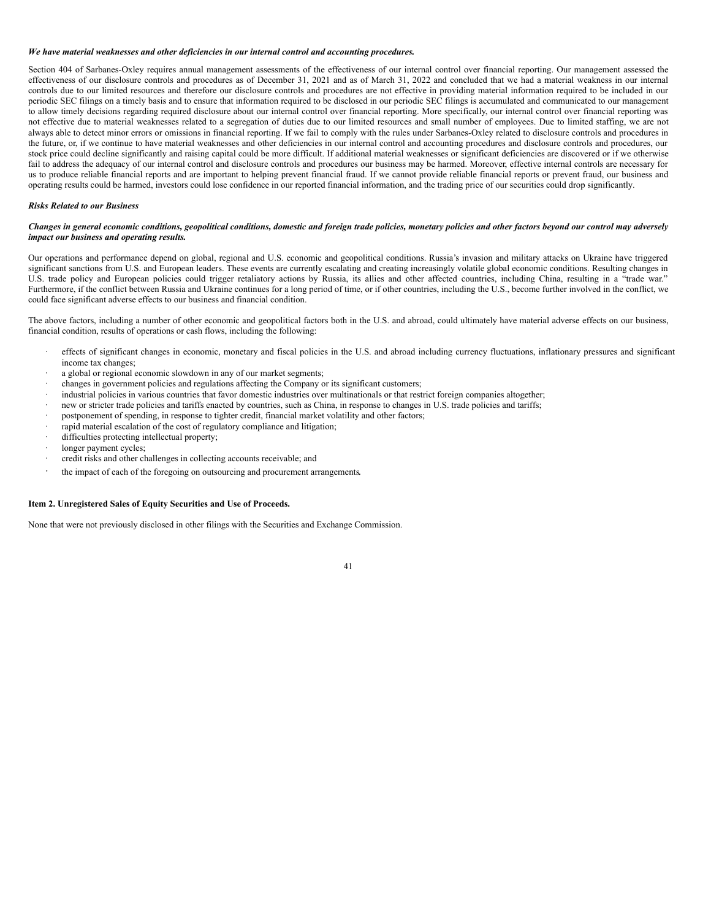# *We have material weaknesses and other deficiencies in our internal control and accounting procedures.*

Section 404 of Sarbanes-Oxley requires annual management assessments of the effectiveness of our internal control over financial reporting. Our management assessed the effectiveness of our disclosure controls and procedures as of December 31, 2021 and as of March 31, 2022 and concluded that we had a material weakness in our internal controls due to our limited resources and therefore our disclosure controls and procedures are not effective in providing material information required to be included in our periodic SEC filings on a timely basis and to ensure that information required to be disclosed in our periodic SEC filings is accumulated and communicated to our management to allow timely decisions regarding required disclosure about our internal control over financial reporting. More specifically, our internal control over financial reporting was not effective due to material weaknesses related to a segregation of duties due to our limited resources and small number of employees. Due to limited staffing, we are not always able to detect minor errors or omissions in financial reporting. If we fail to comply with the rules under Sarbanes-Oxley related to disclosure controls and procedures in the future, or, if we continue to have material weaknesses and other deficiencies in our internal control and accounting procedures and disclosure controls and procedures, our stock price could decline significantly and raising capital could be more difficult. If additional material weaknesses or significant deficiencies are discovered or if we otherwise fail to address the adequacy of our internal control and disclosure controls and procedures our business may be harmed. Moreover, effective internal controls are necessary for us to produce reliable financial reports and are important to helping prevent financial fraud. If we cannot provide reliable financial reports or prevent fraud, our business and operating results could be harmed, investors could lose confidence in our reported financial information, and the trading price of our securities could drop significantly.

## *Risks Related to our Business*

## Changes in general economic conditions, geopolitical conditions, domestic and foreign trade policies, monetary policies and other factors beyond our control may adversely *impact our business and operating results.*

Our operations and performance depend on global, regional and U.S. economic and geopolitical conditions. Russia's invasion and military attacks on Ukraine have triggered significant sanctions from U.S. and European leaders. These events are currently escalating and creating increasingly volatile global economic conditions. Resulting changes in U.S. trade policy and European policies could trigger retaliatory actions by Russia, its allies and other affected countries, including China, resulting in a "trade war." Furthermore, if the conflict between Russia and Ukraine continues for a long period of time, or if other countries, including the U.S., become further involved in the conflict, we could face significant adverse effects to our business and financial condition.

The above factors, including a number of other economic and geopolitical factors both in the U.S. and abroad, could ultimately have material adverse effects on our business, financial condition, results of operations or cash flows, including the following:

- · effects of significant changes in economic, monetary and fiscal policies in the U.S. and abroad including currency fluctuations, inflationary pressures and significant income tax changes;
- a global or regional economic slowdown in any of our market segments;
- · changes in government policies and regulations affecting the Company or its significant customers;
- · industrial policies in various countries that favor domestic industries over multinationals or that restrict foreign companies altogether;
- new or stricter trade policies and tariffs enacted by countries, such as China, in response to changes in U.S. trade policies and tariffs;
- postponement of spending, in response to tighter credit, financial market volatility and other factors;
- rapid material escalation of the cost of regulatory compliance and litigation;
- difficulties protecting intellectual property;
- longer payment cycles;
- credit risks and other challenges in collecting accounts receivable; and
- the impact of each of the foregoing on outsourcing and procurement arrangements.

# **Item 2. Unregistered Sales of Equity Securities and Use of Proceeds.**

None that were not previously disclosed in other filings with the Securities and Exchange Commission.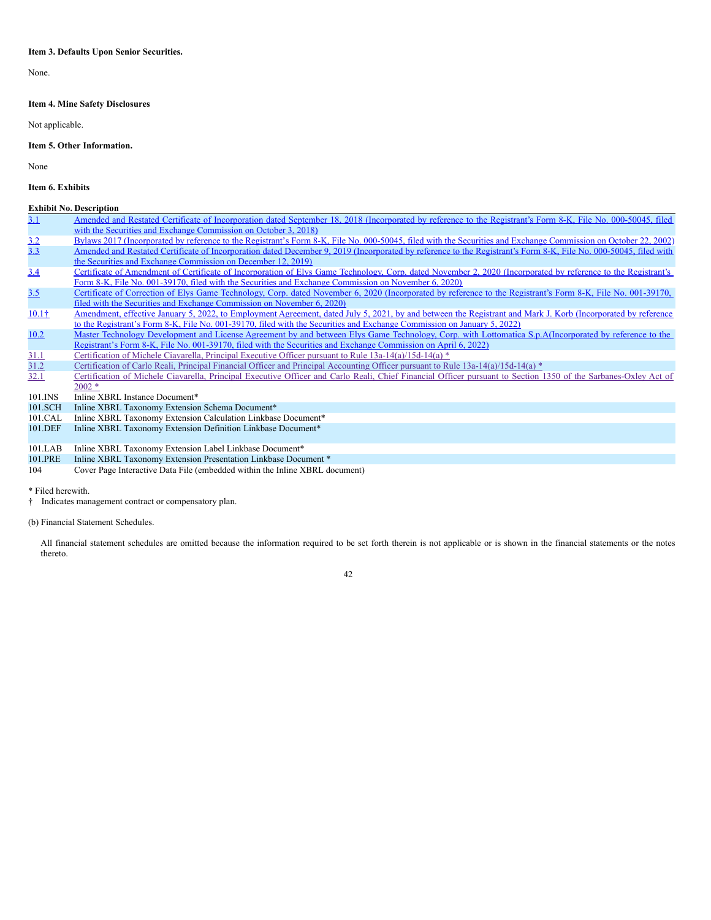# **Item 3. Defaults Upon Senior Securities.**

None.

# **Item 4. Mine Safety Disclosures**

Not applicable.

# **Item 5. Other Information.**

None

# **Item 6. Exhibits**

|  | <b>Exhibit No. Description</b> |
|--|--------------------------------|

| 3.1               | Amended and Restated Certificate of Incorporation dated September 18, 2018 (Incorporated by reference to the Registrant's Form 8-K, File No. 000-50045, filed    |
|-------------------|------------------------------------------------------------------------------------------------------------------------------------------------------------------|
|                   | with the Securities and Exchange Commission on October 3, 2018)                                                                                                  |
|                   | Bylaws 2017 (Incorporated by reference to the Registrant's Form 8-K, File No. 000-50045, filed with the Securities and Exchange Commission on October 22, 2002)  |
| $\frac{3.2}{3.3}$ | Amended and Restated Certificate of Incorporation dated December 9, 2019 (Incorporated by reference to the Registrant's Form 8-K, File No. 000-50045, filed with |
|                   | the Securities and Exchange Commission on December 12, 2019)                                                                                                     |
| 3.4               | Certificate of Amendment of Certificate of Incorporation of Elys Game Technology, Corp. dated November 2, 2020 (Incorporated by reference to the Registrant's    |
|                   | Form 8-K, File No. 001-39170, filed with the Securities and Exchange Commission on November 6, 2020)                                                             |
| 3.5               | Certificate of Correction of Elys Game Technology, Corp. dated November 6, 2020 (Incorporated by reference to the Registrant's Form 8-K, File No. 001-39170,     |
|                   | filed with the Securities and Exchange Commission on November 6, 2020)                                                                                           |
| 10.1 <sup>†</sup> | Amendment, effective January 5, 2022, to Employment Agreement, dated July 5, 2021, by and between the Registrant and Mark J. Korb (Incorporated by reference     |
|                   | to the Registrant's Form 8-K, File No. 001-39170, filed with the Securities and Exchange Commission on January 5, 2022)                                          |
| 10.2              | Master Technology Development and License Agreement by and between Elys Game Technology, Corp. with Lottomatica S.p.A(Incorporated by reference to the           |
|                   | Registrant's Form 8-K, File No. 001-39170, filed with the Securities and Exchange Commission on April 6, 2022)                                                   |
| <u>31.1</u>       | Certification of Michele Ciavarella, Principal Executive Officer pursuant to Rule 13a-14(a)/15d-14(a) *                                                          |
| 31.2              | Certification of Carlo Reali, Principal Financial Officer and Principal Accounting Officer pursuant to Rule 13a-14(a)/15d-14(a) *                                |
| 32.1              | Certification of Michele Ciavarella, Principal Executive Officer and Carlo Reali, Chief Financial Officer pursuant to Section 1350 of the Sarbanes-Oxley Act of  |
|                   | $2002 *$                                                                                                                                                         |
| 101.INS           | Inline XBRL Instance Document*                                                                                                                                   |
| 101.SCH           | Inline XBRL Taxonomy Extension Schema Document*                                                                                                                  |
| 101.CAL           | Inline XBRL Taxonomy Extension Calculation Linkbase Document*                                                                                                    |
| 101.DEF           | Inline XBRL Taxonomy Extension Definition Linkbase Document*                                                                                                     |
|                   |                                                                                                                                                                  |
| $101$ .LAB        | Inline XBRL Taxonomy Extension Label Linkbase Document*                                                                                                          |

101.PRE Inline XBRL Taxonomy Extension Presentation Linkbase Document \* 104 Cover Page Interactive Data File (embedded within the Inline XBRL do

Cover Page Interactive Data File (embedded within the Inline XBRL document)

\* Filed herewith.

† Indicates management contract or compensatory plan.

(b) Financial Statement Schedules.

All financial statement schedules are omitted because the information required to be set forth therein is not applicable or is shown in the financial statements or the notes thereto.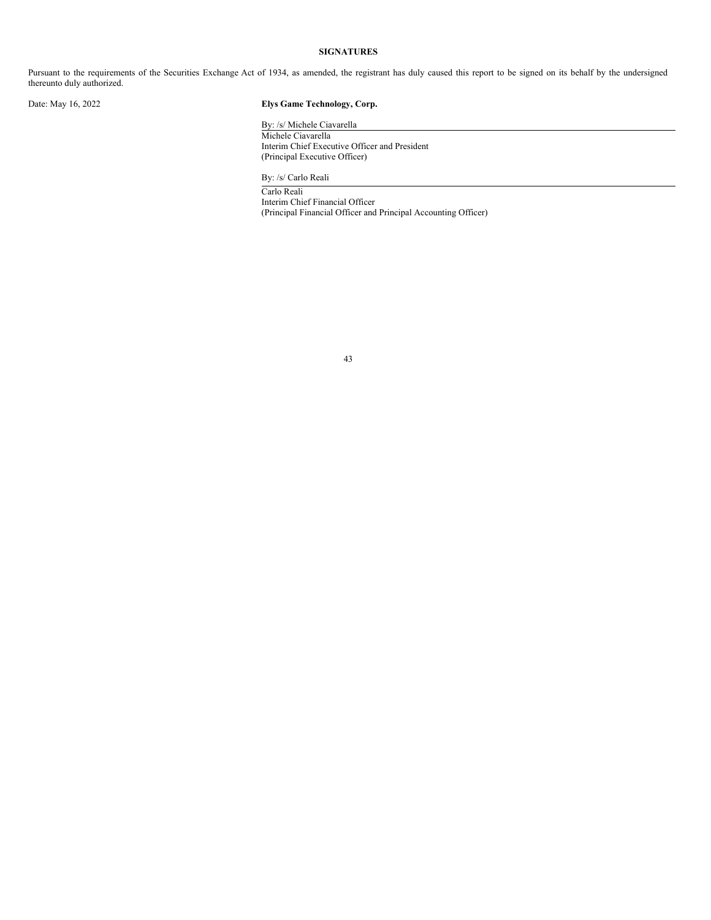# **SIGNATURES**

Pursuant to the requirements of the Securities Exchange Act of 1934, as amended, the registrant has duly caused this report to be signed on its behalf by the undersigned thereunto duly authorized.

# Date: May 16, 2022 **Elys Game Technology, Corp.**

By: /s/ Michele Ciavarella Michele Ciavarella Interim Chief Executive Officer and President (Principal Executive Officer)

By: /s/ Carlo Reali

Carlo Reali Interim Chief Financial Officer (Principal Financial Officer and Principal Accounting Officer)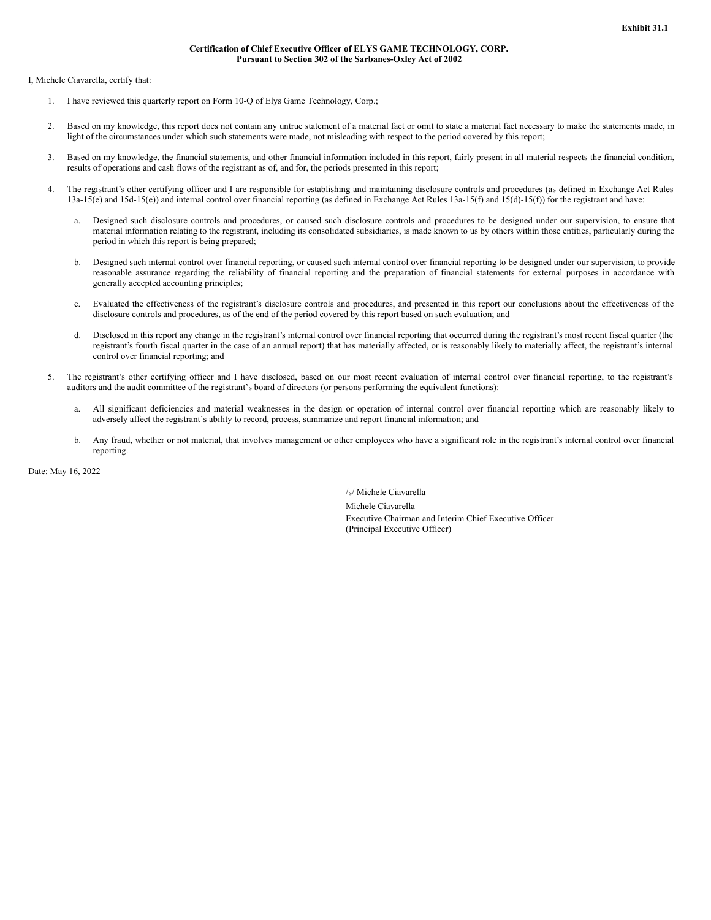# **Certification of Chief Executive Officer of ELYS GAME TECHNOLOGY, CORP. Pursuant to Section 302 of the Sarbanes-Oxley Act of 2002**

<span id="page-44-0"></span>I, Michele Ciavarella, certify that:

- 1. I have reviewed this quarterly report on Form 10-Q of Elys Game Technology, Corp.;
- 2. Based on my knowledge, this report does not contain any untrue statement of a material fact or omit to state a material fact necessary to make the statements made, in light of the circumstances under which such statements were made, not misleading with respect to the period covered by this report;
- 3. Based on my knowledge, the financial statements, and other financial information included in this report, fairly present in all material respects the financial condition, results of operations and cash flows of the registrant as of, and for, the periods presented in this report;
- 4. The registrant's other certifying officer and I are responsible for establishing and maintaining disclosure controls and procedures (as defined in Exchange Act Rules  $13a-15(e)$  and  $15d-15(e)$ ) and internal control over financial reporting (as defined in Exchange Act Rules  $13a-15(f)$  and  $15(d)-15(f)$ ) for the registrant and have:
	- a. Designed such disclosure controls and procedures, or caused such disclosure controls and procedures to be designed under our supervision, to ensure that material information relating to the registrant, including its consolidated subsidiaries, is made known to us by others within those entities, particularly during the period in which this report is being prepared;
	- b. Designed such internal control over financial reporting, or caused such internal control over financial reporting to be designed under our supervision, to provide reasonable assurance regarding the reliability of financial reporting and the preparation of financial statements for external purposes in accordance with generally accepted accounting principles;
	- c. Evaluated the effectiveness of the registrant's disclosure controls and procedures, and presented in this report our conclusions about the effectiveness of the disclosure controls and procedures, as of the end of the period covered by this report based on such evaluation; and
	- d. Disclosed in this report any change in the registrant's internal control over financial reporting that occurred during the registrant's most recent fiscal quarter (the registrant's fourth fiscal quarter in the case of an annual report) that has materially affected, or is reasonably likely to materially affect, the registrant's internal control over financial reporting; and
- The registrant's other certifying officer and I have disclosed, based on our most recent evaluation of internal control over financial reporting, to the registrant's auditors and the audit committee of the registrant's board of directors (or persons performing the equivalent functions):
	- a. All significant deficiencies and material weaknesses in the design or operation of internal control over financial reporting which are reasonably likely to adversely affect the registrant's ability to record, process, summarize and report financial information; and
	- b. Any fraud, whether or not material, that involves management or other employees who have a significant role in the registrant's internal control over financial reporting.

Date: May 16, 2022

/s/ Michele Ciavarella

Michele Ciavarella Executive Chairman and Interim Chief Executive Officer (Principal Executive Officer)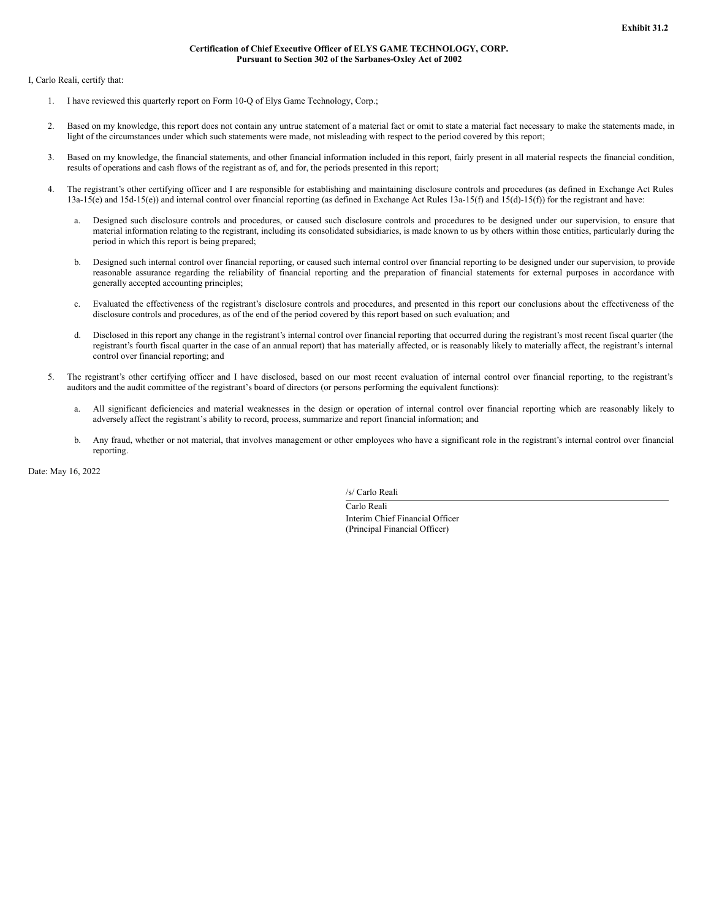# **Certification of Chief Executive Officer of ELYS GAME TECHNOLOGY, CORP. Pursuant to Section 302 of the Sarbanes-Oxley Act of 2002**

<span id="page-45-0"></span>I, Carlo Reali, certify that:

- 1. I have reviewed this quarterly report on Form 10-Q of Elys Game Technology, Corp.;
- 2. Based on my knowledge, this report does not contain any untrue statement of a material fact or omit to state a material fact necessary to make the statements made, in light of the circumstances under which such statements were made, not misleading with respect to the period covered by this report;
- 3. Based on my knowledge, the financial statements, and other financial information included in this report, fairly present in all material respects the financial condition, results of operations and cash flows of the registrant as of, and for, the periods presented in this report;
- 4. The registrant's other certifying officer and I are responsible for establishing and maintaining disclosure controls and procedures (as defined in Exchange Act Rules  $13a-15(e)$  and  $15d-15(e)$ ) and internal control over financial reporting (as defined in Exchange Act Rules  $13a-15(f)$  and  $15(d)-15(f)$ ) for the registrant and have:
	- Designed such disclosure controls and procedures, or caused such disclosure controls and procedures to be designed under our supervision, to ensure that material information relating to the registrant, including its consolidated subsidiaries, is made known to us by others within those entities, particularly during the period in which this report is being prepared;
	- b. Designed such internal control over financial reporting, or caused such internal control over financial reporting to be designed under our supervision, to provide reasonable assurance regarding the reliability of financial reporting and the preparation of financial statements for external purposes in accordance with generally accepted accounting principles;
	- c. Evaluated the effectiveness of the registrant's disclosure controls and procedures, and presented in this report our conclusions about the effectiveness of the disclosure controls and procedures, as of the end of the period covered by this report based on such evaluation; and
	- d. Disclosed in this report any change in the registrant's internal control over financial reporting that occurred during the registrant's most recent fiscal quarter (the registrant's fourth fiscal quarter in the case of an annual report) that has materially affected, or is reasonably likely to materially affect, the registrant's internal control over financial reporting; and
- The registrant's other certifying officer and I have disclosed, based on our most recent evaluation of internal control over financial reporting, to the registrant's auditors and the audit committee of the registrant's board of directors (or persons performing the equivalent functions):
	- a. All significant deficiencies and material weaknesses in the design or operation of internal control over financial reporting which are reasonably likely to adversely affect the registrant's ability to record, process, summarize and report financial information; and
	- b. Any fraud, whether or not material, that involves management or other employees who have a significant role in the registrant's internal control over financial reporting.

Date: May 16, 2022

/s/ Carlo Reali

Carlo Reali Interim Chief Financial Officer (Principal Financial Officer)